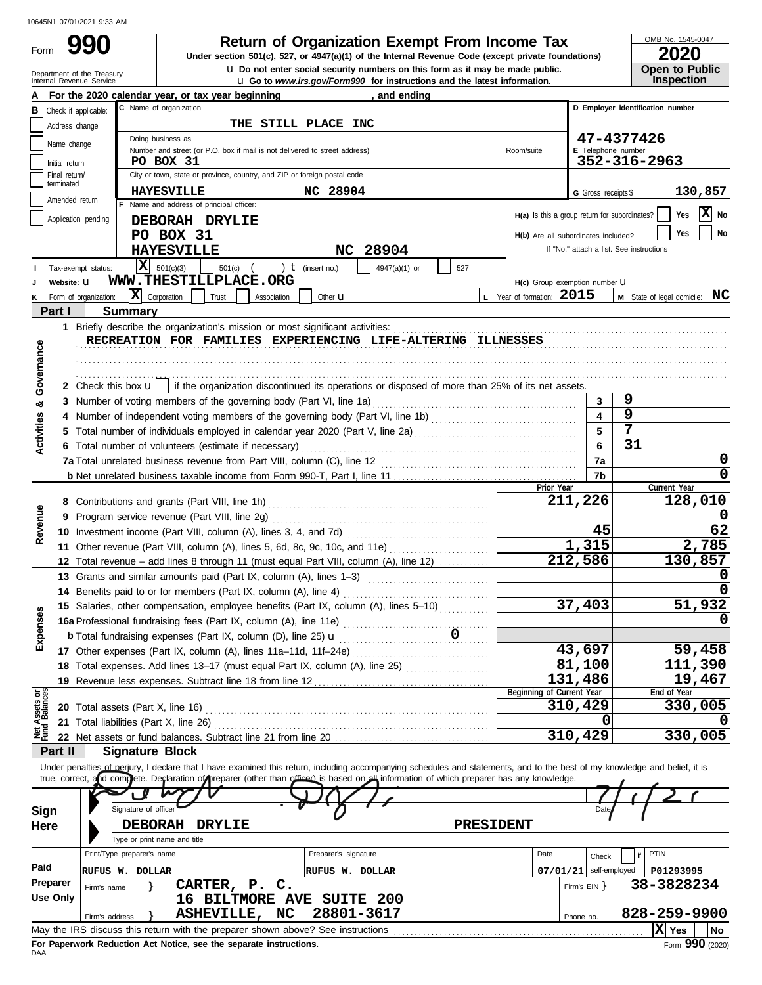Form

# **990 2000 2020 2020 2020 2020 2020 2020 2020 2020 2020 2020 2020 2020 2020 2020 2020 2020 2020 2020 2020 2020 2020 2020 2020 2020 2020 2020 2020 2020 2020 2020**

**u** Go to *www.irs.gov/Form990* for instructions and the latest information. **u** Do not enter social security numbers on this form as it may be made public. **Under section 501(c), 527, or 4947(a)(1) of the Internal Revenue Code (except private foundations)** OMB No. 1545-0047

|  | LVLV                  |
|--|-----------------------|
|  | <b>Open to Public</b> |
|  | <b>Inspection</b>     |

|                         | Department of the Treasury<br>Internal Revenue Service | <b>u</b> Do not enter social security numbers on this form as it may be made public.<br><b>u</b> Go to www.irs.gov/Form990 for instructions and the latest information.    |                                               | <b>Open to Public</b><br>Inspection      |
|-------------------------|--------------------------------------------------------|----------------------------------------------------------------------------------------------------------------------------------------------------------------------------|-----------------------------------------------|------------------------------------------|
|                         |                                                        | For the 2020 calendar year, or tax year beginning<br>, and ending                                                                                                          |                                               |                                          |
|                         | <b>B</b> Check if applicable:                          | C Name of organization                                                                                                                                                     |                                               | D Employer identification number         |
|                         | Address change                                         | THE STILL PLACE INC                                                                                                                                                        |                                               |                                          |
|                         |                                                        | Doing business as                                                                                                                                                          |                                               | 47-4377426                               |
|                         | Name change                                            | Number and street (or P.O. box if mail is not delivered to street address)<br>Room/suite                                                                                   | E Telephone number                            |                                          |
|                         | Initial return                                         | PO BOX 31                                                                                                                                                                  |                                               | 352-316-2963                             |
|                         | Final return/<br>terminated                            | City or town, state or province, country, and ZIP or foreign postal code                                                                                                   |                                               |                                          |
|                         | Amended return                                         | NC 28904<br><b>HAYESVILLE</b>                                                                                                                                              | G Gross receipts \$                           | 130,857                                  |
|                         |                                                        | F Name and address of principal officer:                                                                                                                                   | H(a) Is this a group return for subordinates? | $\mathbf{X}$ No<br>Yes                   |
|                         | Application pending                                    | DEBORAH DRYLIE                                                                                                                                                             |                                               | No<br>Yes                                |
|                         |                                                        | PO BOX 31                                                                                                                                                                  | H(b) Are all subordinates included?           | If "No," attach a list. See instructions |
|                         |                                                        | NC 28904<br><b>HAYESVILLE</b>                                                                                                                                              |                                               |                                          |
|                         | Tax-exempt status:                                     | $ \mathbf{X} $ 501(c)(3)<br>) $t$ (insert no.)<br>$501(c)$ (<br>4947(a)(1) or<br>527                                                                                       |                                               |                                          |
|                         | Website: U                                             | WWW.THESTILLPLACE.ORG                                                                                                                                                      | H(c) Group exemption number LI                |                                          |
|                         | Form of organization:                                  | $ \mathbf{X} $ Corporation<br>L Year of formation: 2015<br>Trust<br>Association<br>Other <b>u</b>                                                                          |                                               | M State of legal domicile: NC            |
|                         | Part I                                                 | <b>Summary</b>                                                                                                                                                             |                                               |                                          |
|                         |                                                        | RECREATION FOR FAMILIES EXPERIENCING LIFE-ALTERING ILLNESSES                                                                                                               |                                               |                                          |
|                         |                                                        |                                                                                                                                                                            |                                               |                                          |
|                         |                                                        |                                                                                                                                                                            |                                               |                                          |
| Governance              |                                                        | 2 Check this box $\mathbf{u}$   if the organization discontinued its operations or disposed of more than 25% of its net assets.                                            |                                               |                                          |
|                         |                                                        | 3 Number of voting members of the governing body (Part VI, line 1a)                                                                                                        | 3                                             | 9                                        |
| ಳ                       |                                                        |                                                                                                                                                                            | $\overline{\mathbf{4}}$                       | 9                                        |
|                         |                                                        |                                                                                                                                                                            | 5                                             | 7                                        |
| <b>Activities</b>       |                                                        | 6 Total number of volunteers (estimate if necessary)                                                                                                                       | 6                                             | 31                                       |
|                         |                                                        |                                                                                                                                                                            | 7a                                            | 0                                        |
|                         |                                                        |                                                                                                                                                                            | 7b                                            | 0                                        |
|                         |                                                        | Prior Year                                                                                                                                                                 |                                               | Current Year                             |
|                         |                                                        |                                                                                                                                                                            | 211,226                                       | 128,010                                  |
| Revenue                 |                                                        |                                                                                                                                                                            |                                               |                                          |
|                         |                                                        |                                                                                                                                                                            | 45                                            | 62                                       |
|                         |                                                        | 11 Other revenue (Part VIII, column (A), lines 5, 6d, 8c, 9c, 10c, and 11e)                                                                                                | 1,315                                         | 2,785                                    |
|                         |                                                        | 12 Total revenue - add lines 8 through 11 (must equal Part VIII, column (A), line 12)                                                                                      | 212,586                                       | 130,857                                  |
|                         |                                                        | 13 Grants and similar amounts paid (Part IX, column (A), lines 1-3)                                                                                                        |                                               |                                          |
|                         |                                                        |                                                                                                                                                                            | 37,403                                        | 51,932                                   |
| Ses                     |                                                        | 15 Salaries, other compensation, employee benefits (Part IX, column (A), lines 5-10)                                                                                       |                                               |                                          |
|                         |                                                        |                                                                                                                                                                            |                                               |                                          |
| Exper                   |                                                        |                                                                                                                                                                            | 43,697                                        | 59,458                                   |
|                         |                                                        | 18 Total expenses. Add lines 13-17 (must equal Part IX, column (A), line 25)                                                                                               | 81,100                                        | 111,390                                  |
|                         |                                                        |                                                                                                                                                                            | 131,486                                       | 19,467                                   |
|                         |                                                        | Beginning of Current Year                                                                                                                                                  |                                               | End of Year                              |
| Assets or<br>1 Balances |                                                        | 20 Total assets (Part X, line 16)                                                                                                                                          | 310,429                                       | 330,005                                  |
|                         |                                                        | 21 Total liabilities (Part X, line 26)                                                                                                                                     | Ω                                             |                                          |
| 9일<br>이                 |                                                        |                                                                                                                                                                            | 310,429                                       | 330,005                                  |
|                         | Part II                                                | <b>Signature Block</b>                                                                                                                                                     |                                               |                                          |
|                         |                                                        | Under penalties of perjury, I declare that I have examined this return, including accompanying schedules and statements, and to the best of my knowledge and belief, it is |                                               |                                          |
|                         |                                                        | true, correct, and complete. Declaration of preparer (other than officer) is based on all information of which preparer has any knowledge.                                 |                                               |                                          |
|                         |                                                        |                                                                                                                                                                            |                                               |                                          |
| Sign                    |                                                        | Signature of officer                                                                                                                                                       | Dat                                           |                                          |
| Here                    |                                                        | PRESIDENT<br>DEBORAH DRYLIE                                                                                                                                                |                                               |                                          |
|                         |                                                        | Type or print name and title                                                                                                                                               |                                               |                                          |
| Paid                    |                                                        | Print/Type preparer's name<br>Preparer's signature<br>Date                                                                                                                 | Check                                         | PTIN                                     |
|                         | Preparer                                               | RUFUS W. DOLLAR<br><b>RUFUS W. DOLLAR</b>                                                                                                                                  | self-employed<br>07/01/21                     | P01293995                                |
|                         | Firm's name<br><b>Use Only</b>                         | CARTER, P. C.                                                                                                                                                              | Firm's $EIN$ }                                | 38-3828234                               |
|                         |                                                        | 16 BILTMORE AVE SUITE 200<br>28801-3617<br>ASHEVILLE, NC                                                                                                                   |                                               | 828-259-9900                             |
|                         | Firm's address                                         | May the IRS discuss this return with the preparer shown above? See instructions                                                                                            | Phone no.                                     | $ \mathbf{X} $ Yes                       |
|                         |                                                        | For Paperwork Reduction Act Notice, see the separate instructions.                                                                                                         |                                               | No.<br>$Form$ 990 (2020)                 |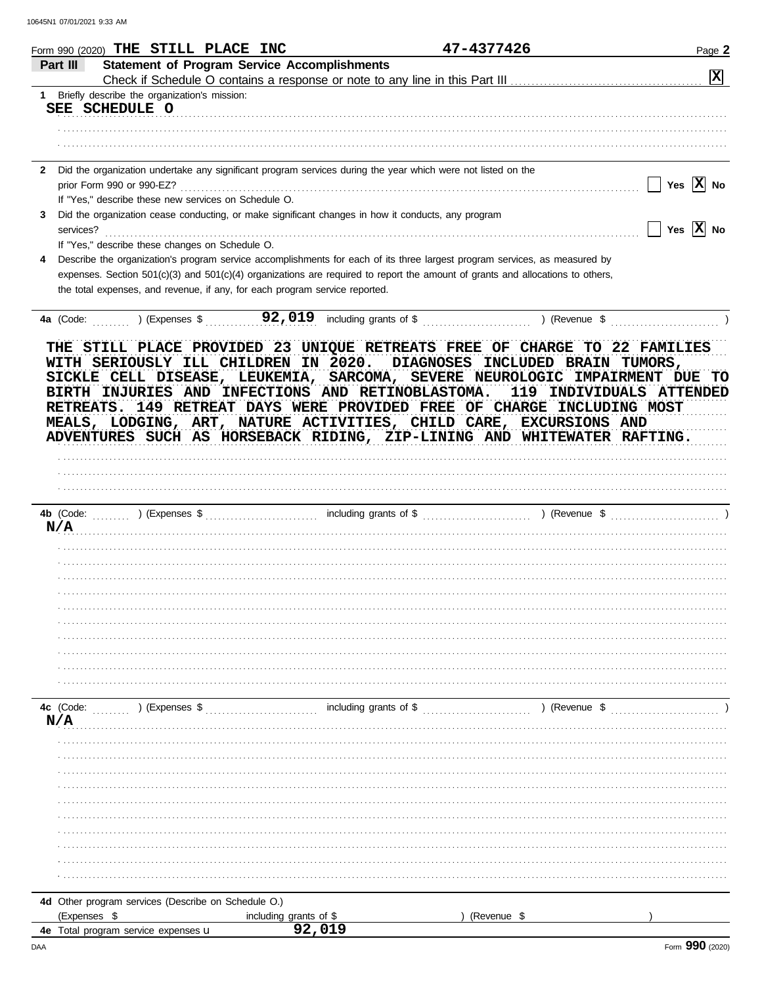|   | Form 990 (2020) THE STILL PLACE INC                                                                                                                                                                                                                                                                                                                                                                                                                                                                               |                                  | 47-4377426  | Page 2                       |
|---|-------------------------------------------------------------------------------------------------------------------------------------------------------------------------------------------------------------------------------------------------------------------------------------------------------------------------------------------------------------------------------------------------------------------------------------------------------------------------------------------------------------------|----------------------------------|-------------|------------------------------|
|   | <b>Statement of Program Service Accomplishments</b><br>Part III                                                                                                                                                                                                                                                                                                                                                                                                                                                   |                                  |             |                              |
|   |                                                                                                                                                                                                                                                                                                                                                                                                                                                                                                                   |                                  |             | $\boxed{\mathbf{x}}$         |
|   | 1 Briefly describe the organization's mission:<br>SEE SCHEDULE O                                                                                                                                                                                                                                                                                                                                                                                                                                                  |                                  |             |                              |
|   |                                                                                                                                                                                                                                                                                                                                                                                                                                                                                                                   |                                  |             |                              |
|   |                                                                                                                                                                                                                                                                                                                                                                                                                                                                                                                   |                                  |             |                              |
|   | 2 Did the organization undertake any significant program services during the year which were not listed on the                                                                                                                                                                                                                                                                                                                                                                                                    |                                  |             |                              |
|   |                                                                                                                                                                                                                                                                                                                                                                                                                                                                                                                   |                                  |             | Yes $X$ No<br>$\Box$         |
|   | If "Yes," describe these new services on Schedule O.                                                                                                                                                                                                                                                                                                                                                                                                                                                              |                                  |             |                              |
| 3 | Did the organization cease conducting, or make significant changes in how it conducts, any program<br>services?                                                                                                                                                                                                                                                                                                                                                                                                   |                                  |             | $\Box$ Yes $\overline{X}$ No |
|   | If "Yes," describe these changes on Schedule O.                                                                                                                                                                                                                                                                                                                                                                                                                                                                   |                                  |             |                              |
| 4 | Describe the organization's program service accomplishments for each of its three largest program services, as measured by                                                                                                                                                                                                                                                                                                                                                                                        |                                  |             |                              |
|   | expenses. Section 501(c)(3) and 501(c)(4) organizations are required to report the amount of grants and allocations to others,<br>the total expenses, and revenue, if any, for each program service reported.                                                                                                                                                                                                                                                                                                     |                                  |             |                              |
|   |                                                                                                                                                                                                                                                                                                                                                                                                                                                                                                                   |                                  |             |                              |
|   | 4a (Code: ) (Expenses \$ 92,019 including grants of \$ ) (Revenue \$                                                                                                                                                                                                                                                                                                                                                                                                                                              |                                  |             |                              |
|   | THE STILL PLACE PROVIDED 23 UNIQUE RETREATS FREE OF CHARGE TO 22 FAMILIES<br>WITH SERIOUSLY ILL CHILDREN IN 2020. DIAGNOSES INCLUDED BRAIN TUMORS,<br>SICKLE CELL DISEASE, LEUKEMIA, SARCOMA, SEVERE NEUROLOGIC IMPAIRMENT DUE TO<br>BIRTH INJURIES AND INFECTIONS AND RETINOBLASTOMA.<br>RETREATS. 149 RETREAT DAYS WERE PROVIDED FREE OF CHARGE INCLUDING MOST<br>MEALS, LODGING, ART, NATURE ACTIVITIES, CHILD CARE, EXCURSIONS AND<br>ADVENTURES SUCH AS HORSEBACK RIDING, ZIP-LINING AND WHITEWATER RAFTING. |                                  |             | 119 INDIVIDUALS ATTENDED     |
|   |                                                                                                                                                                                                                                                                                                                                                                                                                                                                                                                   |                                  |             |                              |
|   |                                                                                                                                                                                                                                                                                                                                                                                                                                                                                                                   |                                  |             |                              |
|   | N/A                                                                                                                                                                                                                                                                                                                                                                                                                                                                                                               |                                  |             |                              |
|   |                                                                                                                                                                                                                                                                                                                                                                                                                                                                                                                   |                                  |             |                              |
|   |                                                                                                                                                                                                                                                                                                                                                                                                                                                                                                                   |                                  |             |                              |
|   |                                                                                                                                                                                                                                                                                                                                                                                                                                                                                                                   |                                  |             |                              |
|   |                                                                                                                                                                                                                                                                                                                                                                                                                                                                                                                   |                                  |             |                              |
|   |                                                                                                                                                                                                                                                                                                                                                                                                                                                                                                                   |                                  |             |                              |
|   |                                                                                                                                                                                                                                                                                                                                                                                                                                                                                                                   |                                  |             |                              |
|   |                                                                                                                                                                                                                                                                                                                                                                                                                                                                                                                   |                                  |             |                              |
|   |                                                                                                                                                                                                                                                                                                                                                                                                                                                                                                                   |                                  |             |                              |
|   |                                                                                                                                                                                                                                                                                                                                                                                                                                                                                                                   |                                  |             |                              |
|   |                                                                                                                                                                                                                                                                                                                                                                                                                                                                                                                   |                                  |             |                              |
|   | 4c (Code:<br>$\ldots$ ) (Expenses \$                                                                                                                                                                                                                                                                                                                                                                                                                                                                              | including grants of \$           |             | $($ Revenue \$               |
|   | N/A                                                                                                                                                                                                                                                                                                                                                                                                                                                                                                               |                                  |             |                              |
|   |                                                                                                                                                                                                                                                                                                                                                                                                                                                                                                                   |                                  |             |                              |
|   |                                                                                                                                                                                                                                                                                                                                                                                                                                                                                                                   |                                  |             |                              |
|   |                                                                                                                                                                                                                                                                                                                                                                                                                                                                                                                   |                                  |             |                              |
|   |                                                                                                                                                                                                                                                                                                                                                                                                                                                                                                                   |                                  |             |                              |
|   |                                                                                                                                                                                                                                                                                                                                                                                                                                                                                                                   |                                  |             |                              |
|   |                                                                                                                                                                                                                                                                                                                                                                                                                                                                                                                   |                                  |             |                              |
|   |                                                                                                                                                                                                                                                                                                                                                                                                                                                                                                                   |                                  |             |                              |
|   |                                                                                                                                                                                                                                                                                                                                                                                                                                                                                                                   |                                  |             |                              |
|   |                                                                                                                                                                                                                                                                                                                                                                                                                                                                                                                   |                                  |             |                              |
|   |                                                                                                                                                                                                                                                                                                                                                                                                                                                                                                                   |                                  |             |                              |
|   | 4d Other program services (Describe on Schedule O.)                                                                                                                                                                                                                                                                                                                                                                                                                                                               |                                  |             |                              |
|   | (Expenses \$<br><b>4e</b> Total program service expenses <b>u</b>                                                                                                                                                                                                                                                                                                                                                                                                                                                 | including grants of \$<br>92,019 | (Revenue \$ |                              |
|   |                                                                                                                                                                                                                                                                                                                                                                                                                                                                                                                   |                                  |             |                              |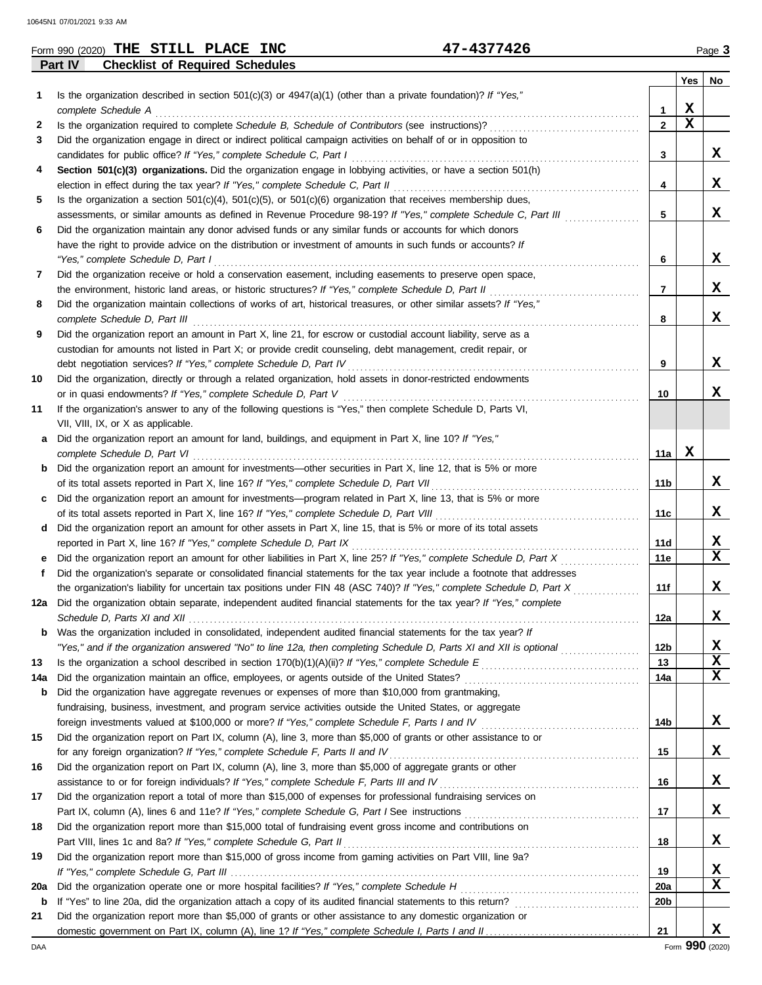| (2020)<br>Form 990 | <b>INC</b><br><b>PLACE</b><br>STILL<br>THE | 1277196<br>ᆂᄼᄔ |               | Page |
|--------------------|--------------------------------------------|----------------|---------------|------|
| <b>Part IV</b>     | <b>Checklist of Required Schedules</b>     |                |               |      |
|                    |                                            |                | $\sim$ $\sim$ |      |

|     |                                                                                                                         |                 | Yes         | No          |
|-----|-------------------------------------------------------------------------------------------------------------------------|-----------------|-------------|-------------|
| 1.  | Is the organization described in section 501(c)(3) or $4947(a)(1)$ (other than a private foundation)? If "Yes,"         |                 |             |             |
|     | complete Schedule A                                                                                                     | 1               | $\mathbf x$ |             |
| 2   |                                                                                                                         | $\mathbf{2}$    | X           |             |
| 3   | Did the organization engage in direct or indirect political campaign activities on behalf of or in opposition to        |                 |             |             |
|     | candidates for public office? If "Yes," complete Schedule C, Part I                                                     | 3               |             | X           |
| 4   | Section 501(c)(3) organizations. Did the organization engage in lobbying activities, or have a section 501(h)           |                 |             |             |
|     |                                                                                                                         | 4               |             | x           |
| 5   | Is the organization a section $501(c)(4)$ , $501(c)(5)$ , or $501(c)(6)$ organization that receives membership dues,    |                 |             |             |
|     | assessments, or similar amounts as defined in Revenue Procedure 98-19? If "Yes," complete Schedule C, Part III          | 5               |             | X           |
| 6   | Did the organization maintain any donor advised funds or any similar funds or accounts for which donors                 |                 |             |             |
|     | have the right to provide advice on the distribution or investment of amounts in such funds or accounts? If             |                 |             |             |
|     | "Yes," complete Schedule D, Part I                                                                                      | 6               |             | X           |
| 7   | Did the organization receive or hold a conservation easement, including easements to preserve open space,               |                 |             |             |
|     | the environment, historic land areas, or historic structures? If "Yes," complete Schedule D, Part II                    | 7               |             | x           |
| 8   | Did the organization maintain collections of works of art, historical treasures, or other similar assets? If "Yes,"     |                 |             | X           |
|     | complete Schedule D, Part III                                                                                           | 8               |             |             |
| 9   | Did the organization report an amount in Part X, line 21, for escrow or custodial account liability, serve as a         |                 |             |             |
|     | custodian for amounts not listed in Part X; or provide credit counseling, debt management, credit repair, or            | 9               |             | X           |
| 10  | Did the organization, directly or through a related organization, hold assets in donor-restricted endowments            |                 |             |             |
|     | or in quasi endowments? If "Yes," complete Schedule D, Part V                                                           | 10              |             | x           |
| 11  | If the organization's answer to any of the following questions is "Yes," then complete Schedule D, Parts VI,            |                 |             |             |
|     | VII, VIII, IX, or X as applicable.                                                                                      |                 |             |             |
|     | a Did the organization report an amount for land, buildings, and equipment in Part X, line 10? If "Yes,"                |                 |             |             |
|     | complete Schedule D, Part VI                                                                                            | 11a             | X           |             |
|     | <b>b</b> Did the organization report an amount for investments—other securities in Part X, line 12, that is 5% or more  |                 |             |             |
|     | of its total assets reported in Part X, line 16? If "Yes," complete Schedule D, Part VII                                | 11b             |             | X           |
|     | c Did the organization report an amount for investments—program related in Part X, line 13, that is 5% or more          |                 |             |             |
|     |                                                                                                                         | 11c             |             | x           |
|     | d Did the organization report an amount for other assets in Part X, line 15, that is 5% or more of its total assets     |                 |             |             |
|     | reported in Part X, line 16? If "Yes," complete Schedule D, Part IX                                                     | 11d             |             | х           |
|     | e Did the organization report an amount for other liabilities in Part X, line 25? If "Yes," complete Schedule D, Part X | 11e             |             | $\mathbf x$ |
| f   | Did the organization's separate or consolidated financial statements for the tax year include a footnote that addresses |                 |             |             |
|     | the organization's liability for uncertain tax positions under FIN 48 (ASC 740)? If "Yes," complete Schedule D, Part X  | 11f             |             | x           |
| 12a | Did the organization obtain separate, independent audited financial statements for the tax year? If "Yes," complete     |                 |             |             |
|     |                                                                                                                         | 12a             |             | X           |
| b   | Was the organization included in consolidated, independent audited financial statements for the tax year? If            |                 |             |             |
|     | "Yes," and if the organization answered "No" to line 12a, then completing Schedule D, Parts XI and XII is optional      | 12 <sub>b</sub> |             | X           |
| 13  |                                                                                                                         | 13              |             | $\mathbf x$ |
| 14a |                                                                                                                         | 14a             |             | $\mathbf x$ |
| b   | Did the organization have aggregate revenues or expenses of more than \$10,000 from grantmaking,                        |                 |             |             |
|     | fundraising, business, investment, and program service activities outside the United States, or aggregate               |                 |             |             |
|     |                                                                                                                         | 14b             |             | X           |
| 15  | Did the organization report on Part IX, column (A), line 3, more than \$5,000 of grants or other assistance to or       |                 |             |             |
|     | for any foreign organization? If "Yes," complete Schedule F, Parts II and IV                                            | 15              |             | X           |
| 16  | Did the organization report on Part IX, column (A), line 3, more than \$5,000 of aggregate grants or other              |                 |             | X           |
|     |                                                                                                                         | 16              |             |             |
| 17  | Did the organization report a total of more than \$15,000 of expenses for professional fundraising services on          | 17              |             | X           |
| 18  | Did the organization report more than \$15,000 total of fundraising event gross income and contributions on             |                 |             |             |
|     | Part VIII, lines 1c and 8a? If "Yes," complete Schedule G, Part II                                                      | 18              |             | X           |
| 19  | Did the organization report more than \$15,000 of gross income from gaming activities on Part VIII, line 9a?            |                 |             |             |
|     |                                                                                                                         | 19              |             | X           |
| 20a |                                                                                                                         | <b>20a</b>      |             | X           |
| b   |                                                                                                                         | 20 <sub>b</sub> |             |             |
| 21  | Did the organization report more than \$5,000 of grants or other assistance to any domestic organization or             |                 |             |             |
|     |                                                                                                                         | 21              |             | X           |
|     |                                                                                                                         |                 |             |             |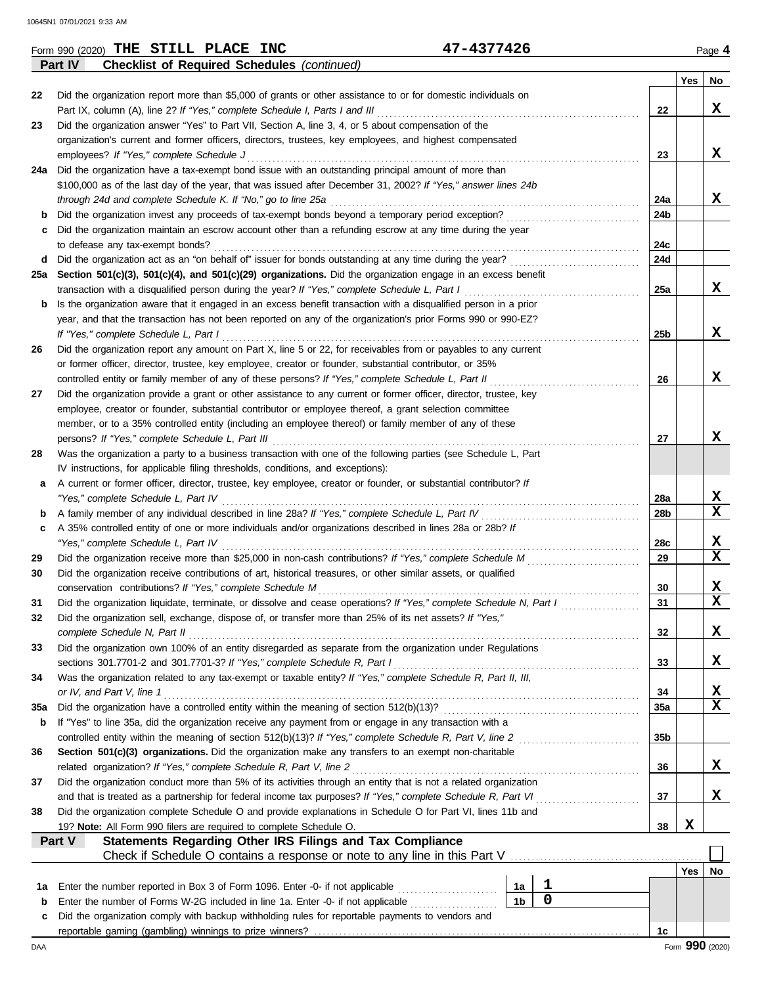|        | 47-4377426<br>Form 990 (2020) THE STILL PLACE INC                                                                                                                             |                      |  |                |                 |     | Page 4                  |  |  |  |  |  |
|--------|-------------------------------------------------------------------------------------------------------------------------------------------------------------------------------|----------------------|--|----------------|-----------------|-----|-------------------------|--|--|--|--|--|
|        | Part IV<br><b>Checklist of Required Schedules (continued)</b>                                                                                                                 |                      |  |                |                 |     |                         |  |  |  |  |  |
|        |                                                                                                                                                                               |                      |  |                |                 | Yes | No                      |  |  |  |  |  |
| 22     | Did the organization report more than \$5,000 of grants or other assistance to or for domestic individuals on                                                                 |                      |  |                |                 |     |                         |  |  |  |  |  |
|        | Part IX, column (A), line 2? If "Yes," complete Schedule I, Parts I and III                                                                                                   |                      |  |                | 22              |     | X                       |  |  |  |  |  |
| 23     | Did the organization answer "Yes" to Part VII, Section A, line 3, 4, or 5 about compensation of the                                                                           |                      |  |                |                 |     |                         |  |  |  |  |  |
|        | organization's current and former officers, directors, trustees, key employees, and highest compensated                                                                       |                      |  |                | 23              |     | X                       |  |  |  |  |  |
|        | employees? If "Yes," complete Schedule J<br>24a Did the organization have a tax-exempt bond issue with an outstanding principal amount of more than                           |                      |  |                |                 |     |                         |  |  |  |  |  |
|        |                                                                                                                                                                               |                      |  |                |                 |     |                         |  |  |  |  |  |
|        | \$100,000 as of the last day of the year, that was issued after December 31, 2002? If "Yes," answer lines 24b<br>through 24d and complete Schedule K. If "No," go to line 25a |                      |  |                | 24a             |     | x                       |  |  |  |  |  |
| b      | Did the organization invest any proceeds of tax-exempt bonds beyond a temporary period exception?                                                                             |                      |  |                | 24b             |     |                         |  |  |  |  |  |
| с      | Did the organization maintain an escrow account other than a refunding escrow at any time during the year                                                                     |                      |  |                |                 |     |                         |  |  |  |  |  |
|        | to defease any tax-exempt bonds?                                                                                                                                              |                      |  |                | 24c             |     |                         |  |  |  |  |  |
| d      | Did the organization act as an "on behalf of" issuer for bonds outstanding at any time during the year?                                                                       |                      |  |                | <b>24d</b>      |     |                         |  |  |  |  |  |
|        | 25a Section 501(c)(3), 501(c)(4), and 501(c)(29) organizations. Did the organization engage in an excess benefit                                                              |                      |  |                |                 |     |                         |  |  |  |  |  |
|        | transaction with a disqualified person during the year? If "Yes," complete Schedule L, Part I                                                                                 |                      |  |                | 25a             |     | x                       |  |  |  |  |  |
| b      | Is the organization aware that it engaged in an excess benefit transaction with a disqualified person in a prior                                                              |                      |  |                |                 |     |                         |  |  |  |  |  |
|        | year, and that the transaction has not been reported on any of the organization's prior Forms 990 or 990-EZ?                                                                  |                      |  |                |                 |     |                         |  |  |  |  |  |
|        | If "Yes," complete Schedule L, Part I                                                                                                                                         |                      |  |                | 25 <sub>b</sub> |     | x                       |  |  |  |  |  |
| 26     | Did the organization report any amount on Part X, line 5 or 22, for receivables from or payables to any current                                                               |                      |  |                |                 |     |                         |  |  |  |  |  |
|        | or former officer, director, trustee, key employee, creator or founder, substantial contributor, or 35%                                                                       |                      |  |                |                 |     |                         |  |  |  |  |  |
|        | controlled entity or family member of any of these persons? If "Yes," complete Schedule L, Part II                                                                            |                      |  |                | 26              |     | x                       |  |  |  |  |  |
| 27     | Did the organization provide a grant or other assistance to any current or former officer, director, trustee, key                                                             |                      |  |                |                 |     |                         |  |  |  |  |  |
|        | employee, creator or founder, substantial contributor or employee thereof, a grant selection committee                                                                        |                      |  |                |                 |     |                         |  |  |  |  |  |
|        | member, or to a 35% controlled entity (including an employee thereof) or family member of any of these                                                                        |                      |  |                |                 |     |                         |  |  |  |  |  |
|        | persons? If "Yes," complete Schedule L, Part III                                                                                                                              |                      |  |                | 27              |     | X                       |  |  |  |  |  |
| 28     | Was the organization a party to a business transaction with one of the following parties (see Schedule L, Part                                                                |                      |  |                |                 |     |                         |  |  |  |  |  |
|        | IV instructions, for applicable filing thresholds, conditions, and exceptions):                                                                                               |                      |  |                |                 |     |                         |  |  |  |  |  |
| а      | A current or former officer, director, trustee, key employee, creator or founder, or substantial contributor? If                                                              |                      |  |                |                 |     |                         |  |  |  |  |  |
|        | "Yes," complete Schedule L, Part IV                                                                                                                                           |                      |  |                | 28a             |     | X                       |  |  |  |  |  |
| b      | A family member of any individual described in line 28a? If "Yes," complete Schedule L, Part IV                                                                               |                      |  |                | 28b             |     | $\mathbf x$             |  |  |  |  |  |
| c      | A 35% controlled entity of one or more individuals and/or organizations described in lines 28a or 28b? If                                                                     |                      |  |                |                 |     |                         |  |  |  |  |  |
|        | "Yes," complete Schedule L, Part IV                                                                                                                                           |                      |  |                | 28c             |     | X                       |  |  |  |  |  |
| 29     | Did the organization receive more than \$25,000 in non-cash contributions? If "Yes," complete Schedule M                                                                      |                      |  |                | 29              |     | $\mathbf x$             |  |  |  |  |  |
| 30     | Did the organization receive contributions of art, historical treasures, or other similar assets, or qualified                                                                |                      |  |                |                 |     |                         |  |  |  |  |  |
|        | conservation contributions? If "Yes," complete Schedule M                                                                                                                     |                      |  |                | 30              |     | X                       |  |  |  |  |  |
| 31     | Did the organization liquidate, terminate, or dissolve and cease operations? If "Yes," complete Schedule N, Part I                                                            |                      |  |                | 31              |     | $\overline{\mathbf{x}}$ |  |  |  |  |  |
| 32     | Did the organization sell, exchange, dispose of, or transfer more than 25% of its net assets? If "Yes,"                                                                       |                      |  |                |                 |     |                         |  |  |  |  |  |
|        | complete Schedule N, Part II                                                                                                                                                  |                      |  |                | 32              |     | X                       |  |  |  |  |  |
| 33     | Did the organization own 100% of an entity disregarded as separate from the organization under Regulations                                                                    |                      |  |                |                 |     |                         |  |  |  |  |  |
|        | sections 301.7701-2 and 301.7701-3? If "Yes," complete Schedule R, Part I                                                                                                     |                      |  |                | 33              |     | X                       |  |  |  |  |  |
| 34     | Was the organization related to any tax-exempt or taxable entity? If "Yes," complete Schedule R, Part II, III,                                                                |                      |  |                |                 |     |                         |  |  |  |  |  |
|        | or IV, and Part V, line 1                                                                                                                                                     |                      |  |                | 34              |     | х                       |  |  |  |  |  |
| 35a    | Did the organization have a controlled entity within the meaning of section 512(b)(13)?                                                                                       |                      |  |                | 35a             |     | $\mathbf x$             |  |  |  |  |  |
| b      | If "Yes" to line 35a, did the organization receive any payment from or engage in any transaction with a                                                                       |                      |  |                |                 |     |                         |  |  |  |  |  |
|        | controlled entity within the meaning of section 512(b)(13)? If "Yes," complete Schedule R, Part V, line 2                                                                     |                      |  |                | 35 <sub>b</sub> |     |                         |  |  |  |  |  |
| 36     | Section 501(c)(3) organizations. Did the organization make any transfers to an exempt non-charitable                                                                          |                      |  |                |                 |     |                         |  |  |  |  |  |
|        | related organization? If "Yes," complete Schedule R, Part V, line 2                                                                                                           |                      |  |                | 36              |     | X                       |  |  |  |  |  |
| 37     | Did the organization conduct more than 5% of its activities through an entity that is not a related organization                                                              |                      |  |                |                 |     |                         |  |  |  |  |  |
|        | and that is treated as a partnership for federal income tax purposes? If "Yes," complete Schedule R, Part VI                                                                  |                      |  |                | 37              |     | X                       |  |  |  |  |  |
| 38     | Did the organization complete Schedule O and provide explanations in Schedule O for Part VI, lines 11b and                                                                    |                      |  |                |                 |     |                         |  |  |  |  |  |
|        | 19? Note: All Form 990 filers are required to complete Schedule O.                                                                                                            |                      |  |                | 38              | X   |                         |  |  |  |  |  |
|        | Statements Regarding Other IRS Filings and Tax Compliance<br>Part V                                                                                                           |                      |  |                |                 |     |                         |  |  |  |  |  |
|        |                                                                                                                                                                               |                      |  |                |                 | Yes |                         |  |  |  |  |  |
|        |                                                                                                                                                                               |                      |  | 1              |                 |     | No                      |  |  |  |  |  |
| 1а     | Enter the number reported in Box 3 of Form 1096. Enter -0- if not applicable<br>Enter the number of Forms W-2G included in line 1a. Enter -0- if not applicable               | 1a<br>1 <sub>b</sub> |  | $\overline{0}$ |                 |     |                         |  |  |  |  |  |
| b<br>c | Did the organization comply with backup withholding rules for reportable payments to vendors and                                                                              |                      |  |                |                 |     |                         |  |  |  |  |  |
|        |                                                                                                                                                                               |                      |  |                | 1c              |     |                         |  |  |  |  |  |
|        |                                                                                                                                                                               |                      |  |                |                 |     |                         |  |  |  |  |  |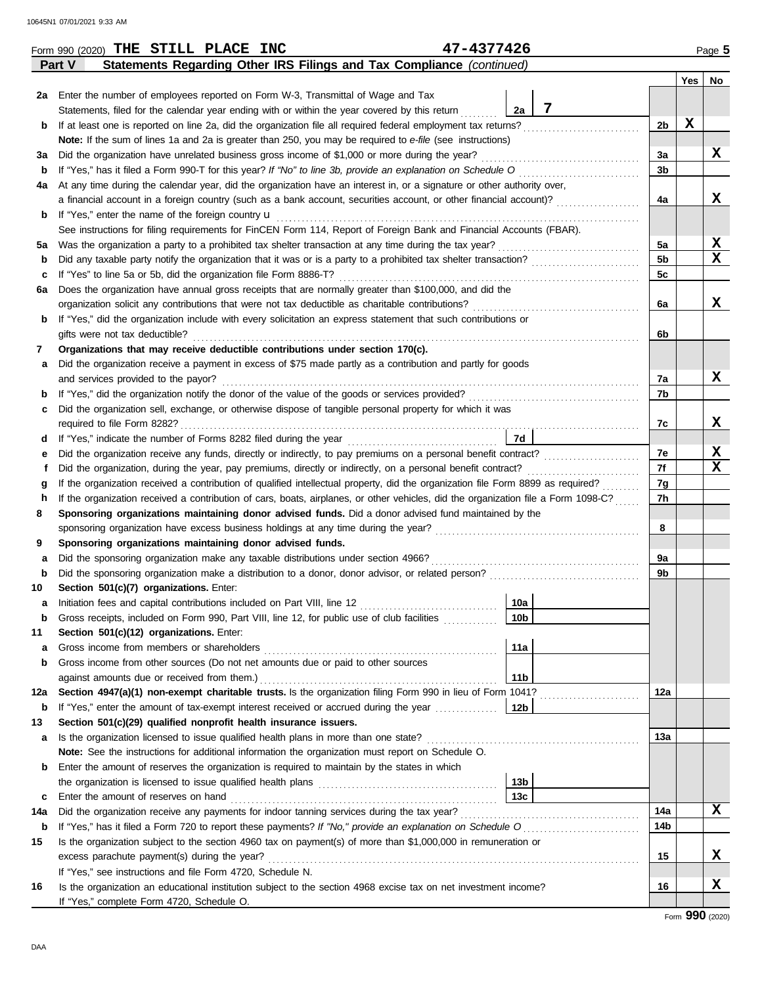|             | Statements Regarding Other IRS Filings and Tax Compliance (continued)<br>Part V                                                    |                 |  |                |             |    |  |  |  |  |  |  |
|-------------|------------------------------------------------------------------------------------------------------------------------------------|-----------------|--|----------------|-------------|----|--|--|--|--|--|--|
|             |                                                                                                                                    |                 |  |                | Yes         | No |  |  |  |  |  |  |
|             | 2a Enter the number of employees reported on Form W-3, Transmittal of Wage and Tax                                                 |                 |  |                |             |    |  |  |  |  |  |  |
|             | Statements, filed for the calendar year ending with or within the year covered by this return                                      | 7<br>2a         |  |                |             |    |  |  |  |  |  |  |
| b           |                                                                                                                                    |                 |  | 2 <sub>b</sub> | $\mathbf x$ |    |  |  |  |  |  |  |
|             | Note: If the sum of lines 1a and 2a is greater than 250, you may be required to e-file (see instructions)                          |                 |  |                |             |    |  |  |  |  |  |  |
| За          | Did the organization have unrelated business gross income of \$1,000 or more during the year?                                      |                 |  | За             |             | x  |  |  |  |  |  |  |
| b           | If "Yes," has it filed a Form 990-T for this year? If "No" to line 3b, provide an explanation on Schedule O                        |                 |  | 3 <sub>b</sub> |             |    |  |  |  |  |  |  |
| 4a          | At any time during the calendar year, did the organization have an interest in, or a signature or other authority over,            |                 |  |                |             |    |  |  |  |  |  |  |
|             | a financial account in a foreign country (such as a bank account, securities account, or other financial account)?                 |                 |  | 4a             |             | x  |  |  |  |  |  |  |
| b           | If "Yes," enter the name of the foreign country u                                                                                  |                 |  |                |             |    |  |  |  |  |  |  |
|             | See instructions for filing requirements for FinCEN Form 114, Report of Foreign Bank and Financial Accounts (FBAR).                |                 |  |                |             |    |  |  |  |  |  |  |
| 5a          |                                                                                                                                    |                 |  | 5a             |             | х  |  |  |  |  |  |  |
| b           |                                                                                                                                    |                 |  |                |             |    |  |  |  |  |  |  |
| c           | If "Yes" to line 5a or 5b, did the organization file Form 8886-T?                                                                  |                 |  | 5 <sub>c</sub> |             |    |  |  |  |  |  |  |
| 6а          | Does the organization have annual gross receipts that are normally greater than \$100,000, and did the                             |                 |  |                |             |    |  |  |  |  |  |  |
|             | organization solicit any contributions that were not tax deductible as charitable contributions?                                   |                 |  | 6a             |             | x  |  |  |  |  |  |  |
| b           | If "Yes," did the organization include with every solicitation an express statement that such contributions or                     |                 |  |                |             |    |  |  |  |  |  |  |
|             | gifts were not tax deductible?                                                                                                     |                 |  | 6b             |             |    |  |  |  |  |  |  |
| 7           | Organizations that may receive deductible contributions under section 170(c).                                                      |                 |  |                |             |    |  |  |  |  |  |  |
| а           | Did the organization receive a payment in excess of \$75 made partly as a contribution and partly for goods                        |                 |  |                |             |    |  |  |  |  |  |  |
|             | and services provided to the payor?                                                                                                |                 |  | 7a             |             | x  |  |  |  |  |  |  |
| b           |                                                                                                                                    |                 |  | 7b             |             |    |  |  |  |  |  |  |
| c           | Did the organization sell, exchange, or otherwise dispose of tangible personal property for which it was                           |                 |  |                |             |    |  |  |  |  |  |  |
|             |                                                                                                                                    |                 |  | 7c             |             | X  |  |  |  |  |  |  |
| d           |                                                                                                                                    | 7d              |  | 7e             |             | х  |  |  |  |  |  |  |
| е           |                                                                                                                                    |                 |  |                |             |    |  |  |  |  |  |  |
| f           |                                                                                                                                    |                 |  |                |             |    |  |  |  |  |  |  |
| g           | If the organization received a contribution of qualified intellectual property, did the organization file Form 8899 as required?   |                 |  |                |             |    |  |  |  |  |  |  |
| h           | If the organization received a contribution of cars, boats, airplanes, or other vehicles, did the organization file a Form 1098-C? |                 |  |                |             |    |  |  |  |  |  |  |
| 8           | Sponsoring organizations maintaining donor advised funds. Did a donor advised fund maintained by the                               |                 |  |                |             |    |  |  |  |  |  |  |
|             |                                                                                                                                    |                 |  | 8              |             |    |  |  |  |  |  |  |
| 9           | Sponsoring organizations maintaining donor advised funds.                                                                          |                 |  |                |             |    |  |  |  |  |  |  |
| а           | Did the sponsoring organization make any taxable distributions under section 4966?                                                 |                 |  | 9a             |             |    |  |  |  |  |  |  |
| $\mathbf b$ |                                                                                                                                    |                 |  | 9 <sub>b</sub> |             |    |  |  |  |  |  |  |
| 10          | Section 501(c)(7) organizations. Enter:                                                                                            |                 |  |                |             |    |  |  |  |  |  |  |
| а           | Initiation fees and capital contributions included on Part VIII, line 12 [11][11][11][11][11][11][11][11][11][                     | 10a             |  |                |             |    |  |  |  |  |  |  |
| b           | Gross receipts, included on Form 990, Part VIII, line 12, for public use of club facilities                                        | 10 <sub>b</sub> |  |                |             |    |  |  |  |  |  |  |
| 11          | Section 501(c)(12) organizations. Enter:                                                                                           |                 |  |                |             |    |  |  |  |  |  |  |
| а           | Gross income from other sources (Do not net amounts due or paid to other sources                                                   | 11a             |  |                |             |    |  |  |  |  |  |  |
| b           | against amounts due or received from them.)                                                                                        | 11 <sub>b</sub> |  |                |             |    |  |  |  |  |  |  |
| 12a         | Section 4947(a)(1) non-exempt charitable trusts. Is the organization filing Form 990 in lieu of Form 1041?                         |                 |  | 12a            |             |    |  |  |  |  |  |  |
| b           |                                                                                                                                    |                 |  |                |             |    |  |  |  |  |  |  |
| 13          | Section 501(c)(29) qualified nonprofit health insurance issuers.                                                                   |                 |  |                |             |    |  |  |  |  |  |  |
| а           | Is the organization licensed to issue qualified health plans in more than one state?                                               |                 |  | 13а            |             |    |  |  |  |  |  |  |
|             | Note: See the instructions for additional information the organization must report on Schedule O.                                  |                 |  |                |             |    |  |  |  |  |  |  |
| b           | Enter the amount of reserves the organization is required to maintain by the states in which                                       |                 |  |                |             |    |  |  |  |  |  |  |
|             |                                                                                                                                    | 13 <sub>b</sub> |  |                |             |    |  |  |  |  |  |  |
| c           | Enter the amount of reserves on hand                                                                                               | 13c             |  |                |             |    |  |  |  |  |  |  |
| 14a         |                                                                                                                                    |                 |  | 14a            |             | X  |  |  |  |  |  |  |
| b           |                                                                                                                                    |                 |  | 14b            |             |    |  |  |  |  |  |  |
| 15          | Is the organization subject to the section 4960 tax on payment(s) of more than \$1,000,000 in remuneration or                      |                 |  |                |             |    |  |  |  |  |  |  |
|             |                                                                                                                                    |                 |  | 15             |             | X  |  |  |  |  |  |  |
|             | If "Yes," see instructions and file Form 4720, Schedule N.                                                                         |                 |  |                |             |    |  |  |  |  |  |  |
| 16          | Is the organization an educational institution subject to the section 4968 excise tax on net investment income?                    |                 |  | 16             |             | X  |  |  |  |  |  |  |
|             | If "Yes," complete Form 4720, Schedule O.                                                                                          |                 |  |                |             |    |  |  |  |  |  |  |

Form **990** (2020)

Form 990 (2020) Page **5 THE STILL PLACE INC 47-4377426**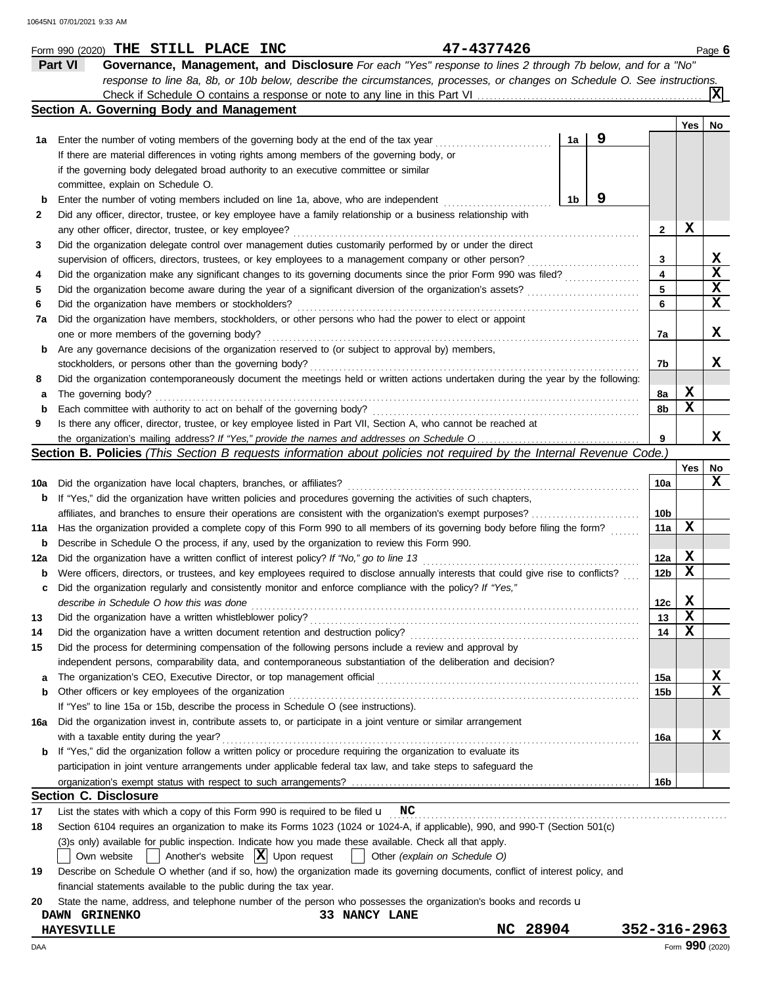|     | 47-4377426<br>Form 990 (2020) THE STILL PLACE INC                                                                                   |                |   |                 |     | Page 6      |  |  |  |
|-----|-------------------------------------------------------------------------------------------------------------------------------------|----------------|---|-----------------|-----|-------------|--|--|--|
|     | Part VI<br>Governance, Management, and Disclosure For each "Yes" response to lines 2 through 7b below, and for a "No"               |                |   |                 |     |             |  |  |  |
|     | response to line 8a, 8b, or 10b below, describe the circumstances, processes, or changes on Schedule O. See instructions.           |                |   |                 |     |             |  |  |  |
|     |                                                                                                                                     |                |   |                 |     |             |  |  |  |
|     | Section A. Governing Body and Management                                                                                            |                |   |                 |     |             |  |  |  |
|     |                                                                                                                                     |                |   |                 | Yes | No          |  |  |  |
| 1а  | Enter the number of voting members of the governing body at the end of the tax year                                                 | 1a             | 9 |                 |     |             |  |  |  |
|     | If there are material differences in voting rights among members of the governing body, or                                          |                |   |                 |     |             |  |  |  |
|     | if the governing body delegated broad authority to an executive committee or similar                                                |                |   |                 |     |             |  |  |  |
|     | committee, explain on Schedule O.                                                                                                   |                |   |                 |     |             |  |  |  |
| b   | Enter the number of voting members included on line 1a, above, who are independent                                                  | 1 <sub>b</sub> | 9 |                 |     |             |  |  |  |
| 2   | Did any officer, director, trustee, or key employee have a family relationship or a business relationship with                      |                |   |                 |     |             |  |  |  |
|     | any other officer, director, trustee, or key employee?                                                                              |                |   | $\mathbf{2}$    | X   |             |  |  |  |
| 3   | Did the organization delegate control over management duties customarily performed by or under the direct                           |                |   |                 |     |             |  |  |  |
|     | supervision of officers, directors, trustees, or key employees to a management company or other person?                             |                |   | 3               |     | X           |  |  |  |
| 4   | Did the organization make any significant changes to its governing documents since the prior Form 990 was filed?                    |                |   | 4               |     | X           |  |  |  |
| 5   | Did the organization become aware during the year of a significant diversion of the organization's assets?                          |                |   | 5               |     | X           |  |  |  |
| 6   | Did the organization have members or stockholders?                                                                                  |                |   | 6               |     | $\mathbf x$ |  |  |  |
| 7a  | Did the organization have members, stockholders, or other persons who had the power to elect or appoint                             |                |   |                 |     |             |  |  |  |
|     | one or more members of the governing body?                                                                                          |                |   | 7a              |     | x           |  |  |  |
| b   | Are any governance decisions of the organization reserved to (or subject to approval by) members,                                   |                |   |                 |     |             |  |  |  |
|     | stockholders, or persons other than the governing body?                                                                             |                |   | 7b              |     | x           |  |  |  |
| 8   | Did the organization contemporaneously document the meetings held or written actions undertaken during the year by the following:   |                |   |                 |     |             |  |  |  |
| а   | The governing body?                                                                                                                 |                |   | 8а              | X   |             |  |  |  |
| b   | Each committee with authority to act on behalf of the governing body?                                                               |                |   | 8b              | X   |             |  |  |  |
| 9   | Is there any officer, director, trustee, or key employee listed in Part VII, Section A, who cannot be reached at                    |                |   |                 |     |             |  |  |  |
|     |                                                                                                                                     |                |   | 9               |     | x           |  |  |  |
|     | <b>Section B. Policies</b> (This Section B requests information about policies not required by the Internal Revenue Code.)          |                |   |                 |     |             |  |  |  |
|     |                                                                                                                                     |                |   |                 | Yes | No          |  |  |  |
| 10a | Did the organization have local chapters, branches, or affiliates?                                                                  |                |   | 10a             |     | X           |  |  |  |
| b   | If "Yes," did the organization have written policies and procedures governing the activities of such chapters,                      |                |   |                 |     |             |  |  |  |
|     | affiliates, and branches to ensure their operations are consistent with the organization's exempt purposes?                         |                |   | 10b             |     |             |  |  |  |
| 11a | Has the organization provided a complete copy of this Form 990 to all members of its governing body before filing the form?         |                |   |                 |     |             |  |  |  |
| b   | Describe in Schedule O the process, if any, used by the organization to review this Form 990.                                       |                |   |                 |     |             |  |  |  |
| 12a | Did the organization have a written conflict of interest policy? If "No," go to line 13                                             |                |   | 12a             | X   |             |  |  |  |
| b   | Were officers, directors, or trustees, and key employees required to disclose annually interests that could give rise to conflicts? |                |   | 12 <sub>b</sub> | X   |             |  |  |  |
| с   | Did the organization regularly and consistently monitor and enforce compliance with the policy? If "Yes,"                           |                |   |                 |     |             |  |  |  |
|     | describe in Schedule O how this was done                                                                                            |                |   | 12c             | X   |             |  |  |  |
| 13  | Did the organization have a written whistleblower policy?                                                                           |                |   | 13              | X   |             |  |  |  |
| 14  | Did the organization have a written document retention and destruction policy?                                                      |                |   | 14              | X   |             |  |  |  |
| 15  | Did the process for determining compensation of the following persons include a review and approval by                              |                |   |                 |     |             |  |  |  |
|     | independent persons, comparability data, and contemporaneous substantiation of the deliberation and decision?                       |                |   |                 |     |             |  |  |  |
| a   | The organization's CEO, Executive Director, or top management official                                                              |                |   | 15a             |     | X           |  |  |  |
| b   | Other officers or key employees of the organization                                                                                 |                |   | 15b             |     | X           |  |  |  |
|     | If "Yes" to line 15a or 15b, describe the process in Schedule O (see instructions).                                                 |                |   |                 |     |             |  |  |  |
| 16a | Did the organization invest in, contribute assets to, or participate in a joint venture or similar arrangement                      |                |   |                 |     |             |  |  |  |
|     | with a taxable entity during the year?                                                                                              |                |   | 16a             |     | X           |  |  |  |
| b   | If "Yes," did the organization follow a written policy or procedure requiring the organization to evaluate its                      |                |   |                 |     |             |  |  |  |
|     | participation in joint venture arrangements under applicable federal tax law, and take steps to safeguard the                       |                |   |                 |     |             |  |  |  |
|     |                                                                                                                                     |                |   | 16b             |     |             |  |  |  |
|     | <b>Section C. Disclosure</b>                                                                                                        |                |   |                 |     |             |  |  |  |
| 17  | List the states with which a copy of this Form 990 is required to be filed $\mathbf u$ NC                                           |                |   |                 |     |             |  |  |  |
| 18  | Section 6104 requires an organization to make its Forms 1023 (1024 or 1024-A, if applicable), 990, and 990-T (Section 501(c)        |                |   |                 |     |             |  |  |  |
|     | (3)s only) available for public inspection. Indicate how you made these available. Check all that apply.                            |                |   |                 |     |             |  |  |  |
|     | Another's website $ \mathbf{X} $ Upon request<br>Other (explain on Schedule O)<br>Own website                                       |                |   |                 |     |             |  |  |  |
| 19  | Describe on Schedule O whether (and if so, how) the organization made its governing documents, conflict of interest policy, and     |                |   |                 |     |             |  |  |  |
|     | financial statements available to the public during the tax year.                                                                   |                |   |                 |     |             |  |  |  |
| 20  | State the name, address, and telephone number of the person who possesses the organization's books and records u                    |                |   |                 |     |             |  |  |  |
|     | 33 NANCY LANE<br>DAWN GRINENKO                                                                                                      |                |   |                 |     |             |  |  |  |
|     | NC 28904<br><b>HAYESVILLE</b>                                                                                                       |                |   | 352-316-2963    |     |             |  |  |  |

DAA Form **990** (2020)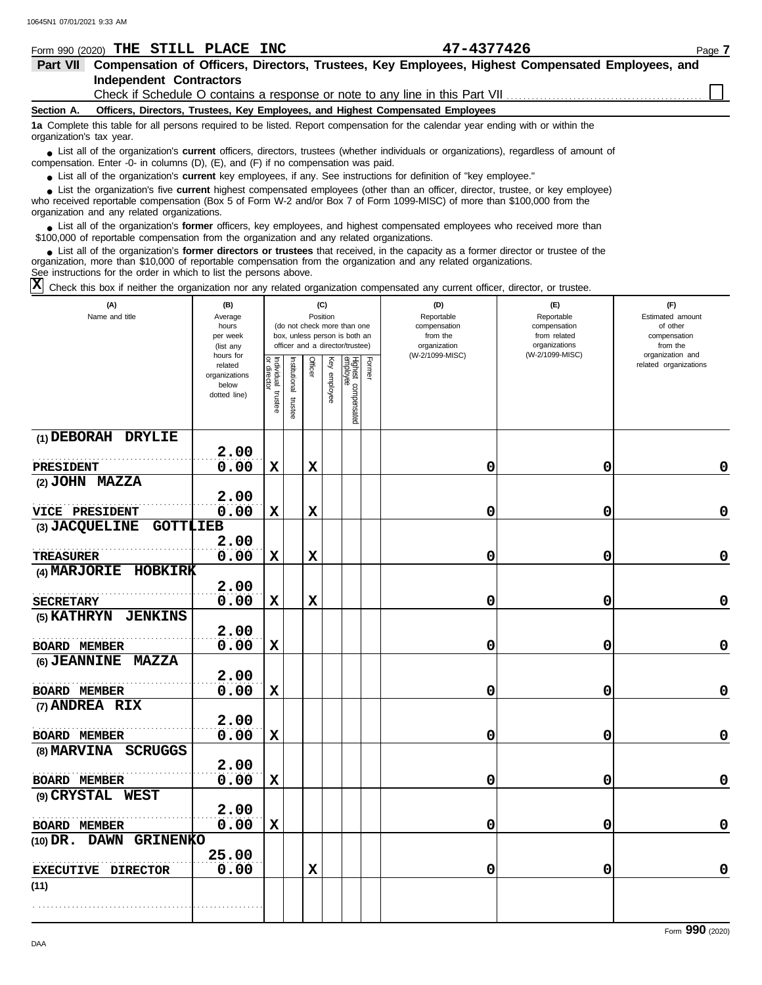|                          | Form 990 (2020) THE STILL PLACE INC                                                                                       | 47-4377426                                                                                                                             | Page 7 |
|--------------------------|---------------------------------------------------------------------------------------------------------------------------|----------------------------------------------------------------------------------------------------------------------------------------|--------|
| <b>Part VII</b>          |                                                                                                                           | Compensation of Officers, Directors, Trustees, Key Employees, Highest Compensated Employees, and                                       |        |
|                          | <b>Independent Contractors</b>                                                                                            |                                                                                                                                        |        |
|                          |                                                                                                                           | Check if Schedule O contains a response or note to any line in this Part VII                                                           |        |
| Section A.               | Officers, Directors, Trustees, Key Employees, and Highest Compensated Employees                                           |                                                                                                                                        |        |
| organization's tax year. |                                                                                                                           | 1a Complete this table for all persons required to be listed. Report compensation for the calendar year ending with or within the      |        |
|                          | compensation. Enter -0- in columns $(D)$ , $(E)$ , and $(F)$ if no compensation was paid.                                 | • List all of the organization's current officers, directors, trustees (whether individuals or organizations), regardless of amount of |        |
|                          | • List all of the organization's <b>current</b> key employees, if any. See instructions for definition of "key employee." |                                                                                                                                        |        |

List all of the organization's **current** key employees, if any. See instructions for definition of "key employee."

who received reportable compensation (Box 5 of Form W-2 and/or Box 7 of Form 1099-MISC) of more than \$100,000 from the organization and any related organizations. **•** List all of the organization's **current** key employees, if any. See instructions for definition of "key employee."<br>• List the organization's five **current** highest compensated employees (other than an officer, director **•**

■ List all of the organization's **former** officers, key employees, and highest compensated employees who received more than<br> **•** 00,000 of reportable compensation from the ergonization and any related ergonizations \$100,000 of reportable compensation from the organization and any related organizations.

List all of the organization's **former directors or trustees** that received, in the capacity as a former director or trustee of the organization, more than \$10,000 of reportable compensation from the organization and any related organizations. See instructions for the order in which to list the persons above. **•**

Check this box if neither the organization nor any related organization compensated any current officer, director, or trustee. **X**

| (A)<br>Name and title             | (B)<br>Average<br>hours<br>per week<br>(list any<br>hours for |                                      | (C)<br>Position<br>(do not check more than one<br>box, unless person is both an<br>officer and a director/trustee) |             |              |                                 |        | (D)<br>Reportable<br>compensation<br>from the<br>organization<br>(W-2/1099-MISC) | (E)<br>Reportable<br>compensation<br>from related<br>organizations<br>(W-2/1099-MISC) | (F)<br>Estimated amount<br>of other<br>compensation<br>from the<br>organization and |
|-----------------------------------|---------------------------------------------------------------|--------------------------------------|--------------------------------------------------------------------------------------------------------------------|-------------|--------------|---------------------------------|--------|----------------------------------------------------------------------------------|---------------------------------------------------------------------------------------|-------------------------------------------------------------------------------------|
|                                   | related<br>organizations<br>below<br>dotted line)             | Individual<br>or director<br>trustee | Institutional<br>trustee                                                                                           | Officer     | Key employee | Highest compensated<br>employee | Former |                                                                                  |                                                                                       | related organizations                                                               |
| (1) DEBORAH DRYLIE                | 2.00                                                          |                                      |                                                                                                                    |             |              |                                 |        |                                                                                  |                                                                                       |                                                                                     |
| <b>PRESIDENT</b>                  | 0.00                                                          | $\mathbf x$                          |                                                                                                                    | $\mathbf x$ |              |                                 |        | 0                                                                                | 0                                                                                     | 0                                                                                   |
| (2) JOHN MAZZA                    | 2.00                                                          |                                      |                                                                                                                    |             |              |                                 |        |                                                                                  |                                                                                       |                                                                                     |
| <b>VICE PRESIDENT</b>             | 0.00                                                          | $\mathbf x$                          |                                                                                                                    | $\mathbf x$ |              |                                 |        | 0                                                                                | 0                                                                                     | $\mathbf 0$                                                                         |
| <b>GOTTLIEB</b><br>(3) JACQUELINE |                                                               |                                      |                                                                                                                    |             |              |                                 |        |                                                                                  |                                                                                       |                                                                                     |
| <b>TREASURER</b>                  | 2.00<br>0.00                                                  | $\mathbf x$                          |                                                                                                                    | $\mathbf x$ |              |                                 |        | 0                                                                                | 0                                                                                     | $\mathbf 0$                                                                         |
| <b>HOBKIRK</b><br>(4) MARJORIE    |                                                               |                                      |                                                                                                                    |             |              |                                 |        |                                                                                  |                                                                                       |                                                                                     |
|                                   | 2.00                                                          |                                      |                                                                                                                    |             |              |                                 |        |                                                                                  |                                                                                       |                                                                                     |
| <b>SECRETARY</b>                  | 0.00                                                          | $\mathbf x$                          |                                                                                                                    | $\mathbf x$ |              |                                 |        | 0                                                                                | 0                                                                                     | 0                                                                                   |
| (5) KATHRYN<br><b>JENKINS</b>     | 2.00                                                          |                                      |                                                                                                                    |             |              |                                 |        |                                                                                  |                                                                                       |                                                                                     |
| <b>BOARD MEMBER</b>               | 0.00                                                          | $\mathbf x$                          |                                                                                                                    |             |              |                                 |        | 0                                                                                | 0                                                                                     | $\mathbf 0$                                                                         |
| (6) JEANNINE MAZZA                | 2.00                                                          |                                      |                                                                                                                    |             |              |                                 |        |                                                                                  |                                                                                       |                                                                                     |
| <b>BOARD MEMBER</b>               | 0.00                                                          | $\mathbf x$                          |                                                                                                                    |             |              |                                 |        | 0                                                                                | 0                                                                                     | $\mathbf 0$                                                                         |
| (7) ANDREA RIX                    |                                                               |                                      |                                                                                                                    |             |              |                                 |        |                                                                                  |                                                                                       |                                                                                     |
|                                   | 2.00                                                          |                                      |                                                                                                                    |             |              |                                 |        |                                                                                  |                                                                                       |                                                                                     |
| <b>BOARD MEMBER</b>               | 0.00                                                          | $\mathbf x$                          |                                                                                                                    |             |              |                                 |        | 0                                                                                | 0                                                                                     | 0                                                                                   |
| <b>SCRUGGS</b><br>(8) MARVINA     | 2.00                                                          |                                      |                                                                                                                    |             |              |                                 |        |                                                                                  |                                                                                       |                                                                                     |
| <b>BOARD MEMBER</b>               | 0.00                                                          | $\mathbf x$                          |                                                                                                                    |             |              |                                 |        | 0                                                                                | 0                                                                                     | $\mathbf 0$                                                                         |
| (9) CRYSTAL WEST                  | 2.00                                                          |                                      |                                                                                                                    |             |              |                                 |        |                                                                                  |                                                                                       |                                                                                     |
| <b>BOARD MEMBER</b>               | 0.00                                                          | $\mathbf x$                          |                                                                                                                    |             |              |                                 |        | 0                                                                                | 0                                                                                     | 0                                                                                   |
| (10) DR. DAWN GRINENKO            |                                                               |                                      |                                                                                                                    |             |              |                                 |        |                                                                                  |                                                                                       |                                                                                     |
| EXECUTIVE DIRECTOR                | 25.00<br>0.00                                                 |                                      |                                                                                                                    | $\mathbf x$ |              |                                 |        | 0                                                                                | 0                                                                                     | 0                                                                                   |
| (11)                              |                                                               |                                      |                                                                                                                    |             |              |                                 |        |                                                                                  |                                                                                       |                                                                                     |
|                                   |                                                               |                                      |                                                                                                                    |             |              |                                 |        |                                                                                  |                                                                                       |                                                                                     |
|                                   |                                                               |                                      |                                                                                                                    |             |              |                                 |        |                                                                                  |                                                                                       |                                                                                     |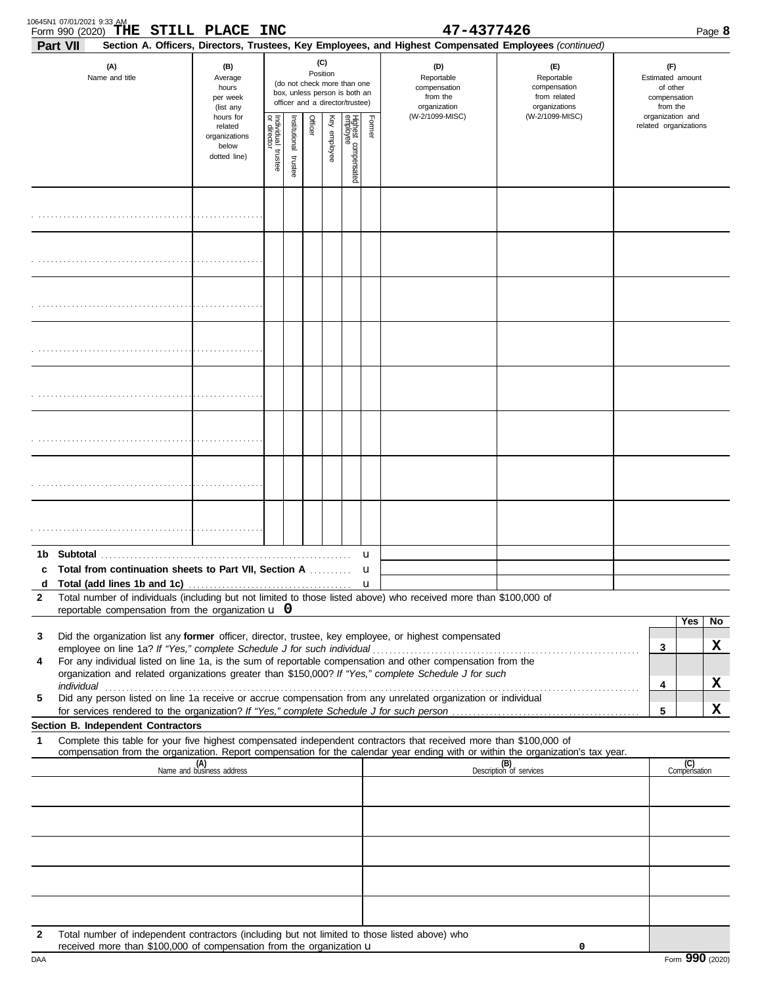| 10645N1 07/01/2021 9:33 AM<br>Form 990 (2020) | THE STILL PLACE INC                                                                                                                                                                                                            |                                                                |                                      |                       |         |                 |                                                                                                 |             | 47-4377426                                                                                                                                                                                                           |                                                                                                                                  |                                                                 |                       | Page 8  |
|-----------------------------------------------|--------------------------------------------------------------------------------------------------------------------------------------------------------------------------------------------------------------------------------|----------------------------------------------------------------|--------------------------------------|-----------------------|---------|-----------------|-------------------------------------------------------------------------------------------------|-------------|----------------------------------------------------------------------------------------------------------------------------------------------------------------------------------------------------------------------|----------------------------------------------------------------------------------------------------------------------------------|-----------------------------------------------------------------|-----------------------|---------|
| <b>Part VII</b>                               | (A)<br>Name and title                                                                                                                                                                                                          | (B)<br>Average<br>hours<br>per week<br>(list any               |                                      |                       |         | (C)<br>Position | (do not check more than one<br>box, unless person is both an<br>officer and a director/trustee) |             | Section A. Officers, Directors, Trustees, Key Employees, and Highest Compensated Employees (continued)<br>(D)<br>Reportable<br>compensation<br>from the<br>organization                                              | (E)<br>Reportable<br>compensation<br>from related<br>organizations                                                               | (F)<br>Estimated amount<br>of other<br>compensation<br>from the |                       |         |
|                                               |                                                                                                                                                                                                                                | hours for<br>related<br>organizations<br>below<br>dotted line) | Individual<br>or director<br>trustee | Institutional trustee | Officer | Key employee    | Highest compensated<br>employee                                                                 | Former      | (W-2/1099-MISC)                                                                                                                                                                                                      | (W-2/1099-MISC)                                                                                                                  | organization and                                                | related organizations |         |
|                                               |                                                                                                                                                                                                                                |                                                                |                                      |                       |         |                 |                                                                                                 |             |                                                                                                                                                                                                                      |                                                                                                                                  |                                                                 |                       |         |
|                                               |                                                                                                                                                                                                                                |                                                                |                                      |                       |         |                 |                                                                                                 |             |                                                                                                                                                                                                                      |                                                                                                                                  |                                                                 |                       |         |
|                                               |                                                                                                                                                                                                                                |                                                                |                                      |                       |         |                 |                                                                                                 |             |                                                                                                                                                                                                                      |                                                                                                                                  |                                                                 |                       |         |
|                                               |                                                                                                                                                                                                                                |                                                                |                                      |                       |         |                 |                                                                                                 |             |                                                                                                                                                                                                                      |                                                                                                                                  |                                                                 |                       |         |
|                                               |                                                                                                                                                                                                                                |                                                                |                                      |                       |         |                 |                                                                                                 |             |                                                                                                                                                                                                                      |                                                                                                                                  |                                                                 |                       |         |
|                                               |                                                                                                                                                                                                                                |                                                                |                                      |                       |         |                 |                                                                                                 |             |                                                                                                                                                                                                                      |                                                                                                                                  |                                                                 |                       |         |
|                                               |                                                                                                                                                                                                                                |                                                                |                                      |                       |         |                 |                                                                                                 |             |                                                                                                                                                                                                                      |                                                                                                                                  |                                                                 |                       |         |
|                                               |                                                                                                                                                                                                                                |                                                                |                                      |                       |         |                 |                                                                                                 |             |                                                                                                                                                                                                                      |                                                                                                                                  |                                                                 |                       |         |
| d                                             | c Total from continuation sheets to Part VII, Section A                                                                                                                                                                        |                                                                |                                      |                       |         |                 |                                                                                                 | u<br>u<br>u |                                                                                                                                                                                                                      |                                                                                                                                  |                                                                 |                       |         |
| 2                                             | reportable compensation from the organization $\bf{u}$ 0                                                                                                                                                                       |                                                                |                                      |                       |         |                 |                                                                                                 |             | Total number of individuals (including but not limited to those listed above) who received more than \$100,000 of                                                                                                    |                                                                                                                                  |                                                                 |                       |         |
| 3                                             |                                                                                                                                                                                                                                |                                                                |                                      |                       |         |                 |                                                                                                 |             | Did the organization list any former officer, director, trustee, key employee, or highest compensated                                                                                                                |                                                                                                                                  | 3                                                               | Yes                   | No<br>х |
| 4                                             |                                                                                                                                                                                                                                |                                                                |                                      |                       |         |                 |                                                                                                 |             | For any individual listed on line 1a, is the sum of reportable compensation and other compensation from the<br>organization and related organizations greater than \$150,000? If "Yes," complete Schedule J for such |                                                                                                                                  |                                                                 |                       |         |
| 5                                             | individual communications and contact the contract of the contract of the contract of the contract of the contract of the contract of the contract of the contract of the contract of the contract of the contract of the cont |                                                                |                                      |                       |         |                 |                                                                                                 |             | Did any person listed on line 1a receive or accrue compensation from any unrelated organization or individual                                                                                                        |                                                                                                                                  | 4                                                               |                       | X       |
|                                               | Section B. Independent Contractors                                                                                                                                                                                             |                                                                |                                      |                       |         |                 |                                                                                                 |             |                                                                                                                                                                                                                      |                                                                                                                                  | 5                                                               |                       | X       |
| 1                                             |                                                                                                                                                                                                                                |                                                                |                                      |                       |         |                 |                                                                                                 |             | Complete this table for your five highest compensated independent contractors that received more than \$100,000 of                                                                                                   | compensation from the organization. Report compensation for the calendar year ending with or within the organization's tax year. |                                                                 |                       |         |
|                                               |                                                                                                                                                                                                                                | (A)<br>Name and business address                               |                                      |                       |         |                 |                                                                                                 |             |                                                                                                                                                                                                                      | (B)<br>Description of services                                                                                                   |                                                                 | (C)<br>Compensation   |         |
|                                               |                                                                                                                                                                                                                                |                                                                |                                      |                       |         |                 |                                                                                                 |             |                                                                                                                                                                                                                      |                                                                                                                                  |                                                                 |                       |         |
|                                               |                                                                                                                                                                                                                                |                                                                |                                      |                       |         |                 |                                                                                                 |             |                                                                                                                                                                                                                      |                                                                                                                                  |                                                                 |                       |         |
|                                               |                                                                                                                                                                                                                                |                                                                |                                      |                       |         |                 |                                                                                                 |             |                                                                                                                                                                                                                      |                                                                                                                                  |                                                                 |                       |         |
|                                               |                                                                                                                                                                                                                                |                                                                |                                      |                       |         |                 |                                                                                                 |             |                                                                                                                                                                                                                      |                                                                                                                                  |                                                                 |                       |         |
| $\mathbf{2}$                                  | Total number of independent contractors (including but not limited to those listed above) who                                                                                                                                  |                                                                |                                      |                       |         |                 |                                                                                                 |             |                                                                                                                                                                                                                      |                                                                                                                                  |                                                                 |                       |         |
|                                               | received more than \$100,000 of compensation from the organization $\mathbf u$                                                                                                                                                 |                                                                |                                      |                       |         |                 |                                                                                                 |             |                                                                                                                                                                                                                      | 0                                                                                                                                |                                                                 |                       |         |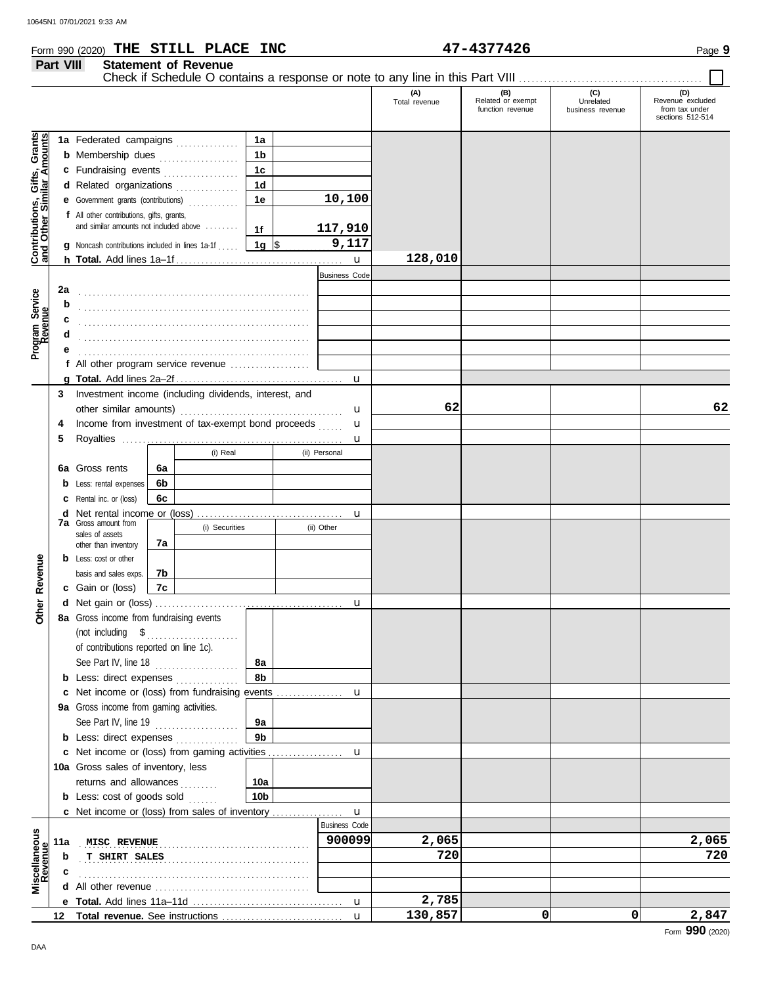**Part VIII Statement of Revenue**

## Form 990 (2020) Page **9 THE STILL PLACE INC 47-4377426**

 $\Box$ 

|                                                                  |                  |                                                                                                                                                                                                                                                                                                                                                                                                                                                          |    |                |                 |                      | (A)<br>Total revenue | (B)<br>Related or exempt<br>function revenue | (C)<br>Unrelated<br>business revenue | (D)<br>Revenue excluded<br>from tax under<br>sections 512-514 |
|------------------------------------------------------------------|------------------|----------------------------------------------------------------------------------------------------------------------------------------------------------------------------------------------------------------------------------------------------------------------------------------------------------------------------------------------------------------------------------------------------------------------------------------------------------|----|----------------|-----------------|----------------------|----------------------|----------------------------------------------|--------------------------------------|---------------------------------------------------------------|
|                                                                  |                  | 1a Federated campaigns                                                                                                                                                                                                                                                                                                                                                                                                                                   |    |                | 1a              |                      |                      |                                              |                                      |                                                               |
| <b>Contributions, Gifts, Grants</b><br>and Other Similar Amounts |                  | <b>b</b> Membership dues <i>contract membership</i> dues                                                                                                                                                                                                                                                                                                                                                                                                 |    |                | 1 <sub>b</sub>  |                      |                      |                                              |                                      |                                                               |
|                                                                  |                  | c Fundraising events                                                                                                                                                                                                                                                                                                                                                                                                                                     |    |                | 1 <sub>c</sub>  |                      |                      |                                              |                                      |                                                               |
|                                                                  |                  | d Related organizations                                                                                                                                                                                                                                                                                                                                                                                                                                  |    | .              | 1 <sub>d</sub>  |                      |                      |                                              |                                      |                                                               |
|                                                                  |                  | e Government grants (contributions)                                                                                                                                                                                                                                                                                                                                                                                                                      |    |                | 1e              | 10,100               |                      |                                              |                                      |                                                               |
|                                                                  |                  | f All other contributions, gifts, grants,                                                                                                                                                                                                                                                                                                                                                                                                                |    |                |                 |                      |                      |                                              |                                      |                                                               |
|                                                                  |                  | and similar amounts not included above                                                                                                                                                                                                                                                                                                                                                                                                                   |    |                | 1f              | 117,910              |                      |                                              |                                      |                                                               |
|                                                                  |                  | <b>g</b> Noncash contributions included in lines 1a-1f                                                                                                                                                                                                                                                                                                                                                                                                   |    |                | 1g $\vert$ \$   | 9,117                |                      |                                              |                                      |                                                               |
|                                                                  |                  |                                                                                                                                                                                                                                                                                                                                                                                                                                                          |    |                |                 | $\mathbf{u}$         | 128,010              |                                              |                                      |                                                               |
|                                                                  |                  |                                                                                                                                                                                                                                                                                                                                                                                                                                                          |    |                |                 | <b>Business Code</b> |                      |                                              |                                      |                                                               |
|                                                                  | 2a               |                                                                                                                                                                                                                                                                                                                                                                                                                                                          |    |                |                 |                      |                      |                                              |                                      |                                                               |
|                                                                  | b                |                                                                                                                                                                                                                                                                                                                                                                                                                                                          |    |                |                 |                      |                      |                                              |                                      |                                                               |
| Program Service<br>Revenue                                       | c                |                                                                                                                                                                                                                                                                                                                                                                                                                                                          |    |                |                 |                      |                      |                                              |                                      |                                                               |
|                                                                  | d                |                                                                                                                                                                                                                                                                                                                                                                                                                                                          |    |                |                 |                      |                      |                                              |                                      |                                                               |
|                                                                  | е                |                                                                                                                                                                                                                                                                                                                                                                                                                                                          |    |                |                 |                      |                      |                                              |                                      |                                                               |
|                                                                  |                  | f All other program service revenue                                                                                                                                                                                                                                                                                                                                                                                                                      |    |                |                 |                      |                      |                                              |                                      |                                                               |
|                                                                  |                  |                                                                                                                                                                                                                                                                                                                                                                                                                                                          |    |                |                 |                      |                      |                                              |                                      |                                                               |
|                                                                  | 3                | Investment income (including dividends, interest, and                                                                                                                                                                                                                                                                                                                                                                                                    |    |                |                 |                      |                      |                                              |                                      |                                                               |
|                                                                  |                  | other similar amounts)                                                                                                                                                                                                                                                                                                                                                                                                                                   |    |                |                 | u                    | 62                   |                                              |                                      | 62                                                            |
|                                                                  | 4                | Income from investment of tax-exempt bond proceeds                                                                                                                                                                                                                                                                                                                                                                                                       |    |                |                 | u                    |                      |                                              |                                      |                                                               |
|                                                                  | 5                |                                                                                                                                                                                                                                                                                                                                                                                                                                                          |    |                |                 | u                    |                      |                                              |                                      |                                                               |
|                                                                  |                  |                                                                                                                                                                                                                                                                                                                                                                                                                                                          |    | (i) Real       |                 | (ii) Personal        |                      |                                              |                                      |                                                               |
|                                                                  |                  | 6a Gross rents                                                                                                                                                                                                                                                                                                                                                                                                                                           | 6a |                |                 |                      |                      |                                              |                                      |                                                               |
|                                                                  |                  | Less: rental expenses                                                                                                                                                                                                                                                                                                                                                                                                                                    | 6b |                |                 |                      |                      |                                              |                                      |                                                               |
|                                                                  |                  | C Rental inc. or (loss)                                                                                                                                                                                                                                                                                                                                                                                                                                  | 6c |                |                 |                      |                      |                                              |                                      |                                                               |
|                                                                  |                  |                                                                                                                                                                                                                                                                                                                                                                                                                                                          |    |                |                 | u                    |                      |                                              |                                      |                                                               |
|                                                                  |                  | <b>7a</b> Gross amount from                                                                                                                                                                                                                                                                                                                                                                                                                              |    | (i) Securities |                 | (ii) Other           |                      |                                              |                                      |                                                               |
|                                                                  |                  | sales of assets<br>other than inventory                                                                                                                                                                                                                                                                                                                                                                                                                  | 7а |                |                 |                      |                      |                                              |                                      |                                                               |
|                                                                  |                  | <b>b</b> Less: cost or other                                                                                                                                                                                                                                                                                                                                                                                                                             |    |                |                 |                      |                      |                                              |                                      |                                                               |
|                                                                  |                  | basis and sales exps.                                                                                                                                                                                                                                                                                                                                                                                                                                    | 7b |                |                 |                      |                      |                                              |                                      |                                                               |
| <b>Other Revenue</b>                                             |                  | c Gain or (loss)                                                                                                                                                                                                                                                                                                                                                                                                                                         | 7c |                |                 |                      |                      |                                              |                                      |                                                               |
|                                                                  |                  |                                                                                                                                                                                                                                                                                                                                                                                                                                                          |    |                |                 | u                    |                      |                                              |                                      |                                                               |
|                                                                  |                  | 8a Gross income from fundraising events                                                                                                                                                                                                                                                                                                                                                                                                                  |    |                |                 |                      |                      |                                              |                                      |                                                               |
|                                                                  |                  | $\begin{minipage}[c]{0.9\linewidth} (not including \quad $${\$}\quad \  \  \, \texttt{3}\quad \  \  \, \texttt{4}\quad \  \  \, \texttt{5}\quad \  \  \, \texttt{5}\quad \  \  \, \texttt{6}\quad \  \  \, \texttt{7}\quad \  \  \, \texttt{8}\quad \  \  \, \texttt{8}\quad \  \  \, \texttt{9}\quad \  \  \, \texttt{1}\quad \  \  \, \texttt{8}\quad \  \  \, \texttt{9}\quad \  \  \, \texttt{1}\quad \  \  \, \texttt{1}\quad \  \  \, \texttt{1}\$ |    |                |                 |                      |                      |                                              |                                      |                                                               |
|                                                                  |                  | of contributions reported on line 1c).                                                                                                                                                                                                                                                                                                                                                                                                                   |    |                |                 |                      |                      |                                              |                                      |                                                               |
|                                                                  |                  | See Part IV, line 18                                                                                                                                                                                                                                                                                                                                                                                                                                     |    |                | 8а              |                      |                      |                                              |                                      |                                                               |
|                                                                  |                  | <b>b</b> Less: direct expenses                                                                                                                                                                                                                                                                                                                                                                                                                           |    |                | 8b              |                      |                      |                                              |                                      |                                                               |
|                                                                  |                  |                                                                                                                                                                                                                                                                                                                                                                                                                                                          |    |                |                 |                      |                      |                                              |                                      |                                                               |
|                                                                  |                  | 9a Gross income from gaming activities.                                                                                                                                                                                                                                                                                                                                                                                                                  |    |                |                 |                      |                      |                                              |                                      |                                                               |
|                                                                  |                  | See Part IV, line 19                                                                                                                                                                                                                                                                                                                                                                                                                                     |    |                | 9а              |                      |                      |                                              |                                      |                                                               |
|                                                                  |                  | <b>b</b> Less: direct expenses                                                                                                                                                                                                                                                                                                                                                                                                                           |    |                | 9 <sub>b</sub>  |                      |                      |                                              |                                      |                                                               |
|                                                                  |                  |                                                                                                                                                                                                                                                                                                                                                                                                                                                          |    |                |                 |                      |                      |                                              |                                      |                                                               |
|                                                                  |                  | 10a Gross sales of inventory, less                                                                                                                                                                                                                                                                                                                                                                                                                       |    |                |                 |                      |                      |                                              |                                      |                                                               |
|                                                                  |                  | returns and allowances                                                                                                                                                                                                                                                                                                                                                                                                                                   |    | de de decem    | 10a             |                      |                      |                                              |                                      |                                                               |
|                                                                  |                  | <b>b</b> Less: cost of goods sold                                                                                                                                                                                                                                                                                                                                                                                                                        |    |                | 10 <sub>b</sub> |                      |                      |                                              |                                      |                                                               |
|                                                                  |                  |                                                                                                                                                                                                                                                                                                                                                                                                                                                          |    |                |                 |                      |                      |                                              |                                      |                                                               |
|                                                                  |                  |                                                                                                                                                                                                                                                                                                                                                                                                                                                          |    |                |                 | <b>Business Code</b> |                      |                                              |                                      |                                                               |
| Miscellaneous<br>Revenue                                         | 11a              | MISC REVENUE                                                                                                                                                                                                                                                                                                                                                                                                                                             |    |                |                 | 900099               | 2,065                |                                              |                                      | 2,065                                                         |
|                                                                  | b                | <b>T SHIRT SALES</b>                                                                                                                                                                                                                                                                                                                                                                                                                                     |    |                |                 |                      | 720                  |                                              |                                      | 720                                                           |
|                                                                  | с                |                                                                                                                                                                                                                                                                                                                                                                                                                                                          |    |                |                 |                      |                      |                                              |                                      |                                                               |
|                                                                  |                  |                                                                                                                                                                                                                                                                                                                                                                                                                                                          |    |                |                 |                      |                      |                                              |                                      |                                                               |
|                                                                  |                  |                                                                                                                                                                                                                                                                                                                                                                                                                                                          |    |                |                 |                      | 2,785                |                                              |                                      |                                                               |
|                                                                  | 12 <sup>12</sup> |                                                                                                                                                                                                                                                                                                                                                                                                                                                          |    |                |                 | $\mathbf{u}$         | 130,857              | 0                                            | 0                                    | 2,847                                                         |

Form **990** (2020)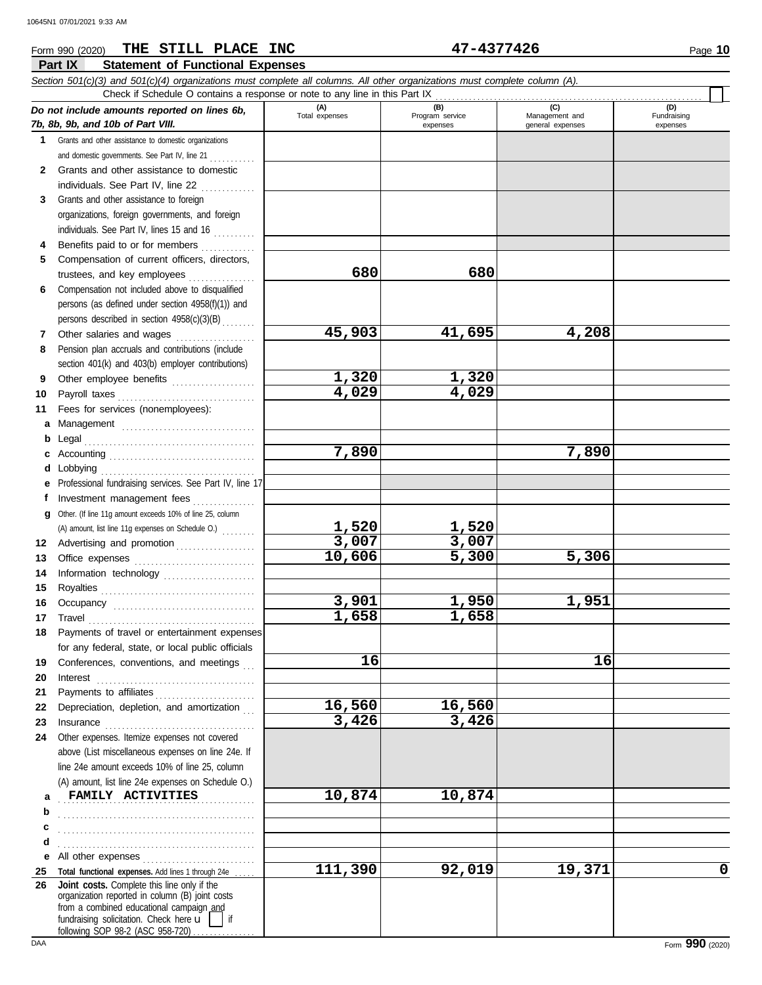#### **Part IX Statement of Functional Expenses** Form 990 (2020) Page **10 THE STILL PLACE INC 47-4377426** *Section 501(c)(3) and 501(c)(4) organizations must complete all columns. All other organizations must complete column (A). Do not include amounts reported on lines 6b, 7b, 8b, 9b, and 10b of Part VIII.* **1 2 3** Grants and other assistance to foreign **4 5 6 7** Grants and other assistance to domestic organizations and domestic governments. See Part IV, line 21 . . . . . . . . . . Grants and other assistance to domestic individuals. See Part IV, line 22 . . . . . . . . . . . . . organizations, foreign governments, and foreign individuals. See Part IV, lines 15 and 16 Benefits paid to or for members ............. Compensation of current officers, directors, trustees, and key employees . . . . . . . . . . . . . . . . Compensation not included above to disqualified persons (as defined under section 4958(f)(1)) and persons described in section 4958(c)(3)(B) . . . . . . . . Other salaries and wages ................... **(A) (B) (C) (D)** Total expenses Program service<br>
expenses Program service<br>  $\frac{1}{2}$  Management and<br>
general expenses expenses general expenses (D)<br>Fundraising expenses Check if Schedule O contains a response or note to any line in this Part IX **680 680 45,903 41,695 4,208**

**1,320 1,320**

**1,520 1,520**

**1,658 1,658**

**16,560 16,560**

**3,426 3,426**

**7,890 7,890**

**3,007 3,007 10,606 5,300 5,306**

**3,901 1,950 1,951**

**16 16**

**111,390 92,019 19,371 0**

**4,029 4,029**

- **8** Pension plan accruals and contributions (include section 401(k) and 403(b) employer contributions)
- **9 10 11** Other employee benefits .................... Payroll taxes . . . . . . . . . . . . . . . . . . . . . . . . . . . . . . . . . Fees for services (nonemployees):
- 
- **a** Management ................................. **b** Legal . . . . . . . . . . . . . . . . . . . . . . . . . . . . . . . . . . . . . . . . .
- -
- -
- **c** Accounting . . . . . . . . . . . . . . . . . . . . . . . . . . . . . . . . . . . **d** Lobbying . . . . . . . . . . . . . . . . . . . . . . . . . . . . . . . . . . . . .
- **e** Professional fundraising services. See Part IV, line 17 Investment management fees ................
- **f g** Other. (If line 11g amount exceeds 10% of line 25, column (A) amount, list line 11g expenses on Schedule O.) .......
- **12** Advertising and promotion . . . . . . . . . . . . . . . . . . **13** Office expenses ................................ Information technology ......................
- **14 15 16 17 18** Royalties . . . . . . . . . . . . . . . . . . . . . . . . . . . . . . . . . . . . . Occupancy . . . . . . . . . . . . . . . . . . . . . . . . . . . . . . . . . . Travel . . . . . . . . . . . . . . . . . . . . . . . . . . . . . . . . . . . . . . . . Payments of travel or entertainment expenses for any federal, state, or local public officials
- **19 20 21 22 23** Conferences, conventions, and meetings Interest . . . . . . . . . . . . . . . . . . . . . . . . . . . . . . . . . . . . . . Payments to affiliates . . . . . . . . . . . . . . . . . . . . . . . . Depreciation, depletion, and amortization Insurance . . . . . . . . . . . . . . . . . . . . . . . . . . . . . . . . . . . .
- **24** Other expenses. Itemize expenses not covered above (List miscellaneous expenses on line 24e. If line 24e amount exceeds 10% of line 25, column

**a b c d**

- (A) amount, list line 24e expenses on Schedule O.) **FAMILY ACTIVITIES 10,874 10,874**
- . . . . . . . . . . . . . . . . . . . . . . . . . . . . . . . . . . . . . . . . . . . . . . .
- **e** All other expenses . . . . . . . . . . . . . . . . . . . . . . . . . . . . . . . . . . . . . . . . . . . . . . . . . . . . . . . . . . . . . . . . . . . . . . . . . .
- **25 26** Total functional expenses. Add lines 1 through 24e organization reported in column (B) joint costs from a combined educational campaign and **Joint costs.** Complete this line only if the
	- fundraising solicitation. Check here  $\mathbf{u}$  | if following SOP 98-2 (ASC 958-720)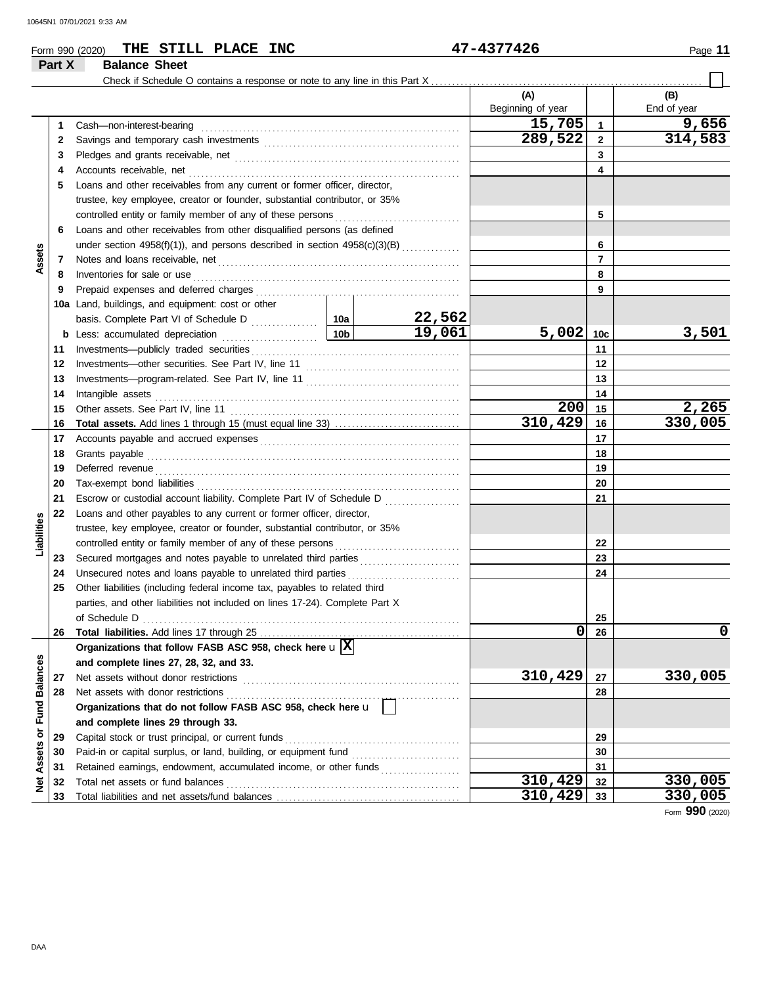|                             | Part X   | THE STILL PLACE INC<br>Form 990 (2020)<br><b>Balance Sheet</b>                 |                           |                                              | 47-4377426        |                         | Page 11     |
|-----------------------------|----------|--------------------------------------------------------------------------------|---------------------------|----------------------------------------------|-------------------|-------------------------|-------------|
|                             |          |                                                                                |                           |                                              |                   |                         |             |
|                             |          |                                                                                |                           |                                              | (A)               |                         | (B)         |
|                             |          |                                                                                |                           |                                              | Beginning of year |                         | End of year |
|                             | 1        | Cash-non-interest-bearing                                                      |                           |                                              | 15,705            | $\overline{\mathbf{1}}$ | 9,656       |
|                             | 2        |                                                                                | 289,522                   | $\mathbf{2}$                                 | 314,583           |                         |             |
|                             | 3        |                                                                                |                           | 3                                            |                   |                         |             |
|                             | 4        | Accounts receivable, net                                                       |                           | 4                                            |                   |                         |             |
|                             | 5        | Loans and other receivables from any current or former officer, director,      |                           |                                              |                   |                         |             |
|                             |          | trustee, key employee, creator or founder, substantial contributor, or 35%     |                           |                                              |                   |                         |             |
|                             |          | controlled entity or family member of any of these persons                     |                           |                                              |                   | 5                       |             |
|                             | 6        | Loans and other receivables from other disqualified persons (as defined        |                           |                                              |                   |                         |             |
|                             |          | under section $4958(f)(1)$ ), and persons described in section $4958(c)(3)(B)$ |                           |                                              |                   | 6                       |             |
| Assets                      | 7        |                                                                                |                           |                                              |                   | $\overline{7}$          |             |
|                             | 8        | Inventories for sale or use                                                    |                           |                                              |                   | 8                       |             |
|                             | 9        | Prepaid expenses and deferred charges                                          |                           |                                              |                   | 9                       |             |
|                             |          | 10a Land, buildings, and equipment: cost or other                              |                           |                                              |                   |                         |             |
|                             |          |                                                                                |                           | 22,562                                       | $5,002$ 10c       |                         | 3,501       |
|                             |          | <b>b</b> Less: accumulated depreciation                                        | 19,061<br>10 <sub>b</sub> |                                              | 11                |                         |             |
|                             | 11       | Investments-publicly traded securities                                         |                           |                                              | 12                |                         |             |
|                             | 12<br>13 |                                                                                |                           |                                              |                   | 13                      |             |
|                             | 14       | Intangible assets                                                              |                           |                                              |                   | 14                      |             |
|                             | 15       | Other assets. See Part IV, line 11                                             |                           |                                              | 200               | 15                      | 2,265       |
|                             | 16       |                                                                                |                           |                                              | 310,429           | 16                      | 330,005     |
|                             | 17       |                                                                                |                           |                                              |                   | 17                      |             |
|                             | 18       | Grants payable                                                                 |                           |                                              |                   | 18                      |             |
|                             | 19       |                                                                                |                           |                                              |                   | 19                      |             |
|                             | 20       | Tax-exempt bond liabilities                                                    |                           |                                              |                   | 20                      |             |
|                             | 21       | Escrow or custodial account liability. Complete Part IV of Schedule D          |                           | <u> 1999 - Alexandr Steinberg, ameri</u> kan |                   | 21                      |             |
|                             | 22       | Loans and other payables to any current or former officer, director,           |                           |                                              |                   |                         |             |
| Liabilities                 |          | trustee, key employee, creator or founder, substantial contributor, or 35%     |                           |                                              |                   |                         |             |
|                             |          | controlled entity or family member of any of these persons                     |                           |                                              |                   | 22                      |             |
|                             | 23       |                                                                                |                           |                                              |                   | 23                      |             |
|                             | 24       |                                                                                |                           |                                              |                   | 24                      |             |
|                             | 25       | Other liabilities (including federal income tax, payables to related third     |                           |                                              |                   |                         |             |
|                             |          | parties, and other liabilities not included on lines 17-24). Complete Part X   |                           |                                              |                   |                         |             |
|                             |          | of Schedule D                                                                  |                           |                                              |                   | 25                      |             |
|                             | 26       |                                                                                |                           |                                              | 0                 | 26                      | 0           |
|                             |          | Organizations that follow FASB ASC 958, check here $\mathbf{u} \mathbf{X} $    |                           |                                              |                   |                         |             |
|                             |          | and complete lines 27, 28, 32, and 33.                                         |                           |                                              |                   |                         |             |
|                             | 27       | Net assets without donor restrictions                                          |                           |                                              | 310,429           | 27                      | 330,005     |
|                             | 28       | Net assets with donor restrictions                                             |                           |                                              |                   | 28                      |             |
| Net Assets or Fund Balances |          | Organizations that do not follow FASB ASC 958, check here u                    |                           |                                              |                   |                         |             |
|                             |          | and complete lines 29 through 33.                                              |                           |                                              |                   |                         |             |
|                             | 29       | Capital stock or trust principal, or current funds                             |                           |                                              |                   | 29                      |             |
|                             | 30       |                                                                                |                           |                                              |                   | 30                      |             |
|                             | 31       | Retained earnings, endowment, accumulated income, or other funds               |                           |                                              |                   | 31                      |             |
|                             | 32       | Total net assets or fund balances                                              |                           |                                              | 310,429           | 32                      | 330,005     |
|                             | 33       |                                                                                |                           |                                              | 310,429           | 33                      | 330,005     |

330,005<br>Form 990 (2020)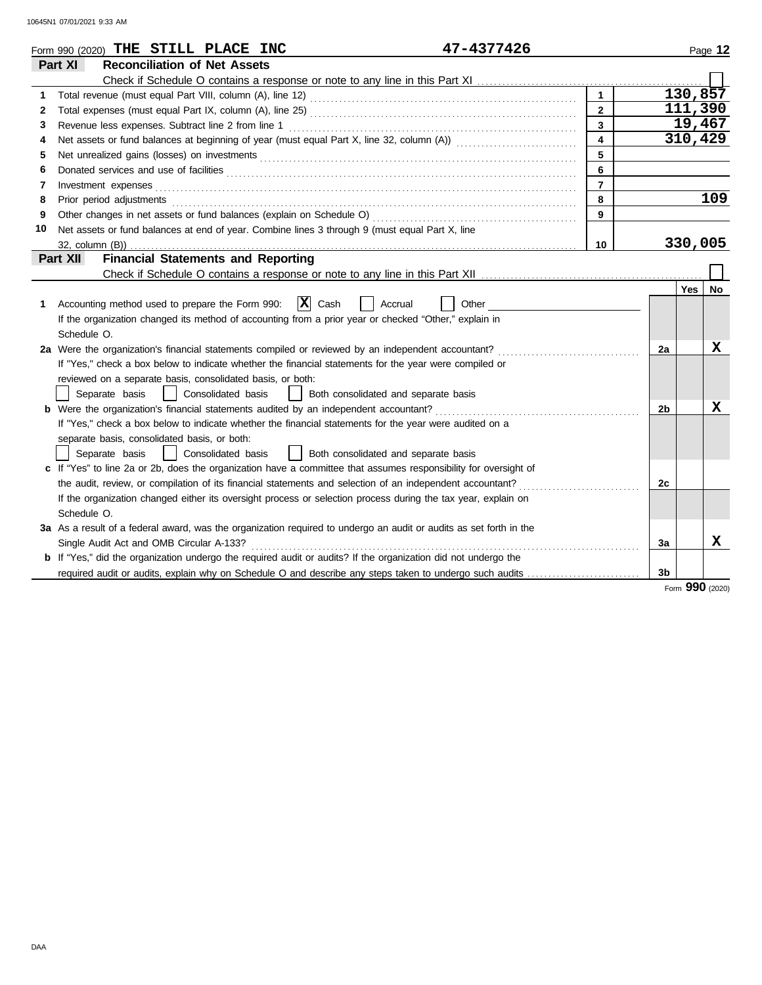|              | 47-4377426<br>Form 990 (2020) THE STILL PLACE INC                                                                              |                         |                |     | Page 12 |
|--------------|--------------------------------------------------------------------------------------------------------------------------------|-------------------------|----------------|-----|---------|
|              | <b>Reconciliation of Net Assets</b><br>Part XI                                                                                 |                         |                |     |         |
|              |                                                                                                                                |                         |                |     |         |
| 1            |                                                                                                                                | $\mathbf{1}$            |                |     | 130,857 |
| $\mathbf{2}$ |                                                                                                                                | $\overline{2}$          |                |     | 111,390 |
| 3            |                                                                                                                                | $\mathbf{3}$            |                |     | 19,467  |
| 4            |                                                                                                                                | $\overline{\mathbf{4}}$ |                |     | 310,429 |
| 5            |                                                                                                                                | 5                       |                |     |         |
| 6            | Donated services and use of facilities <b>constructs</b> and the service of facilities <b>constructs</b> and use of facilities | 6                       |                |     |         |
| 7            |                                                                                                                                | $\overline{7}$          |                |     |         |
| 8            |                                                                                                                                | 8                       |                |     | 109     |
| 9            |                                                                                                                                | 9                       |                |     |         |
| 10           | Net assets or fund balances at end of year. Combine lines 3 through 9 (must equal Part X, line                                 |                         |                |     |         |
|              |                                                                                                                                | 10                      |                |     | 330,005 |
|              | <b>Financial Statements and Reporting</b><br>Part XII                                                                          |                         |                |     |         |
|              |                                                                                                                                |                         |                |     |         |
|              |                                                                                                                                |                         |                | Yes | No      |
| 1            | $ \mathbf{X} $ Cash<br>Accounting method used to prepare the Form 990:<br>Accrual<br>Other                                     |                         |                |     |         |
|              | If the organization changed its method of accounting from a prior year or checked "Other," explain in                          |                         |                |     |         |
|              | Schedule O.                                                                                                                    |                         |                |     |         |
|              | 2a Were the organization's financial statements compiled or reviewed by an independent accountant?                             |                         | 2a             |     | x       |
|              | If "Yes," check a box below to indicate whether the financial statements for the year were compiled or                         |                         |                |     |         |
|              | reviewed on a separate basis, consolidated basis, or both:                                                                     |                         |                |     |         |
|              | Separate basis<br>  Consolidated basis     Both consolidated and separate basis                                                |                         |                |     |         |
|              | <b>b</b> Were the organization's financial statements audited by an independent accountant?                                    |                         | 2b             |     | X       |
|              | If "Yes," check a box below to indicate whether the financial statements for the year were audited on a                        |                         |                |     |         |
|              | separate basis, consolidated basis, or both:                                                                                   |                         |                |     |         |
|              | Separate basis<br>  Consolidated basis<br>  Both consolidated and separate basis                                               |                         |                |     |         |
|              | c If "Yes" to line 2a or 2b, does the organization have a committee that assumes responsibility for oversight of               |                         |                |     |         |
|              | the audit, review, or compilation of its financial statements and selection of an independent accountant?                      |                         | 2 <sub>c</sub> |     |         |
|              | If the organization changed either its oversight process or selection process during the tax year, explain on                  |                         |                |     |         |
|              | Schedule O.                                                                                                                    |                         |                |     |         |
|              | 3a As a result of a federal award, was the organization required to undergo an audit or audits as set forth in the             |                         |                |     |         |
|              | Single Audit Act and OMB Circular A-133?                                                                                       |                         | За             |     | X       |
|              | <b>b</b> If "Yes," did the organization undergo the required audit or audits? If the organization did not undergo the          |                         |                |     |         |
|              | required audit or audits, explain why on Schedule O and describe any steps taken to undergo such audits                        |                         | 3 <sub>b</sub> |     |         |

Form **990** (2020)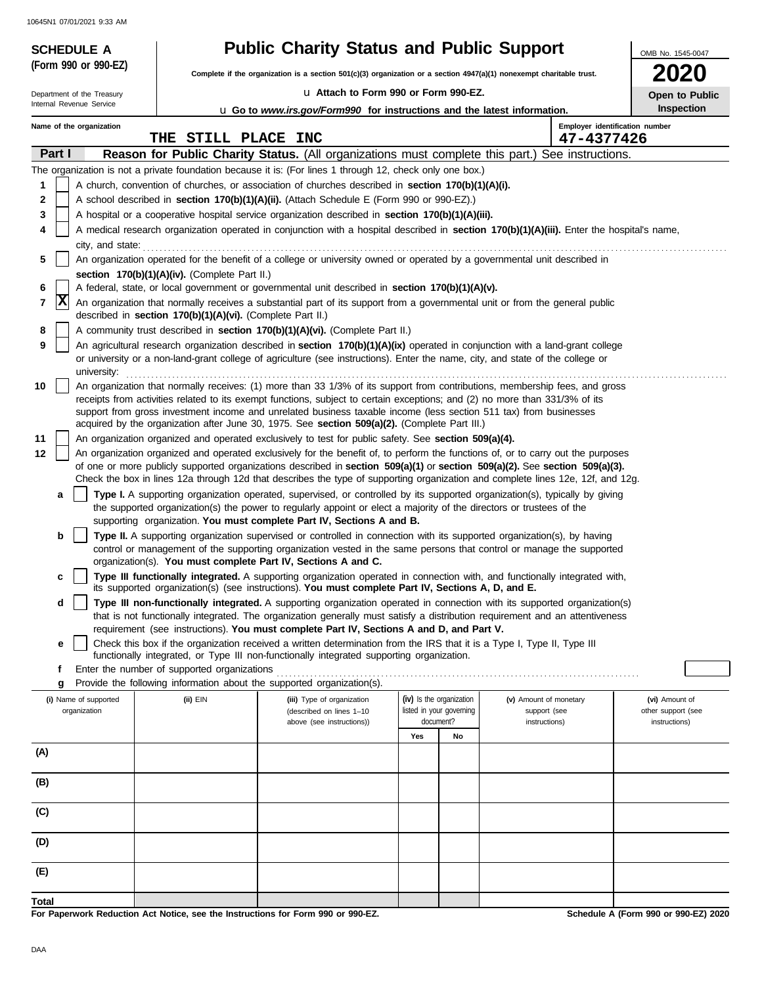| <b>SCHEDULE A</b><br>(Form 990 or 990-EZ)              |                                                            | <b>Public Charity Status and Public Support</b>                                                                                                                                                                                                                |     |                          |                                              | OMB No. 1545-0047  |
|--------------------------------------------------------|------------------------------------------------------------|----------------------------------------------------------------------------------------------------------------------------------------------------------------------------------------------------------------------------------------------------------------|-----|--------------------------|----------------------------------------------|--------------------|
|                                                        |                                                            | Complete if the organization is a section $501(c)(3)$ organization or a section $4947(a)(1)$ nonexempt charitable trust.                                                                                                                                       |     |                          |                                              |                    |
| Department of the Treasury<br>Internal Revenue Service |                                                            | La Attach to Form 990 or Form 990-EZ.                                                                                                                                                                                                                          |     |                          |                                              | Open to Public     |
|                                                        |                                                            | <b>u</b> Go to www.irs.gov/Form990 for instructions and the latest information.                                                                                                                                                                                |     |                          |                                              | Inspection         |
| Name of the organization                               | THE STILL PLACE INC                                        |                                                                                                                                                                                                                                                                |     |                          | Employer identification number<br>47-4377426 |                    |
| Part I                                                 |                                                            | <b>Reason for Public Charity Status.</b> (All organizations must complete this part.) See instructions.                                                                                                                                                        |     |                          |                                              |                    |
|                                                        |                                                            | The organization is not a private foundation because it is: (For lines 1 through 12, check only one box.)                                                                                                                                                      |     |                          |                                              |                    |
| 1                                                      |                                                            | A church, convention of churches, or association of churches described in section 170(b)(1)(A)(i).                                                                                                                                                             |     |                          |                                              |                    |
| 2                                                      |                                                            | A school described in section 170(b)(1)(A)(ii). (Attach Schedule E (Form 990 or 990-EZ).)                                                                                                                                                                      |     |                          |                                              |                    |
| 3                                                      |                                                            | A hospital or a cooperative hospital service organization described in section 170(b)(1)(A)(iii).                                                                                                                                                              |     |                          |                                              |                    |
| 4                                                      |                                                            | A medical research organization operated in conjunction with a hospital described in section 170(b)(1)(A)(iii). Enter the hospital's name,                                                                                                                     |     |                          |                                              |                    |
| city, and state:<br>5                                  |                                                            | An organization operated for the benefit of a college or university owned or operated by a governmental unit described in                                                                                                                                      |     |                          |                                              |                    |
|                                                        | section 170(b)(1)(A)(iv). (Complete Part II.)              |                                                                                                                                                                                                                                                                |     |                          |                                              |                    |
| 6                                                      |                                                            | A federal, state, or local government or governmental unit described in section 170(b)(1)(A)(v).                                                                                                                                                               |     |                          |                                              |                    |
| X <br>7                                                |                                                            | An organization that normally receives a substantial part of its support from a governmental unit or from the general public                                                                                                                                   |     |                          |                                              |                    |
|                                                        | described in section 170(b)(1)(A)(vi). (Complete Part II.) |                                                                                                                                                                                                                                                                |     |                          |                                              |                    |
| 8<br>9                                                 |                                                            | A community trust described in section 170(b)(1)(A)(vi). (Complete Part II.)<br>An agricultural research organization described in section 170(b)(1)(A)(ix) operated in conjunction with a land-grant college                                                  |     |                          |                                              |                    |
|                                                        |                                                            | or university or a non-land-grant college of agriculture (see instructions). Enter the name, city, and state of the college or                                                                                                                                 |     |                          |                                              |                    |
| university:                                            |                                                            |                                                                                                                                                                                                                                                                |     |                          |                                              |                    |
| 10                                                     |                                                            | An organization that normally receives: (1) more than 33 1/3% of its support from contributions, membership fees, and gross                                                                                                                                    |     |                          |                                              |                    |
|                                                        |                                                            | receipts from activities related to its exempt functions, subject to certain exceptions; and (2) no more than 331/3% of its<br>support from gross investment income and unrelated business taxable income (less section 511 tax) from businesses               |     |                          |                                              |                    |
|                                                        |                                                            | acquired by the organization after June 30, 1975. See section 509(a)(2). (Complete Part III.)                                                                                                                                                                  |     |                          |                                              |                    |
| 11                                                     |                                                            | An organization organized and operated exclusively to test for public safety. See section 509(a)(4).                                                                                                                                                           |     |                          |                                              |                    |
| 12                                                     |                                                            | An organization organized and operated exclusively for the benefit of, to perform the functions of, or to carry out the purposes                                                                                                                               |     |                          |                                              |                    |
|                                                        |                                                            | of one or more publicly supported organizations described in section 509(a)(1) or section 509(a)(2). See section 509(a)(3).<br>Check the box in lines 12a through 12d that describes the type of supporting organization and complete lines 12e, 12f, and 12g. |     |                          |                                              |                    |
| a                                                      |                                                            | Type I. A supporting organization operated, supervised, or controlled by its supported organization(s), typically by giving                                                                                                                                    |     |                          |                                              |                    |
|                                                        |                                                            | the supported organization(s) the power to regularly appoint or elect a majority of the directors or trustees of the                                                                                                                                           |     |                          |                                              |                    |
|                                                        |                                                            | supporting organization. You must complete Part IV, Sections A and B.                                                                                                                                                                                          |     |                          |                                              |                    |
| b                                                      |                                                            | Type II. A supporting organization supervised or controlled in connection with its supported organization(s), by having<br>control or management of the supporting organization vested in the same persons that control or manage the supported                |     |                          |                                              |                    |
|                                                        |                                                            | organization(s). You must complete Part IV, Sections A and C.                                                                                                                                                                                                  |     |                          |                                              |                    |
|                                                        |                                                            | Type III functionally integrated. A supporting organization operated in connection with, and functionally integrated with,                                                                                                                                     |     |                          |                                              |                    |
|                                                        |                                                            | its supported organization(s) (see instructions). You must complete Part IV, Sections A, D, and E.                                                                                                                                                             |     |                          |                                              |                    |
| d                                                      |                                                            | Type III non-functionally integrated. A supporting organization operated in connection with its supported organization(s)<br>that is not functionally integrated. The organization generally must satisfy a distribution requirement and an attentiveness      |     |                          |                                              |                    |
|                                                        |                                                            | requirement (see instructions). You must complete Part IV, Sections A and D, and Part V.                                                                                                                                                                       |     |                          |                                              |                    |
| е                                                      |                                                            | Check this box if the organization received a written determination from the IRS that it is a Type I, Type II, Type III                                                                                                                                        |     |                          |                                              |                    |
| f                                                      | Enter the number of supported organizations                | functionally integrated, or Type III non-functionally integrated supporting organization.                                                                                                                                                                      |     |                          |                                              |                    |
| g                                                      |                                                            | Provide the following information about the supported organization(s).                                                                                                                                                                                         |     |                          |                                              |                    |
| (i) Name of supported                                  | (ii) EIN                                                   | (iii) Type of organization                                                                                                                                                                                                                                     |     | (iv) Is the organization | (v) Amount of monetary                       | (vi) Amount of     |
| organization                                           |                                                            | (described on lines 1-10                                                                                                                                                                                                                                       |     | listed in your governing | support (see                                 | other support (see |
|                                                        |                                                            | above (see instructions))                                                                                                                                                                                                                                      | Yes | document?<br>No          | instructions)                                | instructions)      |
| (A)                                                    |                                                            |                                                                                                                                                                                                                                                                |     |                          |                                              |                    |
|                                                        |                                                            |                                                                                                                                                                                                                                                                |     |                          |                                              |                    |
| (B)                                                    |                                                            |                                                                                                                                                                                                                                                                |     |                          |                                              |                    |
|                                                        |                                                            |                                                                                                                                                                                                                                                                |     |                          |                                              |                    |
| (C)                                                    |                                                            |                                                                                                                                                                                                                                                                |     |                          |                                              |                    |
|                                                        |                                                            |                                                                                                                                                                                                                                                                |     |                          |                                              |                    |
| (D)                                                    |                                                            |                                                                                                                                                                                                                                                                |     |                          |                                              |                    |
| (E)                                                    |                                                            |                                                                                                                                                                                                                                                                |     |                          |                                              |                    |
|                                                        |                                                            |                                                                                                                                                                                                                                                                |     |                          |                                              |                    |
| <b>Total</b>                                           |                                                            |                                                                                                                                                                                                                                                                |     |                          |                                              |                    |

**For Paperwork Reduction Act Notice, see the Instructions for Form 990 or 990-EZ.**

**Schedule A (Form 990 or 990-EZ) 2020**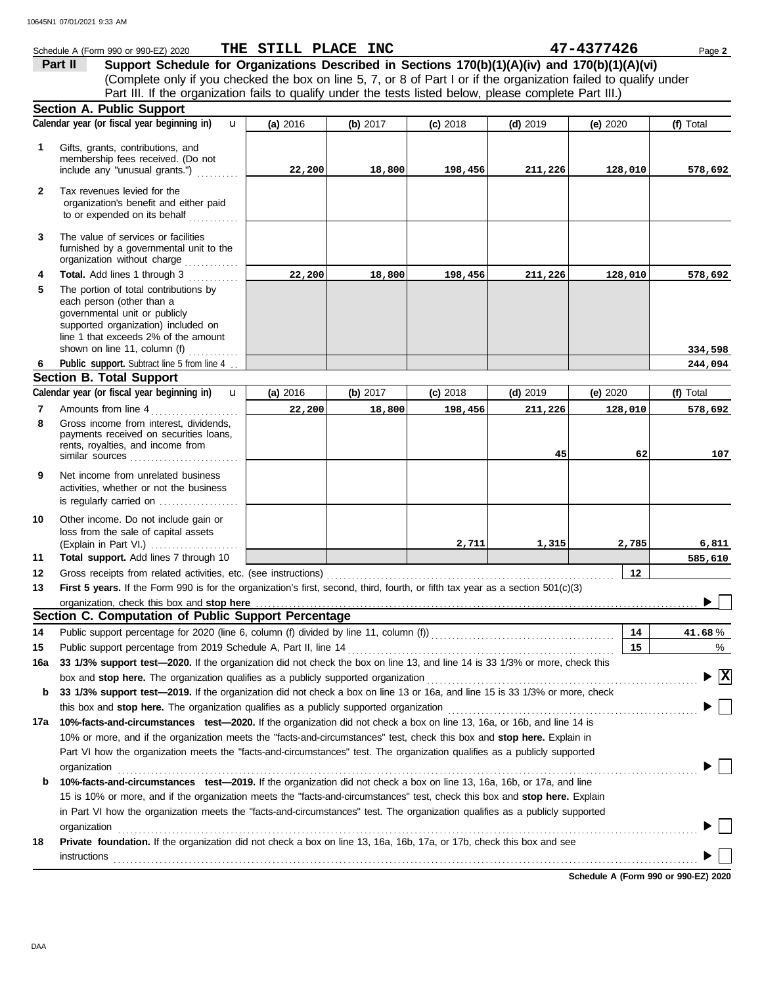|              | Schedule A (Form 990 or 990-EZ) 2020                                                                                                                                                                                                                 | THE STILL PLACE INC |          |            |            | 47-4377426 | Page 2                          |
|--------------|------------------------------------------------------------------------------------------------------------------------------------------------------------------------------------------------------------------------------------------------------|---------------------|----------|------------|------------|------------|---------------------------------|
|              | Support Schedule for Organizations Described in Sections 170(b)(1)(A)(iv) and 170(b)(1)(A)(vi)<br>Part II                                                                                                                                            |                     |          |            |            |            |                                 |
|              | (Complete only if you checked the box on line 5, 7, or 8 of Part I or if the organization failed to qualify under                                                                                                                                    |                     |          |            |            |            |                                 |
|              | Part III. If the organization fails to qualify under the tests listed below, please complete Part III.)                                                                                                                                              |                     |          |            |            |            |                                 |
|              | <b>Section A. Public Support</b>                                                                                                                                                                                                                     |                     |          |            |            |            |                                 |
|              | Calendar year (or fiscal year beginning in)<br>$\mathbf{u}$                                                                                                                                                                                          | (a) 2016            | (b) 2017 | $(c)$ 2018 | $(d)$ 2019 | (e) 2020   | (f) Total                       |
| 1            | Gifts, grants, contributions, and                                                                                                                                                                                                                    |                     |          |            |            |            |                                 |
|              | membership fees received. (Do not                                                                                                                                                                                                                    |                     |          |            |            |            |                                 |
|              | include any "unusual grants.")                                                                                                                                                                                                                       | 22,200              | 18,800   | 198,456    | 211,226    | 128,010    | 578,692                         |
| $\mathbf{2}$ | Tax revenues levied for the<br>organization's benefit and either paid                                                                                                                                                                                |                     |          |            |            |            |                                 |
|              | to or expended on its behalf<br>.                                                                                                                                                                                                                    |                     |          |            |            |            |                                 |
| 3            | The value of services or facilities<br>furnished by a governmental unit to the<br>organization without charge                                                                                                                                        |                     |          |            |            |            |                                 |
| 4            | Total. Add lines 1 through 3<br>.                                                                                                                                                                                                                    | 22,200              | 18,800   | 198,456    | 211,226    | 128,010    | 578,692                         |
| 5            | The portion of total contributions by<br>each person (other than a<br>governmental unit or publicly<br>supported organization) included on<br>line 1 that exceeds 2% of the amount<br>shown on line 11, column (f) $\ldots$                          |                     |          |            |            |            |                                 |
| 6            | Public support. Subtract line 5 from line 4.                                                                                                                                                                                                         |                     |          |            |            |            | 334,598<br>244,094              |
|              | <b>Section B. Total Support</b>                                                                                                                                                                                                                      |                     |          |            |            |            |                                 |
|              | Calendar year (or fiscal year beginning in)<br>$\mathbf{u}$                                                                                                                                                                                          | (a) 2016            | (b) 2017 | $(c)$ 2018 | $(d)$ 2019 | (e) 2020   | (f) Total                       |
| 7            | Amounts from line 4<br>.                                                                                                                                                                                                                             | 22,200              | 18,800   | 198,456    | 211,226    | 128,010    | 578,692                         |
| 8            | Gross income from interest, dividends,<br>payments received on securities loans,<br>rents, royalties, and income from<br>similar sources                                                                                                             |                     |          |            | 45         | 62         | 107                             |
| 9            | Net income from unrelated business<br>activities, whether or not the business<br>is regularly carried on                                                                                                                                             |                     |          |            |            |            |                                 |
| 10           | Other income. Do not include gain or<br>loss from the sale of capital assets<br>(Explain in Part VI.)                                                                                                                                                |                     |          | 2,711      | 1,315      | 2,785      | 6,811                           |
| 11           | Total support. Add lines 7 through 10                                                                                                                                                                                                                |                     |          |            |            |            | 585,610                         |
| 12           |                                                                                                                                                                                                                                                      |                     |          |            |            | 12         |                                 |
| 13           | First 5 years. If the Form 990 is for the organization's first, second, third, fourth, or fifth tax year as a section 501(c)(3)                                                                                                                      |                     |          |            |            |            |                                 |
|              | organization, check this box and stop here                                                                                                                                                                                                           |                     |          |            |            |            |                                 |
|              | Section C. Computation of Public Support Percentage                                                                                                                                                                                                  |                     |          |            |            |            |                                 |
| 14           |                                                                                                                                                                                                                                                      |                     |          |            |            | 14         | 41.68%                          |
| 15           | Public support percentage from 2019 Schedule A, Part II, line 14                                                                                                                                                                                     |                     |          |            |            | 15         | %                               |
| 16a          | 33 1/3% support test-2020. If the organization did not check the box on line 13, and line 14 is 33 1/3% or more, check this                                                                                                                          |                     |          |            |            |            |                                 |
|              | box and stop here. The organization qualifies as a publicly supported organization                                                                                                                                                                   |                     |          |            |            |            | $\blacktriangleright$ $\vert$ X |
| b            | 33 1/3% support test-2019. If the organization did not check a box on line 13 or 16a, and line 15 is 33 1/3% or more, check                                                                                                                          |                     |          |            |            |            |                                 |
|              | this box and stop here. The organization qualifies as a publicly supported organization                                                                                                                                                              |                     |          |            |            |            |                                 |
| 17a          | 10%-facts-and-circumstances test-2020. If the organization did not check a box on line 13, 16a, or 16b, and line 14 is                                                                                                                               |                     |          |            |            |            |                                 |
|              | 10% or more, and if the organization meets the "facts-and-circumstances" test, check this box and stop here. Explain in<br>Part VI how the organization meets the "facts-and-circumstances" test. The organization qualifies as a publicly supported |                     |          |            |            |            |                                 |
|              | organization                                                                                                                                                                                                                                         |                     |          |            |            |            |                                 |
| b            | 10%-facts-and-circumstances test-2019. If the organization did not check a box on line 13, 16a, 16b, or 17a, and line                                                                                                                                |                     |          |            |            |            |                                 |
|              | 15 is 10% or more, and if the organization meets the "facts-and-circumstances" test, check this box and stop here. Explain                                                                                                                           |                     |          |            |            |            |                                 |
|              | in Part VI how the organization meets the "facts-and-circumstances" test. The organization qualifies as a publicly supported<br>organization                                                                                                         |                     |          |            |            |            |                                 |
| 18           | Private foundation. If the organization did not check a box on line 13, 16a, 16b, 17a, or 17b, check this box and see                                                                                                                                |                     |          |            |            |            |                                 |
|              |                                                                                                                                                                                                                                                      |                     |          |            |            |            |                                 |
|              | <b>instructions</b>                                                                                                                                                                                                                                  |                     |          |            |            |            |                                 |

**Schedule A (Form 990 or 990-EZ) 2020**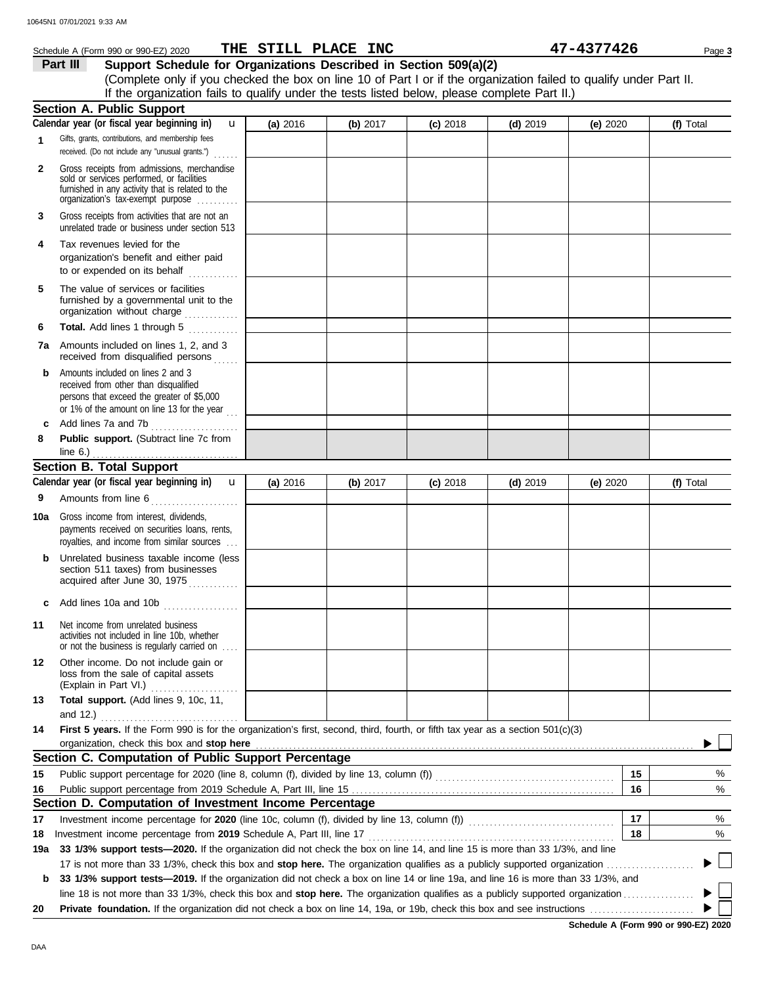#### **Section B. Total Support** unrelated trade or business under section 513 **Part III Support Schedule for Organizations Described in Section 509(a)(2)** (Complete only if you checked the box on line 10 of Part I or if the organization failed to qualify under Part II. **1 2 3 6 8** Schedule A (Form 990 or 990-EZ) 2020 **THE STILL PLACE INC 1990 Page 3 Page 3** Gifts, grants, contributions, and membership fees received. (Do not include any "unusual grants.") . . . . . . **Public support.** (Subtract line 7c from Gross receipts from admissions, merchandise sold or services performed, or facilities furnished in any activity that is related to the Gross receipts from activities that are not an **Total.** Add lines 1 through 5 **Section A. Public Support** organization's tax-exempt purpose .......... **4** Tax revenues levied for the organization's benefit and either paid to or expended on its behalf when  $\cdots$ organization without charge .............. furnished by a governmental unit to the **5** The value of services or facilities **7a** Amounts included on lines 1, 2, and 3 received from disqualified persons **b** Amounts included on lines 2 and 3 received from other than disqualified persons that exceed the greater of \$5,000 or 1% of the amount on line 13 for the year  $\ldots$ **c** Add lines 7a and 7b . . . . . . . . . . . . . . . . . . . . . Amounts from line 6 . . . . . . . . . . . . . . . . . . . . . **9** royalties, and income from similar sources . . . payments received on securities loans, rents, **10a** Gross income from interest, dividends, **b** Unrelated business taxable income (less section 511 taxes) from businesses acquired after June 30, 1975 **c** Add lines 10a and 10b . . . . . . . . . . . . . . . . . . **11** Net income from unrelated business activities not included in line 10b, whether or not the business is regularly carried on . . . . (Explain in Part VI.) . . . . . . . . . . . . . . . . . . . . . loss from the sale of capital assets **12** Other income. Do not include gain or **13 Total support.** (Add lines 9, 10c, 11, **14 First 5 years.** If the Form 990 is for the organization's first, second, third, fourth, or fifth tax year as a section 501(c)(3) organization, check this box and stop here **Section C. Computation of Public Support Percentage** Public support percentage from 2019 Schedule A, Part III, line 15 . . . . . . . . . . . . . . . . . . . . . . . . . . . . . . . . . . . . . . . . . . . . . . . . . . . . . . . . . . . . . . . **15** Public support percentage for 2020 (line 8, column (f), divided by line 13, column (f)) . . . . . . . . . . . . . . . . . . . . . . . . . . . . . . . . . . . . . . . . . . . **16 Section D. Computation of Investment Income Percentage 18** Investment income percentage for **2020** (line 10c, column (f), divided by line 13, column (f)) . . . . . . . . . . . . . . . . . . . . . . . . . . . . . . . . . . . **17** Investment income percentage from **2019** Schedule A, Part III, line 17 . . . . . . . . . . . . . . . . . . . . . . . . . . . . . . . . . . . . . . . . . . . . . . . . . . . . . . . . . . . %  $\frac{1}{2}$ **16 15 17 18** % % **(a)** 2016 **(b)** 2017 **(c)** 2018 **(d)** 2019 **(e)** 2020 **(f)** Total **(f)** Total line 6.) . . . . . . . . . . . . . . . . . . . . . . . . . . . . . . . . . . . **Calendar year (or fiscal year beginning in)**  Calendar year (or fiscal year beginning in) **u** and 12.) . . . . . . . . . . . . . . . . . . . . . . . . . . . . . . . . . If the organization fails to qualify under the tests listed below, please complete Part II.) **(a)** 2016 **(b)** 2017 **(c)** 2018 **(d)** 2019 **(e)** 2020 u **THE STILL PLACE INC 47-4377426**

17 is not more than 33 1/3%, check this box and **stop here.** The organization qualifies as a publicly supported organization . . . . . . . . . . . . . . . . . . . . . **19a 33 1/3% support tests—2020.** If the organization did not check the box on line 14, and line 15 is more than 33 1/3%, and line **b 33 1/3% support tests—2019.** If the organization did not check a box on line 14 or line 19a, and line 16 is more than 33 1/3%, and

line 18 is not more than 33 1/3%, check this box and **stop here.** The organization qualifies as a publicly supported organization . . . . . . . . . . . . . . . . . **20 Private foundation.** If the organization did not check a box on line 14, 19a, or 19b, check this box and see instructions . . . . . . . . . . . . . . . . . . . . . . . . .

**Schedule A (Form 990 or 990-EZ) 2020**

 $\blacktriangleright$ 

 $\blacktriangleright$ 

DAA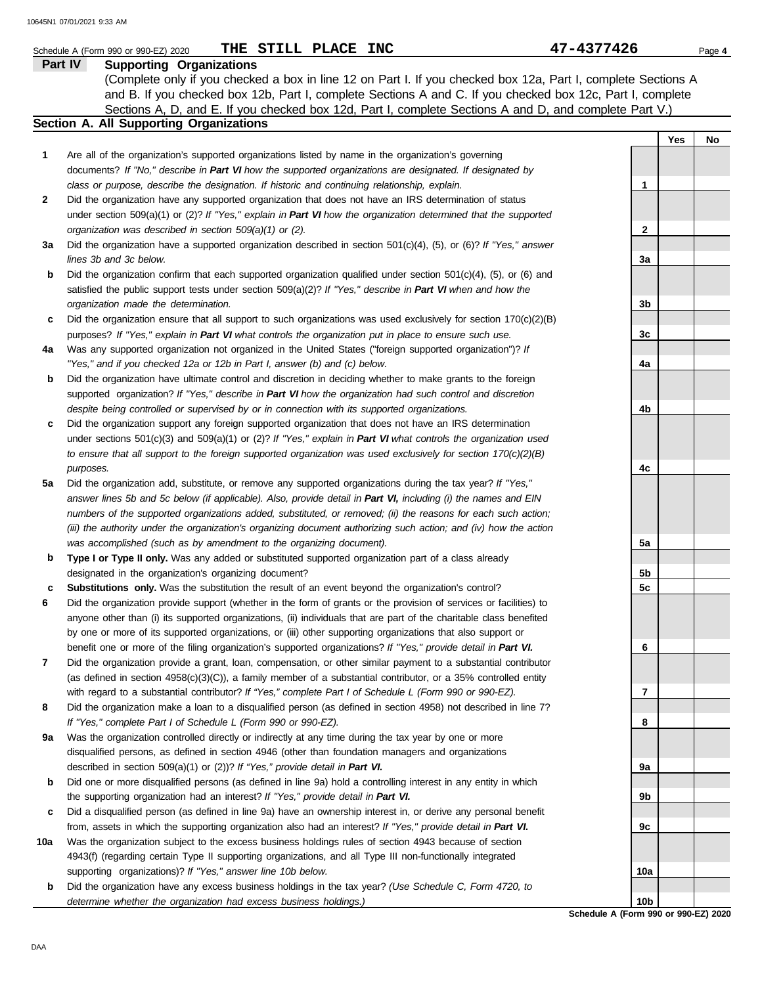|        | THE STILL PLACE INC<br>Schedule A (Form 990 or 990-EZ) 2020                                                                                                                                                                       | 47-4377426   |     | Page 4 |
|--------|-----------------------------------------------------------------------------------------------------------------------------------------------------------------------------------------------------------------------------------|--------------|-----|--------|
|        | Part IV<br><b>Supporting Organizations</b>                                                                                                                                                                                        |              |     |        |
|        | (Complete only if you checked a box in line 12 on Part I. If you checked box 12a, Part I, complete Sections A                                                                                                                     |              |     |        |
|        | and B. If you checked box 12b, Part I, complete Sections A and C. If you checked box 12c, Part I, complete                                                                                                                        |              |     |        |
|        | Sections A, D, and E. If you checked box 12d, Part I, complete Sections A and D, and complete Part V.)                                                                                                                            |              |     |        |
|        | Section A. All Supporting Organizations                                                                                                                                                                                           |              |     |        |
|        |                                                                                                                                                                                                                                   |              | Yes | No     |
| 1      | Are all of the organization's supported organizations listed by name in the organization's governing                                                                                                                              |              |     |        |
|        | documents? If "No," describe in Part VI how the supported organizations are designated. If designated by                                                                                                                          |              |     |        |
|        | class or purpose, describe the designation. If historic and continuing relationship, explain.                                                                                                                                     | 1            |     |        |
| 2      | Did the organization have any supported organization that does not have an IRS determination of status                                                                                                                            |              |     |        |
|        | under section 509(a)(1) or (2)? If "Yes," explain in Part VI how the organization determined that the supported                                                                                                                   |              |     |        |
|        | organization was described in section $509(a)(1)$ or (2).                                                                                                                                                                         | $\mathbf{2}$ |     |        |
| За     | Did the organization have a supported organization described in section $501(c)(4)$ , (5), or (6)? If "Yes," answer                                                                                                               |              |     |        |
|        | lines 3b and 3c below.                                                                                                                                                                                                            | 3a           |     |        |
| b      | Did the organization confirm that each supported organization qualified under section 501(c)(4), (5), or (6) and                                                                                                                  |              |     |        |
|        | satisfied the public support tests under section 509(a)(2)? If "Yes," describe in Part VI when and how the                                                                                                                        |              |     |        |
|        | organization made the determination.                                                                                                                                                                                              | 3b           |     |        |
| c      | Did the organization ensure that all support to such organizations was used exclusively for section $170(c)(2)(B)$                                                                                                                |              |     |        |
|        | purposes? If "Yes," explain in Part VI what controls the organization put in place to ensure such use.                                                                                                                            | 3c           |     |        |
| 4a     | Was any supported organization not organized in the United States ("foreign supported organization")? If                                                                                                                          |              |     |        |
|        | "Yes," and if you checked 12a or 12b in Part I, answer (b) and (c) below.                                                                                                                                                         | 4a           |     |        |
| b      | Did the organization have ultimate control and discretion in deciding whether to make grants to the foreign                                                                                                                       |              |     |        |
|        | supported organization? If "Yes," describe in Part VI how the organization had such control and discretion                                                                                                                        |              |     |        |
|        | despite being controlled or supervised by or in connection with its supported organizations.                                                                                                                                      | 4b           |     |        |
| c      | Did the organization support any foreign supported organization that does not have an IRS determination                                                                                                                           |              |     |        |
|        | under sections $501(c)(3)$ and $509(a)(1)$ or (2)? If "Yes," explain in Part VI what controls the organization used                                                                                                               |              |     |        |
|        | to ensure that all support to the foreign supported organization was used exclusively for section $170(c)(2)(B)$                                                                                                                  |              |     |        |
|        | purposes.                                                                                                                                                                                                                         | 4c           |     |        |
| 5a     | Did the organization add, substitute, or remove any supported organizations during the tax year? If "Yes,"                                                                                                                        |              |     |        |
|        | answer lines 5b and 5c below (if applicable). Also, provide detail in Part VI, including (i) the names and EIN                                                                                                                    |              |     |        |
|        | numbers of the supported organizations added, substituted, or removed; (ii) the reasons for each such action;                                                                                                                     |              |     |        |
|        | (iii) the authority under the organization's organizing document authorizing such action; and (iv) how the action                                                                                                                 |              |     |        |
|        | was accomplished (such as by amendment to the organizing document).                                                                                                                                                               | 5a           |     |        |
| b      | Type I or Type II only. Was any added or substituted supported organization part of a class already                                                                                                                               |              |     |        |
|        | designated in the organization's organizing document?                                                                                                                                                                             | 5b           |     |        |
|        | <b>Substitutions only.</b> Was the substitution the result of an event beyond the organization's control?                                                                                                                         | 5c           |     |        |
| c<br>6 | Did the organization provide support (whether in the form of grants or the provision of services or facilities) to                                                                                                                |              |     |        |
|        | anyone other than (i) its supported organizations, (ii) individuals that are part of the charitable class benefited                                                                                                               |              |     |        |
|        | by one or more of its supported organizations, or (iii) other supporting organizations that also support or                                                                                                                       |              |     |        |
|        |                                                                                                                                                                                                                                   |              |     |        |
| 7      | benefit one or more of the filing organization's supported organizations? If "Yes," provide detail in Part VI.<br>Did the organization provide a grant, loan, compensation, or other similar payment to a substantial contributor | 6            |     |        |
|        | (as defined in section 4958(c)(3)(C)), a family member of a substantial contributor, or a 35% controlled entity                                                                                                                   |              |     |        |
|        | with regard to a substantial contributor? If "Yes," complete Part I of Schedule L (Form 990 or 990-EZ).                                                                                                                           | 7            |     |        |
| 8      | Did the organization make a loan to a disqualified person (as defined in section 4958) not described in line 7?                                                                                                                   |              |     |        |
|        | If "Yes," complete Part I of Schedule L (Form 990 or 990-EZ).                                                                                                                                                                     |              |     |        |
|        | Was the organization controlled directly or indirectly at any time during the tax year by one or more                                                                                                                             | 8            |     |        |
| 9а     |                                                                                                                                                                                                                                   |              |     |        |
|        | disqualified persons, as defined in section 4946 (other than foundation managers and organizations                                                                                                                                |              |     |        |
|        | described in section 509(a)(1) or (2))? If "Yes," provide detail in Part VI.                                                                                                                                                      | 9а           |     |        |
| b      | Did one or more disqualified persons (as defined in line 9a) hold a controlling interest in any entity in which                                                                                                                   |              |     |        |
|        | the supporting organization had an interest? If "Yes," provide detail in Part VI.                                                                                                                                                 | 9b           |     |        |
| c      | Did a disqualified person (as defined in line 9a) have an ownership interest in, or derive any personal benefit                                                                                                                   |              |     |        |
|        | from, assets in which the supporting organization also had an interest? If "Yes," provide detail in Part VI.                                                                                                                      | 9c           |     |        |
| 10a    | Was the organization subject to the excess business holdings rules of section 4943 because of section                                                                                                                             |              |     |        |
|        | 4943(f) (regarding certain Type II supporting organizations, and all Type III non-functionally integrated                                                                                                                         |              |     |        |
|        | supporting organizations)? If "Yes," answer line 10b below.                                                                                                                                                                       | 10a          |     |        |
| b      | Did the organization have any excess business holdings in the tax year? (Use Schedule C, Form 4720, to                                                                                                                            |              |     |        |

**Schedule A (Form 990 or 990-EZ) 2020 10b**

*determine whether the organization had excess business holdings.)*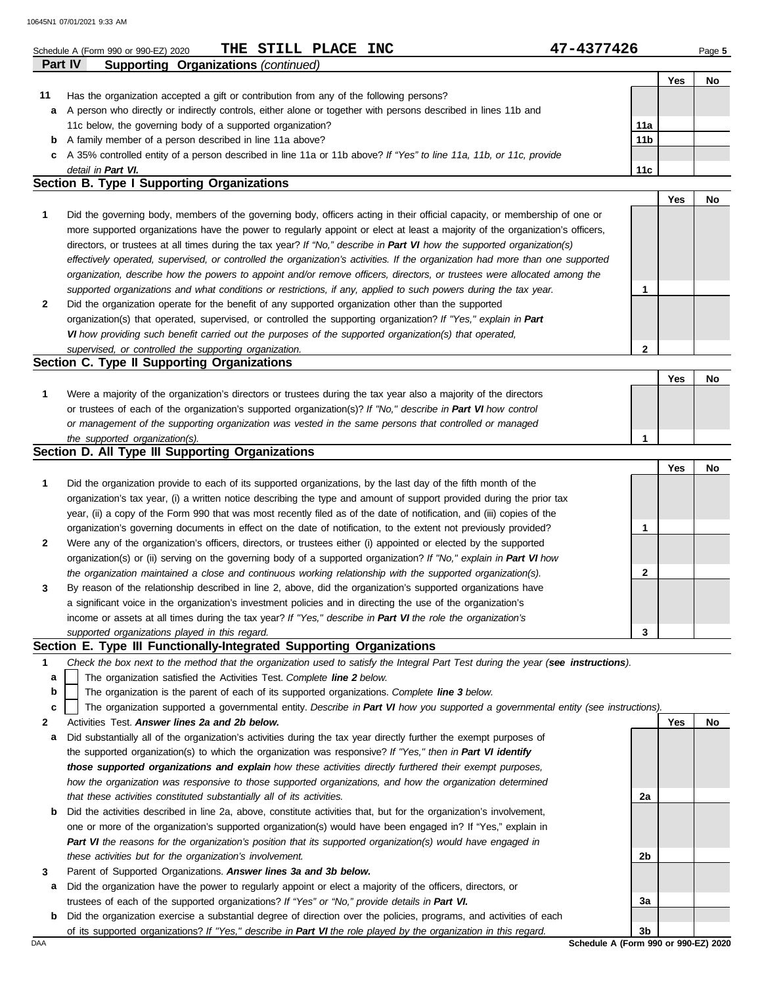|              | THE STILL PLACE INC<br>Schedule A (Form 990 or 990-EZ) 2020                                                                       | 47-4377426      |            | Page 5 |
|--------------|-----------------------------------------------------------------------------------------------------------------------------------|-----------------|------------|--------|
|              | <b>Supporting Organizations (continued)</b><br>Part IV                                                                            |                 |            |        |
|              |                                                                                                                                   |                 | Yes        | No     |
| 11           | Has the organization accepted a gift or contribution from any of the following persons?                                           |                 |            |        |
| a            | A person who directly or indirectly controls, either alone or together with persons described in lines 11b and                    |                 |            |        |
|              | 11c below, the governing body of a supported organization?                                                                        | 11a             |            |        |
| b            | A family member of a person described in line 11a above?                                                                          | 11 <sub>b</sub> |            |        |
| c            | A 35% controlled entity of a person described in line 11a or 11b above? If "Yes" to line 11a, 11b, or 11c, provide                |                 |            |        |
|              | detail in Part VI.<br>Section B. Type I Supporting Organizations                                                                  | 11 <sub>c</sub> |            |        |
|              |                                                                                                                                   |                 | <b>Yes</b> | No     |
| 1            | Did the governing body, members of the governing body, officers acting in their official capacity, or membership of one or        |                 |            |        |
|              | more supported organizations have the power to regularly appoint or elect at least a majority of the organization's officers,     |                 |            |        |
|              | directors, or trustees at all times during the tax year? If "No," describe in Part VI how the supported organization(s)           |                 |            |        |
|              | effectively operated, supervised, or controlled the organization's activities. If the organization had more than one supported    |                 |            |        |
|              | organization, describe how the powers to appoint and/or remove officers, directors, or trustees were allocated among the          |                 |            |        |
|              | supported organizations and what conditions or restrictions, if any, applied to such powers during the tax year.                  | 1               |            |        |
| $\mathbf{2}$ | Did the organization operate for the benefit of any supported organization other than the supported                               |                 |            |        |
|              | organization(s) that operated, supervised, or controlled the supporting organization? If "Yes," explain in Part                   |                 |            |        |
|              | VI how providing such benefit carried out the purposes of the supported organization(s) that operated,                            |                 |            |        |
|              | supervised, or controlled the supporting organization.                                                                            | $\mathbf{2}$    |            |        |
|              | Section C. Type II Supporting Organizations                                                                                       |                 |            |        |
|              |                                                                                                                                   |                 | Yes        | No     |
| 1            | Were a majority of the organization's directors or trustees during the tax year also a majority of the directors                  |                 |            |        |
|              | or trustees of each of the organization's supported organization(s)? If "No," describe in Part VI how control                     |                 |            |        |
|              | or management of the supporting organization was vested in the same persons that controlled or managed                            |                 |            |        |
|              | the supported organization(s).                                                                                                    | 1               |            |        |
|              | Section D. All Type III Supporting Organizations                                                                                  |                 |            |        |
|              |                                                                                                                                   |                 | <b>Yes</b> | No     |
| 1            | Did the organization provide to each of its supported organizations, by the last day of the fifth month of the                    |                 |            |        |
|              | organization's tax year, (i) a written notice describing the type and amount of support provided during the prior tax             |                 |            |        |
|              | year, (ii) a copy of the Form 990 that was most recently filed as of the date of notification, and (iii) copies of the            |                 |            |        |
|              | organization's governing documents in effect on the date of notification, to the extent not previously provided?                  | 1               |            |        |
| 2            | Were any of the organization's officers, directors, or trustees either (i) appointed or elected by the supported                  |                 |            |        |
|              | organization(s) or (ii) serving on the governing body of a supported organization? If "No," explain in Part VI how                |                 |            |        |
|              | the organization maintained a close and continuous working relationship with the supported organization(s).                       | 2               |            |        |
| 3            | By reason of the relationship described in line 2, above, did the organization's supported organizations have                     |                 |            |        |
|              | a significant voice in the organization's investment policies and in directing the use of the organization's                      |                 |            |        |
|              | income or assets at all times during the tax year? If "Yes," describe in Part VI the role the organization's                      |                 |            |        |
|              | supported organizations played in this regard.                                                                                    | 3               |            |        |
|              | Section E. Type III Functionally-Integrated Supporting Organizations                                                              |                 |            |        |
| 1            | Check the box next to the method that the organization used to satisfy the Integral Part Test during the year (see instructions). |                 |            |        |
| a            | The organization satisfied the Activities Test. Complete line 2 below.                                                            |                 |            |        |
| b            | The organization is the parent of each of its supported organizations. Complete line 3 below.                                     |                 |            |        |
| c            | The organization supported a governmental entity. Describe in Part VI how you supported a governmental entity (see instructions). |                 |            |        |
| 2            | Activities Test. Answer lines 2a and 2b below.                                                                                    |                 | Yes        | No     |
| а            | Did substantially all of the organization's activities during the tax year directly further the exempt purposes of                |                 |            |        |
|              | the supported organization(s) to which the organization was responsive? If "Yes," then in Part VI identify                        |                 |            |        |
|              | those supported organizations and explain how these activities directly furthered their exempt purposes,                          |                 |            |        |
|              | how the organization was responsive to those supported organizations, and how the organization determined                         |                 |            |        |
|              | that these activities constituted substantially all of its activities.                                                            | 2a              |            |        |
| b            | Did the activities described in line 2a, above, constitute activities that, but for the organization's involvement,               |                 |            |        |

- one or more of the organization's supported organization(s) would have been engaged in? If "Yes," explain in *Part VI the reasons for the organization's position that its supported organization(s) would have engaged in these activities but for the organization's involvement.*
- **3** Parent of Supported Organizations. *Answer lines 3a and 3b below.*
- **a** Did the organization have the power to regularly appoint or elect a majority of the officers, directors, or trustees of each of the supported organizations? *If "Yes" or "No," provide details in Part VI.*
- **b** Did the organization exercise a substantial degree of direction over the policies, programs, and activities of each of its supported organizations? *If "Yes," describe in Part VI the role played by the organization in this regard.*

DAA **Schedule A (Form 990 or 990-EZ) 2020 3b**

**2b**

**3a**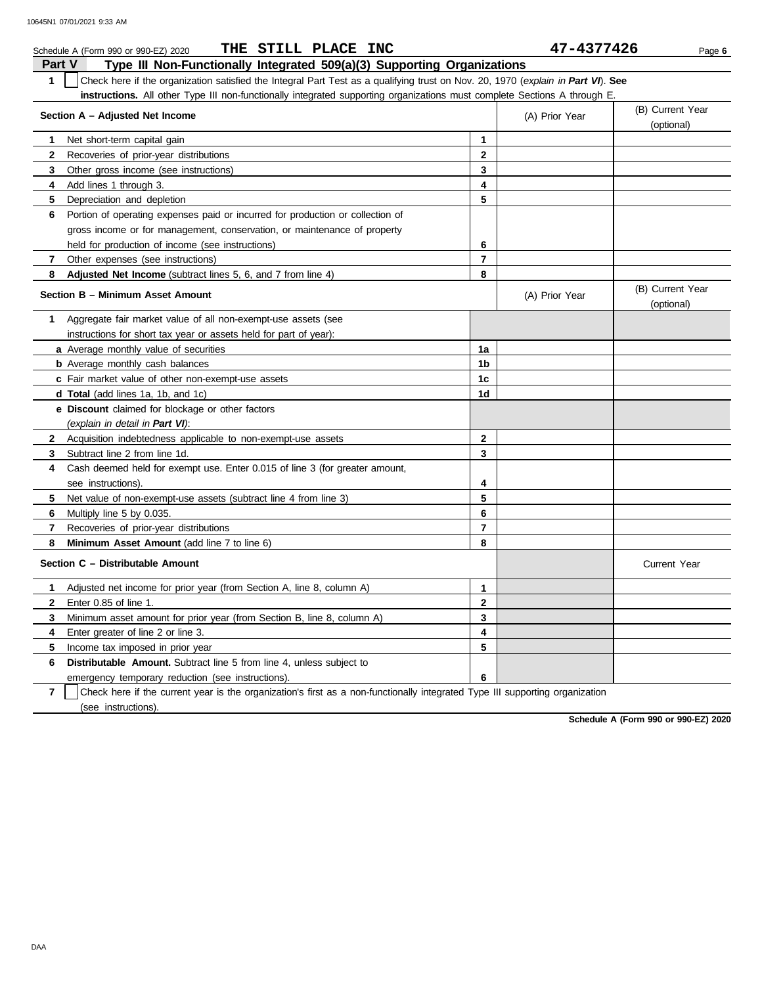|                | THE STILL PLACE INC<br>Schedule A (Form 990 or 990-EZ) 2020                                                                      |                | 47-4377426     | Page 6                         |
|----------------|----------------------------------------------------------------------------------------------------------------------------------|----------------|----------------|--------------------------------|
| <b>Part V</b>  | Type III Non-Functionally Integrated 509(a)(3) Supporting Organizations                                                          |                |                |                                |
| $\mathbf{1}$   | Check here if the organization satisfied the Integral Part Test as a qualifying trust on Nov. 20, 1970 (explain in Part VI). See |                |                |                                |
|                | instructions. All other Type III non-functionally integrated supporting organizations must complete Sections A through E.        |                |                |                                |
|                | Section A - Adjusted Net Income                                                                                                  |                | (A) Prior Year | (B) Current Year               |
|                |                                                                                                                                  |                |                | (optional)                     |
| 1              | Net short-term capital gain                                                                                                      | 1              |                |                                |
| $\mathbf{2}$   | Recoveries of prior-year distributions                                                                                           | $\mathbf{2}$   |                |                                |
| 3              | Other gross income (see instructions)                                                                                            | 3              |                |                                |
| 4              | Add lines 1 through 3.                                                                                                           | 4              |                |                                |
| 5              | Depreciation and depletion                                                                                                       | 5              |                |                                |
| 6              | Portion of operating expenses paid or incurred for production or collection of                                                   |                |                |                                |
|                | gross income or for management, conservation, or maintenance of property                                                         |                |                |                                |
|                | held for production of income (see instructions)                                                                                 | 6              |                |                                |
| 7              | Other expenses (see instructions)                                                                                                | $\overline{7}$ |                |                                |
| 8              | Adjusted Net Income (subtract lines 5, 6, and 7 from line 4)                                                                     | 8              |                |                                |
|                | Section B - Minimum Asset Amount                                                                                                 |                | (A) Prior Year | (B) Current Year<br>(optional) |
| 1              | Aggregate fair market value of all non-exempt-use assets (see                                                                    |                |                |                                |
|                | instructions for short tax year or assets held for part of year):                                                                |                |                |                                |
|                | a Average monthly value of securities                                                                                            | 1a             |                |                                |
|                | <b>b</b> Average monthly cash balances                                                                                           | 1 <sub>b</sub> |                |                                |
|                | c Fair market value of other non-exempt-use assets                                                                               | 1 <sub>c</sub> |                |                                |
|                | d Total (add lines 1a, 1b, and 1c)                                                                                               | 1 <sub>d</sub> |                |                                |
|                | e Discount claimed for blockage or other factors                                                                                 |                |                |                                |
|                | (explain in detail in Part VI):                                                                                                  |                |                |                                |
| $\mathbf{2}$   | Acquisition indebtedness applicable to non-exempt-use assets                                                                     | $\mathbf{2}$   |                |                                |
| 3              | Subtract line 2 from line 1d.                                                                                                    | 3              |                |                                |
| 4              | Cash deemed held for exempt use. Enter 0.015 of line 3 (for greater amount,                                                      |                |                |                                |
|                | see instructions).                                                                                                               | 4              |                |                                |
| 5.             | Net value of non-exempt-use assets (subtract line 4 from line 3)                                                                 | 5              |                |                                |
| 6              | Multiply line 5 by 0.035.                                                                                                        | 6              |                |                                |
| 7              | Recoveries of prior-year distributions                                                                                           | $\overline{7}$ |                |                                |
| 8              | Minimum Asset Amount (add line 7 to line 6)                                                                                      | 8              |                |                                |
|                | Section C - Distributable Amount                                                                                                 |                |                | <b>Current Year</b>            |
| 1              | Adjusted net income for prior year (from Section A, line 8, column A)                                                            | 1              |                |                                |
|                | 2 Enter 0.85 of line 1.                                                                                                          | $\mathbf 2$    |                |                                |
| 3              | Minimum asset amount for prior year (from Section B, line 8, column A)                                                           | 3              |                |                                |
| 4              | Enter greater of line 2 or line 3.                                                                                               | 4              |                |                                |
| 5              | Income tax imposed in prior year                                                                                                 | 5              |                |                                |
| 6              | Distributable Amount. Subtract line 5 from line 4, unless subject to                                                             |                |                |                                |
|                | emergency temporary reduction (see instructions).                                                                                | 6              |                |                                |
| $\overline{7}$ | Check here if the current year is the organization's first as a non-functionally integrated Type III supporting organization     |                |                |                                |

(see instructions).

**Schedule A (Form 990 or 990-EZ) 2020**

DAA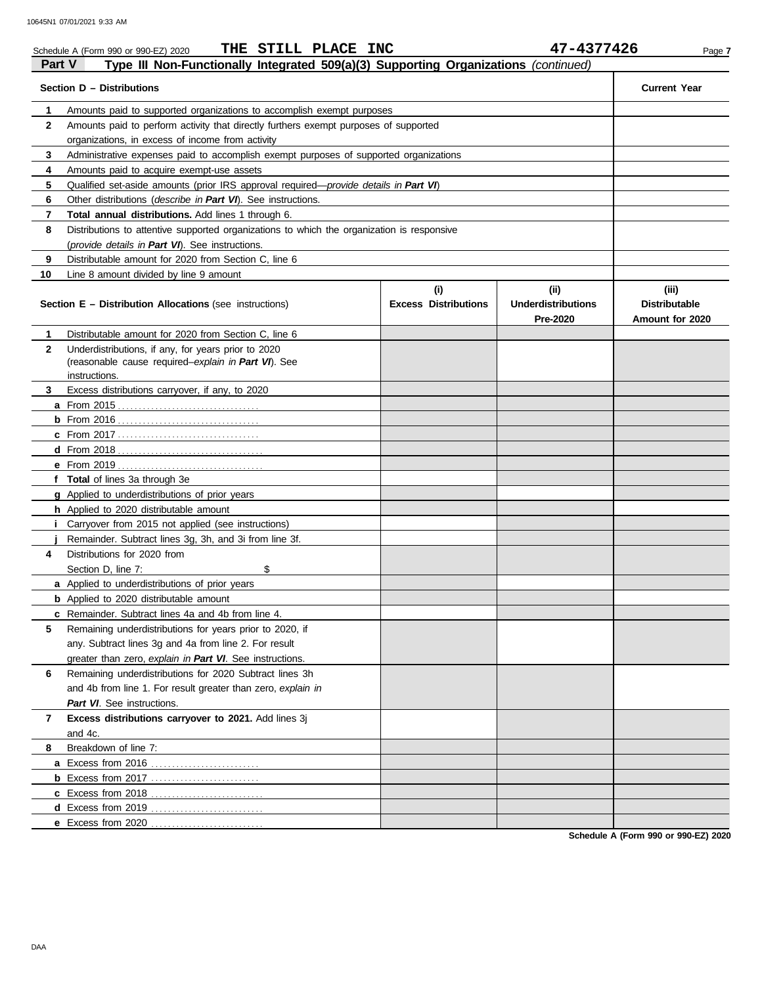|               | THE STILL PLACE INC<br>Schedule A (Form 990 or 990-EZ) 2020                                |                                    | 47-4377426                                    | Page 7                                           |
|---------------|--------------------------------------------------------------------------------------------|------------------------------------|-----------------------------------------------|--------------------------------------------------|
| <b>Part V</b> | Type III Non-Functionally Integrated 509(a)(3) Supporting Organizations (continued)        |                                    |                                               |                                                  |
|               | Section D - Distributions                                                                  |                                    |                                               | <b>Current Year</b>                              |
| $\mathbf{1}$  | Amounts paid to supported organizations to accomplish exempt purposes                      |                                    |                                               |                                                  |
| 2             | Amounts paid to perform activity that directly furthers exempt purposes of supported       |                                    |                                               |                                                  |
|               | organizations, in excess of income from activity                                           |                                    |                                               |                                                  |
| 3             | Administrative expenses paid to accomplish exempt purposes of supported organizations      |                                    |                                               |                                                  |
| 4             | Amounts paid to acquire exempt-use assets                                                  |                                    |                                               |                                                  |
| 5             | Qualified set-aside amounts (prior IRS approval required—provide details in Part VI)       |                                    |                                               |                                                  |
| 6             | Other distributions (describe in Part VI). See instructions.                               |                                    |                                               |                                                  |
| 7             | Total annual distributions. Add lines 1 through 6.                                         |                                    |                                               |                                                  |
| 8             | Distributions to attentive supported organizations to which the organization is responsive |                                    |                                               |                                                  |
|               | (provide details in Part VI). See instructions.                                            |                                    |                                               |                                                  |
| 9             | Distributable amount for 2020 from Section C, line 6                                       |                                    |                                               |                                                  |
| 10            | Line 8 amount divided by line 9 amount                                                     |                                    |                                               |                                                  |
|               | <b>Section E – Distribution Allocations</b> (see instructions)                             | (i)<br><b>Excess Distributions</b> | (ii)<br><b>Underdistributions</b><br>Pre-2020 | (iii)<br><b>Distributable</b><br>Amount for 2020 |
| 1             | Distributable amount for 2020 from Section C, line 6                                       |                                    |                                               |                                                  |
| $\mathbf{2}$  | Underdistributions, if any, for years prior to 2020                                        |                                    |                                               |                                                  |
|               | (reasonable cause required-explain in Part VI). See                                        |                                    |                                               |                                                  |
|               | instructions.                                                                              |                                    |                                               |                                                  |
| 3             | Excess distributions carryover, if any, to 2020                                            |                                    |                                               |                                                  |
|               |                                                                                            |                                    |                                               |                                                  |
|               |                                                                                            |                                    |                                               |                                                  |
|               |                                                                                            |                                    |                                               |                                                  |
|               |                                                                                            |                                    |                                               |                                                  |
|               |                                                                                            |                                    |                                               |                                                  |
|               | f Total of lines 3a through 3e                                                             |                                    |                                               |                                                  |
|               | g Applied to underdistributions of prior years                                             |                                    |                                               |                                                  |
|               | h Applied to 2020 distributable amount                                                     |                                    |                                               |                                                  |
| Î.            | Carryover from 2015 not applied (see instructions)                                         |                                    |                                               |                                                  |
|               | Remainder. Subtract lines 3g, 3h, and 3i from line 3f.                                     |                                    |                                               |                                                  |
| 4             | Distributions for 2020 from                                                                |                                    |                                               |                                                  |
|               | Section D, line 7:<br>\$                                                                   |                                    |                                               |                                                  |
|               | a Applied to underdistributions of prior years                                             |                                    |                                               |                                                  |
|               | <b>b</b> Applied to 2020 distributable amount                                              |                                    |                                               |                                                  |
|               | c Remainder. Subtract lines 4a and 4b from line 4.                                         |                                    |                                               |                                                  |
| 5             | Remaining underdistributions for years prior to 2020, if                                   |                                    |                                               |                                                  |
|               | any. Subtract lines 3g and 4a from line 2. For result                                      |                                    |                                               |                                                  |
|               | greater than zero, explain in Part VI. See instructions.                                   |                                    |                                               |                                                  |
| 6             | Remaining underdistributions for 2020 Subtract lines 3h                                    |                                    |                                               |                                                  |
|               | and 4b from line 1. For result greater than zero, explain in                               |                                    |                                               |                                                  |
|               | Part VI. See instructions.                                                                 |                                    |                                               |                                                  |
| 7             | Excess distributions carryover to 2021. Add lines 3j                                       |                                    |                                               |                                                  |
|               | and 4c.                                                                                    |                                    |                                               |                                                  |
| 8             | Breakdown of line 7:                                                                       |                                    |                                               |                                                  |
|               | a Excess from 2016                                                                         |                                    |                                               |                                                  |
|               | <b>b</b> Excess from 2017                                                                  |                                    |                                               |                                                  |
|               |                                                                                            |                                    |                                               |                                                  |
|               |                                                                                            |                                    |                                               |                                                  |
|               | e Excess from 2020                                                                         |                                    |                                               |                                                  |

**Schedule A (Form 990 or 990-EZ) 2020**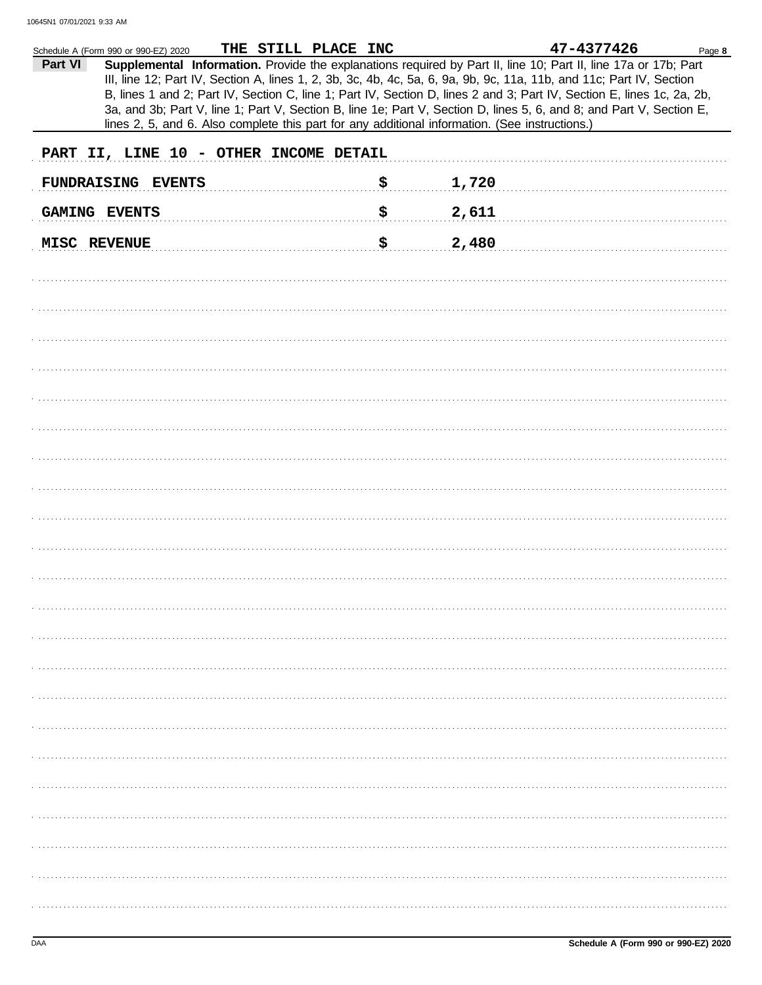|         | Schedule A (Form 990 or 990-EZ) 2020                                                                                   | THE STILL PLACE INC |     |       | 47-4377426 | Page 8 |
|---------|------------------------------------------------------------------------------------------------------------------------|---------------------|-----|-------|------------|--------|
| Part VI | Supplemental Information. Provide the explanations required by Part II, line 10; Part II, line 17a or 17b; Part        |                     |     |       |            |        |
|         | III, line 12; Part IV, Section A, lines 1, 2, 3b, 3c, 4b, 4c, 5a, 6, 9a, 9b, 9c, 11a, 11b, and 11c; Part IV, Section   |                     |     |       |            |        |
|         | B, lines 1 and 2; Part IV, Section C, line 1; Part IV, Section D, lines 2 and 3; Part IV, Section E, lines 1c, 2a, 2b, |                     |     |       |            |        |
|         |                                                                                                                        |                     |     |       |            |        |
|         | 3a, and 3b; Part V, line 1; Part V, Section B, line 1e; Part V, Section D, lines 5, 6, and 8; and Part V, Section E,   |                     |     |       |            |        |
|         | lines 2, 5, and 6. Also complete this part for any additional information. (See instructions.)                         |                     |     |       |            |        |
|         |                                                                                                                        |                     |     |       |            |        |
|         | PART II, LINE 10 - OTHER INCOME DETAIL                                                                                 |                     |     |       |            |        |
|         |                                                                                                                        |                     |     |       |            |        |
|         | FUNDRAISING EVENTS                                                                                                     |                     | \$  | 1,720 |            |        |
|         |                                                                                                                        |                     |     |       |            |        |
|         | GAMING EVENTS                                                                                                          |                     | \$. | 2,611 |            |        |
|         |                                                                                                                        |                     |     |       |            |        |
|         |                                                                                                                        |                     |     |       |            |        |
|         | MISC REVENUE                                                                                                           |                     | \$. | 2,480 |            |        |
|         |                                                                                                                        |                     |     |       |            |        |
|         |                                                                                                                        |                     |     |       |            |        |
|         |                                                                                                                        |                     |     |       |            |        |
|         |                                                                                                                        |                     |     |       |            |        |
|         |                                                                                                                        |                     |     |       |            |        |
|         |                                                                                                                        |                     |     |       |            |        |
|         |                                                                                                                        |                     |     |       |            |        |
|         |                                                                                                                        |                     |     |       |            |        |
|         |                                                                                                                        |                     |     |       |            |        |
|         |                                                                                                                        |                     |     |       |            |        |
|         |                                                                                                                        |                     |     |       |            |        |
|         |                                                                                                                        |                     |     |       |            |        |
|         |                                                                                                                        |                     |     |       |            |        |
|         |                                                                                                                        |                     |     |       |            |        |
|         |                                                                                                                        |                     |     |       |            |        |
|         |                                                                                                                        |                     |     |       |            |        |
|         |                                                                                                                        |                     |     |       |            |        |
|         |                                                                                                                        |                     |     |       |            |        |
|         |                                                                                                                        |                     |     |       |            |        |
|         |                                                                                                                        |                     |     |       |            |        |
|         |                                                                                                                        |                     |     |       |            |        |
|         |                                                                                                                        |                     |     |       |            |        |
|         |                                                                                                                        |                     |     |       |            |        |
|         |                                                                                                                        |                     |     |       |            |        |
|         |                                                                                                                        |                     |     |       |            |        |
|         |                                                                                                                        |                     |     |       |            |        |
|         |                                                                                                                        |                     |     |       |            |        |
|         |                                                                                                                        |                     |     |       |            |        |
|         |                                                                                                                        |                     |     |       |            |        |
|         |                                                                                                                        |                     |     |       |            |        |
|         |                                                                                                                        |                     |     |       |            |        |
|         |                                                                                                                        |                     |     |       |            |        |
|         |                                                                                                                        |                     |     |       |            |        |
|         |                                                                                                                        |                     |     |       |            |        |
|         |                                                                                                                        |                     |     |       |            |        |
|         |                                                                                                                        |                     |     |       |            |        |
|         |                                                                                                                        |                     |     |       |            |        |
|         |                                                                                                                        |                     |     |       |            |        |
|         |                                                                                                                        |                     |     |       |            |        |
|         |                                                                                                                        |                     |     |       |            |        |
|         |                                                                                                                        |                     |     |       |            |        |
|         |                                                                                                                        |                     |     |       |            |        |
|         |                                                                                                                        |                     |     |       |            |        |
|         |                                                                                                                        |                     |     |       |            |        |
|         |                                                                                                                        |                     |     |       |            |        |
|         |                                                                                                                        |                     |     |       |            |        |
|         |                                                                                                                        |                     |     |       |            |        |
|         |                                                                                                                        |                     |     |       |            |        |
|         |                                                                                                                        |                     |     |       |            |        |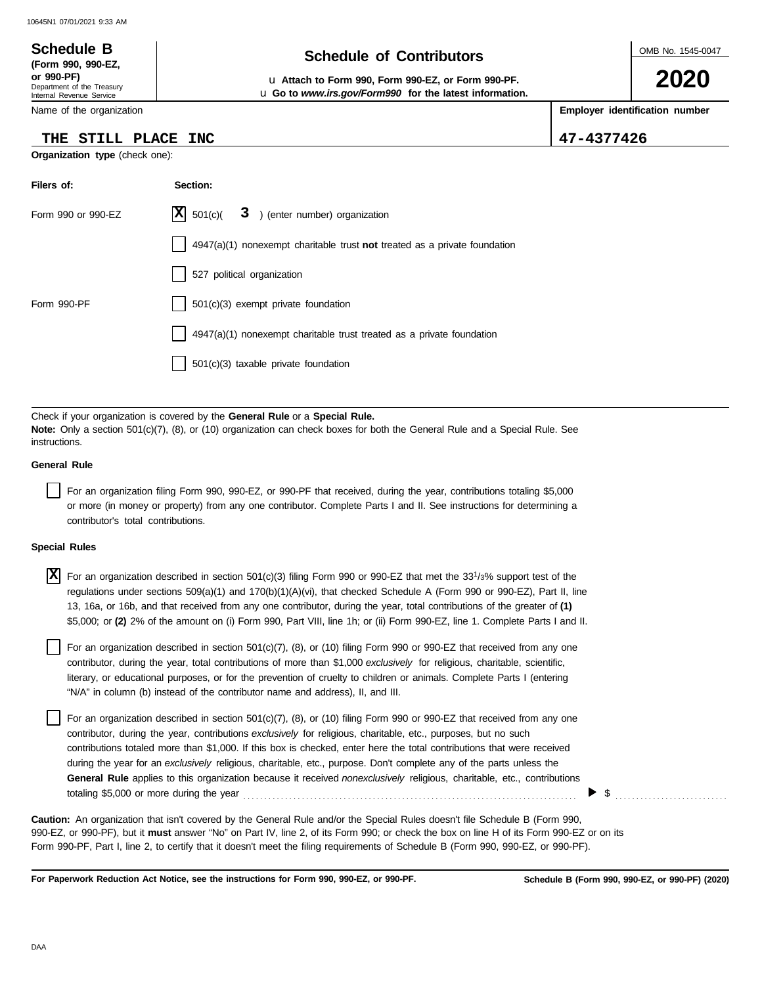### OMB No. 1545-0047 Department of the Treasury Internal Revenue Service Name of the organization **2020 Schedule of Contributors Schedule B (Form 990, 990-EZ, or 990-PF)** u **Attach to Form 990, Form 990-EZ, or Form 990-PF. Employer identification number Organization type** (check one): **Filers of: Section:** Form 990 or 990-EZ  $|\mathbf{X}|$  501(c)( 3) (enter number) organization u **Go to** *www.irs.gov/Form990* **for the latest information. THE STILL PLACE INC 47-4377426**  $|\mathbf{X}|$  501(c)(

4947(a)(1) nonexempt charitable trust **not** treated as a private foundation

4947(a)(1) nonexempt charitable trust treated as a private foundation

| Check if your organization is covered by the General Rule or a Special Rule.                                                          |
|---------------------------------------------------------------------------------------------------------------------------------------|
| <b>Note:</b> Only a section $501(c)(7)$ , (8), or (10) organization can check boxes for both the General Rule and a Special Rule. See |
| instructions.                                                                                                                         |
|                                                                                                                                       |

527 political organization

501(c)(3) taxable private foundation

Form 990-PF 1501(c)(3) exempt private foundation

### **General Rule**

For an organization filing Form 990, 990-EZ, or 990-PF that received, during the year, contributions totaling \$5,000 or more (in money or property) from any one contributor. Complete Parts I and II. See instructions for determining a contributor's total contributions.

#### **Special Rules**

| <b>X</b> For an organization described in section 501(c)(3) filing Form 990 or 990-EZ that met the 33 <sup>1</sup> /3% support test of the |
|--------------------------------------------------------------------------------------------------------------------------------------------|
| regulations under sections 509(a)(1) and 170(b)(1)(A)(vi), that checked Schedule A (Form 990 or 990-EZ), Part II, line                     |
| 13, 16a, or 16b, and that received from any one contributor, during the year, total contributions of the greater of (1)                    |
| \$5,000; or (2) 2% of the amount on (i) Form 990, Part VIII, line 1h; or (ii) Form 990-EZ, line 1. Complete Parts I and II.                |

literary, or educational purposes, or for the prevention of cruelty to children or animals. Complete Parts I (entering For an organization described in section 501(c)(7), (8), or (10) filing Form 990 or 990-EZ that received from any one contributor, during the year, total contributions of more than \$1,000 *exclusively* for religious, charitable, scientific, "N/A" in column (b) instead of the contributor name and address), II, and III.

For an organization described in section 501(c)(7), (8), or (10) filing Form 990 or 990-EZ that received from any one contributor, during the year, contributions *exclusively* for religious, charitable, etc., purposes, but no such contributions totaled more than \$1,000. If this box is checked, enter here the total contributions that were received during the year for an *exclusively* religious, charitable, etc., purpose. Don't complete any of the parts unless the **General Rule** applies to this organization because it received *nonexclusively* religious, charitable, etc., contributions totaling \$5,000 or more during the year . . . . . . . . . . . . . . . . . . . . . . . . . . . . . . . . . . . . . . . . . . . . . . . . . . . . . . . . . . . . . . . . . . . . . . . . . . . . . . . .

990-EZ, or 990-PF), but it **must** answer "No" on Part IV, line 2, of its Form 990; or check the box on line H of its Form 990-EZ or on its Form 990-PF, Part I, line 2, to certify that it doesn't meet the filing requirements of Schedule B (Form 990, 990-EZ, or 990-PF). **Caution:** An organization that isn't covered by the General Rule and/or the Special Rules doesn't file Schedule B (Form 990,

**For Paperwork Reduction Act Notice, see the instructions for Form 990, 990-EZ, or 990-PF.**

 $\triangleright$  \$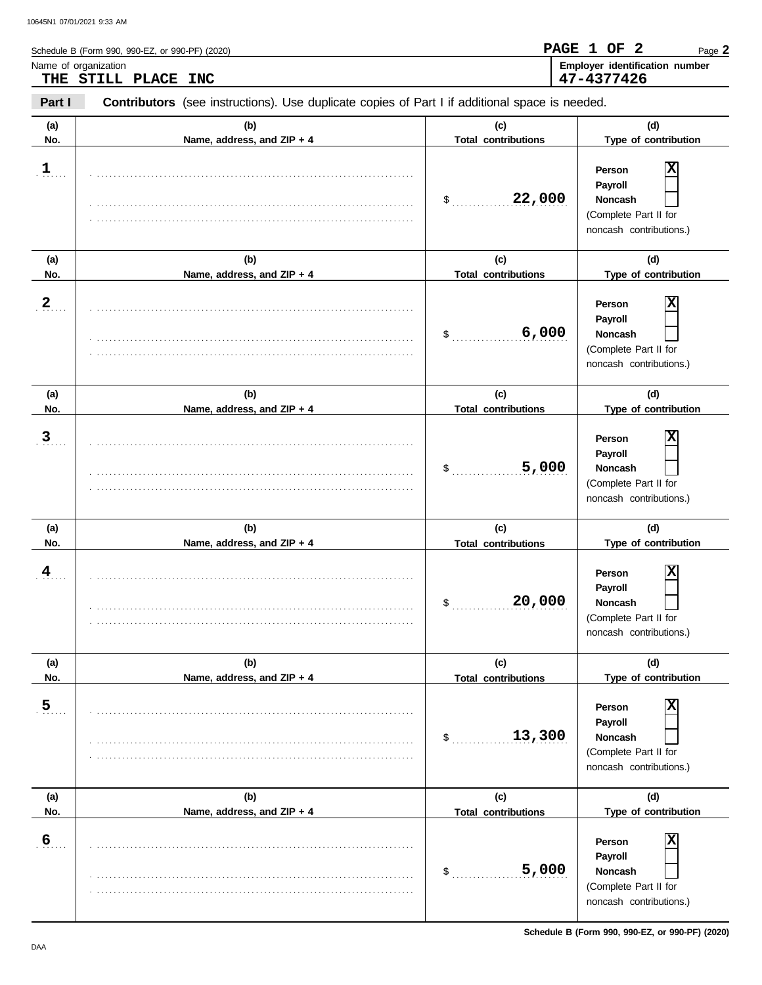| Name of organization | THE STILL PLACE INC                                                                            |                                           | Employer identification number<br>47-4377426                                                                       |
|----------------------|------------------------------------------------------------------------------------------------|-------------------------------------------|--------------------------------------------------------------------------------------------------------------------|
| Part I               | Contributors (see instructions). Use duplicate copies of Part I if additional space is needed. |                                           |                                                                                                                    |
| (a)<br>No.           | (b)<br>Name, address, and ZIP + 4                                                              | (c)<br><b>Total contributions</b>         | (d)<br>Type of contribution                                                                                        |
| $\mathbf{1}$         |                                                                                                | 22,000<br>$\frac{1}{2}$                   | X<br>Person<br>Payroll<br><b>Noncash</b><br>(Complete Part II for<br>noncash contributions.)                       |
| (a)<br>No.           | (b)<br>Name, address, and ZIP + 4                                                              | (c)<br><b>Total contributions</b>         | (d)<br>Type of contribution                                                                                        |
| $\overline{2}$       |                                                                                                | 6,000<br>\$                               | х<br>Person<br>Payroll<br>Noncash<br>(Complete Part II for<br>noncash contributions.)                              |
| (a)<br>No.           | (b)<br>Name, address, and ZIP + 4                                                              | (c)<br><b>Total contributions</b>         | (d)<br>Type of contribution                                                                                        |
| $\overline{3}$       |                                                                                                | 5,000<br>\$                               | х<br>Person<br>Payroll<br>Noncash<br>(Complete Part II for<br>noncash contributions.)                              |
| (a)<br>No.           | (b)<br>Name, address, and ZIP + 4                                                              | (c)<br><b>Total contributions</b>         | (d)<br>Type of contribution                                                                                        |
| 4                    |                                                                                                | 20,000<br>\$                              | $\overline{\mathbf{x}}$<br>Person<br><b>Pavroll</b><br>Noncash<br>(Complete Part II for<br>noncash contributions.) |
| (a)<br>No.           | (b)<br>Name, address, and ZIP + 4                                                              | (c)<br><b>Total contributions</b>         | (d)<br>Type of contribution                                                                                        |
| $\overline{5}$       |                                                                                                | 13,300<br>\$                              | X<br>Person<br>Payroll<br>Noncash<br>(Complete Part II for<br>noncash contributions.)                              |
| (a)                  | (b)                                                                                            | (c)                                       | (d)                                                                                                                |
| No.<br>6             | Name, address, and ZIP + 4                                                                     | <b>Total contributions</b><br>5,000<br>\$ | Type of contribution<br>X<br>Person<br>Payroll<br>Noncash                                                          |

. . . . . . . . . . . . . . . . . . . . . . . . . . . . . . . . . . . . . . . . . . . . . . . . . . . . . . . . . . . . . . . . . . . . . . . . . . . . .

(Complete Part II for noncash contributions.)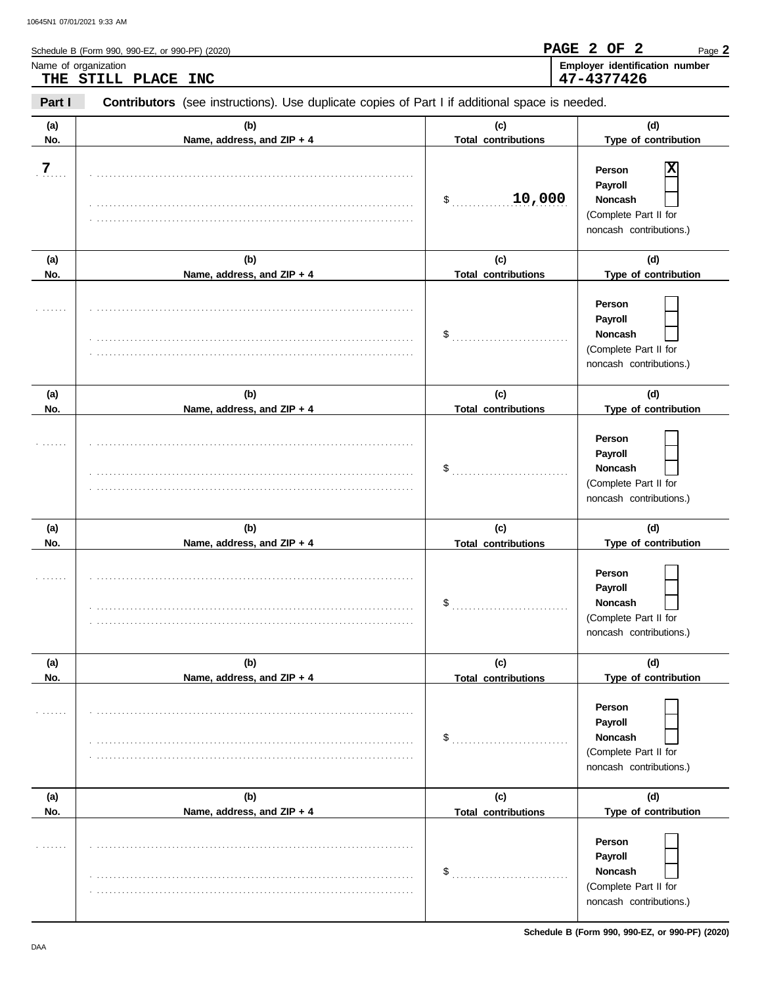|                | Schedule B (Form 990, 990-EZ, or 990-PF) (2020)                                                |                                   | PAGE 2 OF 2<br>Page 2                                                                                    |  |
|----------------|------------------------------------------------------------------------------------------------|-----------------------------------|----------------------------------------------------------------------------------------------------------|--|
|                | Name of organization<br>THE STILL PLACE INC                                                    |                                   | Employer identification number<br>47-4377426                                                             |  |
| Part I         | Contributors (see instructions). Use duplicate copies of Part I if additional space is needed. |                                   |                                                                                                          |  |
| (a)<br>No.     | (b)<br>Name, address, and ZIP + 4                                                              | (c)<br><b>Total contributions</b> |                                                                                                          |  |
| $\overline{z}$ |                                                                                                | 10,000<br>\$                      | X<br>Person<br>Payroll<br>Noncash<br>(Complete Part II for<br>noncash contributions.)                    |  |
| (a)<br>No.     | (b)<br>Name, address, and ZIP + 4                                                              | (c)<br><b>Total contributions</b> | (d)                                                                                                      |  |
|                |                                                                                                | \$                                | Type of contribution<br>Person<br>Payroll<br>Noncash<br>(Complete Part II for<br>noncash contributions.) |  |
| (a)<br>No.     | (b)<br>Name, address, and ZIP + 4                                                              | (c)<br><b>Total contributions</b> | (d)<br>Type of contribution                                                                              |  |
|                |                                                                                                | \$                                | Person<br>Payroll<br>Noncash<br>(Complete Part II for<br>noncash contributions.)                         |  |
| (a)<br>No.     | (b)<br>Name, address, and ZIP + 4                                                              | (c)<br><b>Total contributions</b> | (d)<br>Type of contribution                                                                              |  |
|                |                                                                                                | \$                                | Person<br>Payroll<br>Noncash<br>(Complete Part II for<br>noncash contributions.)                         |  |
| (a)            | (b)                                                                                            | (c)                               | (d)                                                                                                      |  |
| No.            | Name, address, and ZIP + 4                                                                     | <b>Total contributions</b><br>\$  | Type of contribution<br>Person<br>Payroll<br>Noncash<br>(Complete Part II for<br>noncash contributions.) |  |
| (a)<br>No.     | (b)                                                                                            | (c)                               | (d)<br>Type of contribution                                                                              |  |
|                | Name, address, and ZIP + 4                                                                     | <b>Total contributions</b><br>\$  | Person<br>Payroll<br>Noncash                                                                             |  |

. . . . . . . . . . . . . . . . . . . . . . . . . . . . . . . . . . . . . . . . . . . . . . . . . . . . . . . . . . . . . . . . . . . . . . . . . . . . .

**Noncash**  $\Box$ (Complete Part II for noncash contributions.)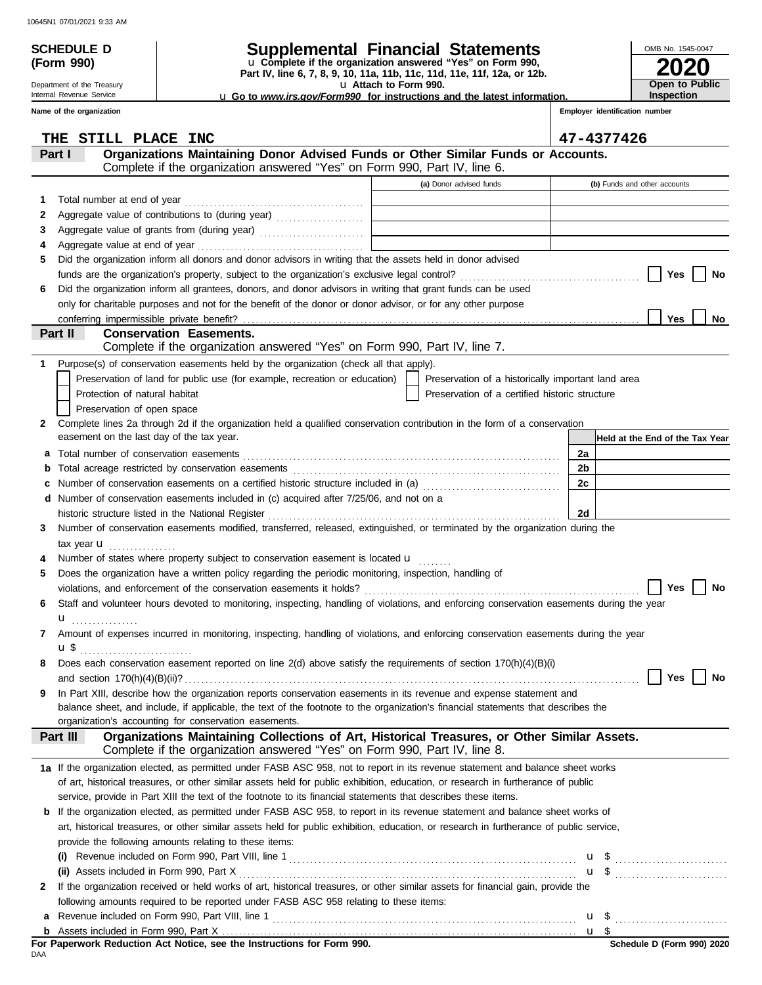Department of the Treasury Internal Revenue Service

**(Form 990)**

# **SCHEDULE D Supplemental Financial Statements**

**Part IV, line 6, 7, 8, 9, 10, 11a, 11b, 11c, 11d, 11e, 11f, 12a, or 12b.** u **Complete if the organization answered "Yes" on Form 990,**

u **Attach to Form 990.** 

u **Go to** *www.irs.gov/Form990* **for instructions and the latest information.**

**2020**

**Open to Public Inspection**

OMB No. 1545-0047

|              | Name of the organization                                                                                                                                                              |                                                    | Employer identification number  |
|--------------|---------------------------------------------------------------------------------------------------------------------------------------------------------------------------------------|----------------------------------------------------|---------------------------------|
|              | THE<br>STILL PLACE INC                                                                                                                                                                |                                                    | 47-4377426                      |
|              | Organizations Maintaining Donor Advised Funds or Other Similar Funds or Accounts.<br>Part I<br>Complete if the organization answered "Yes" on Form 990, Part IV, line 6.              |                                                    |                                 |
|              |                                                                                                                                                                                       | (a) Donor advised funds                            | (b) Funds and other accounts    |
| 1.           |                                                                                                                                                                                       |                                                    |                                 |
| 2            |                                                                                                                                                                                       |                                                    |                                 |
| 3            | Aggregate value of grants from (during year)                                                                                                                                          |                                                    |                                 |
| 4            |                                                                                                                                                                                       |                                                    |                                 |
| 5.           | Did the organization inform all donors and donor advisors in writing that the assets held in donor advised                                                                            |                                                    |                                 |
|              |                                                                                                                                                                                       |                                                    | Yes<br>No                       |
| 6            | Did the organization inform all grantees, donors, and donor advisors in writing that grant funds can be used                                                                          |                                                    |                                 |
|              | only for charitable purposes and not for the benefit of the donor or donor advisor, or for any other purpose                                                                          |                                                    |                                 |
|              |                                                                                                                                                                                       |                                                    | Yes<br>No                       |
|              | Part II<br><b>Conservation Easements.</b>                                                                                                                                             |                                                    |                                 |
|              | Complete if the organization answered "Yes" on Form 990, Part IV, line 7.                                                                                                             |                                                    |                                 |
| 1.           | Purpose(s) of conservation easements held by the organization (check all that apply).                                                                                                 |                                                    |                                 |
|              | Preservation of land for public use (for example, recreation or education)                                                                                                            | Preservation of a historically important land area |                                 |
|              | Protection of natural habitat                                                                                                                                                         | Preservation of a certified historic structure     |                                 |
|              | Preservation of open space                                                                                                                                                            |                                                    |                                 |
| $\mathbf{2}$ | Complete lines 2a through 2d if the organization held a qualified conservation contribution in the form of a conservation                                                             |                                                    |                                 |
|              | easement on the last day of the tax year.                                                                                                                                             |                                                    | Held at the End of the Tax Year |
| a            |                                                                                                                                                                                       |                                                    | 2a                              |
| b            |                                                                                                                                                                                       |                                                    | 2b                              |
| c            | Number of conservation easements on a certified historic structure included in (a) [[[[[[[[[[[[[[[[[[[[[[[[[]]]]]]]                                                                   |                                                    | 2c                              |
|              | d Number of conservation easements included in (c) acquired after 7/25/06, and not on a                                                                                               |                                                    |                                 |
|              |                                                                                                                                                                                       |                                                    | 2d                              |
| 3            | Number of conservation easements modified, transferred, released, extinguished, or terminated by the organization during the                                                          |                                                    |                                 |
|              | tax year $\mathbf u$                                                                                                                                                                  |                                                    |                                 |
|              | Number of states where property subject to conservation easement is located u                                                                                                         |                                                    |                                 |
| 5            | Does the organization have a written policy regarding the periodic monitoring, inspection, handling of                                                                                |                                                    | Yes<br>No                       |
| 6            | Staff and volunteer hours devoted to monitoring, inspecting, handling of violations, and enforcing conservation easements during the year                                             |                                                    |                                 |
|              | $\mathbf{u}$                                                                                                                                                                          |                                                    |                                 |
| 7            | Amount of expenses incurred in monitoring, inspecting, handling of violations, and enforcing conservation easements during the year                                                   |                                                    |                                 |
|              | <b>u</b> \$                                                                                                                                                                           |                                                    |                                 |
|              | Does each conservation easement reported on line $2(d)$ above satisfy the requirements of section $170(h)(4)(B)(i)$                                                                   |                                                    |                                 |
|              |                                                                                                                                                                                       |                                                    | Yes<br>No                       |
| 9            | In Part XIII, describe how the organization reports conservation easements in its revenue and expense statement and                                                                   |                                                    |                                 |
|              | balance sheet, and include, if applicable, the text of the footnote to the organization's financial statements that describes the                                                     |                                                    |                                 |
|              | organization's accounting for conservation easements.                                                                                                                                 |                                                    |                                 |
|              | Organizations Maintaining Collections of Art, Historical Treasures, or Other Similar Assets.<br>Part III<br>Complete if the organization answered "Yes" on Form 990, Part IV, line 8. |                                                    |                                 |
|              | 1a If the organization elected, as permitted under FASB ASC 958, not to report in its revenue statement and balance sheet works                                                       |                                                    |                                 |
|              | of art, historical treasures, or other similar assets held for public exhibition, education, or research in furtherance of public                                                     |                                                    |                                 |
|              | service, provide in Part XIII the text of the footnote to its financial statements that describes these items.                                                                        |                                                    |                                 |
|              | <b>b</b> If the organization elected, as permitted under FASB ASC 958, to report in its revenue statement and balance sheet works of                                                  |                                                    |                                 |
|              | art, historical treasures, or other similar assets held for public exhibition, education, or research in furtherance of public service,                                               |                                                    |                                 |
|              | provide the following amounts relating to these items:                                                                                                                                |                                                    |                                 |
|              |                                                                                                                                                                                       |                                                    | u \$                            |
|              |                                                                                                                                                                                       |                                                    | $\mathbf{u}$ \$                 |
| 2            | If the organization received or held works of art, historical treasures, or other similar assets for financial gain, provide the                                                      |                                                    |                                 |
|              | following amounts required to be reported under FASB ASC 958 relating to these items:                                                                                                 |                                                    |                                 |
|              | a Revenue included on Form 990, Part VIII, line 1                                                                                                                                     |                                                    | u \$                            |

Assets included in Form 990, Part X . . . . . . . . . . . . . . . . . . . . . . . . . . . . . . . . . . . . . . . . . . . . . . . . . . . . . . . . . . . . . . . . . . . . . . . . . . . . . . . . . . . . . **b**

<u>u \$</u>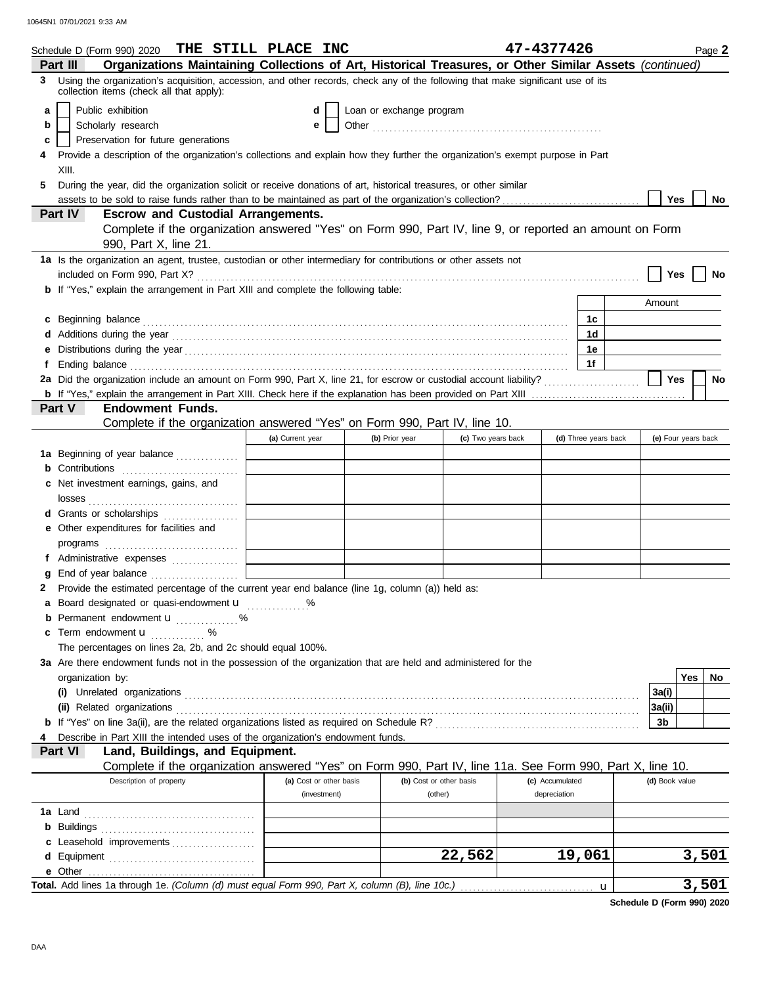|                                                                                                                                                                                  | Schedule D (Form 990) 2020 THE STILL PLACE INC                                                                                                                                                                                      |                         |                          |                         | 47-4377426      |                      |                | Page 2              |
|----------------------------------------------------------------------------------------------------------------------------------------------------------------------------------|-------------------------------------------------------------------------------------------------------------------------------------------------------------------------------------------------------------------------------------|-------------------------|--------------------------|-------------------------|-----------------|----------------------|----------------|---------------------|
| Organizations Maintaining Collections of Art, Historical Treasures, or Other Similar Assets (continued)<br>Part III                                                              |                                                                                                                                                                                                                                     |                         |                          |                         |                 |                      |                |                     |
| Using the organization's acquisition, accession, and other records, check any of the following that make significant use of its<br>3<br>collection items (check all that apply): |                                                                                                                                                                                                                                     |                         |                          |                         |                 |                      |                |                     |
| a                                                                                                                                                                                | Public exhibition                                                                                                                                                                                                                   | d                       | Loan or exchange program |                         |                 |                      |                |                     |
| b                                                                                                                                                                                | Scholarly research                                                                                                                                                                                                                  | е                       |                          |                         |                 |                      |                |                     |
| c                                                                                                                                                                                | Preservation for future generations                                                                                                                                                                                                 |                         |                          |                         |                 |                      |                |                     |
|                                                                                                                                                                                  | Provide a description of the organization's collections and explain how they further the organization's exempt purpose in Part                                                                                                      |                         |                          |                         |                 |                      |                |                     |
|                                                                                                                                                                                  | XIII.                                                                                                                                                                                                                               |                         |                          |                         |                 |                      |                |                     |
| 5.                                                                                                                                                                               | During the year, did the organization solicit or receive donations of art, historical treasures, or other similar                                                                                                                   |                         |                          |                         |                 |                      |                |                     |
|                                                                                                                                                                                  |                                                                                                                                                                                                                                     |                         |                          |                         |                 |                      | Yes            | <b>No</b>           |
|                                                                                                                                                                                  | Part IV<br><b>Escrow and Custodial Arrangements.</b>                                                                                                                                                                                |                         |                          |                         |                 |                      |                |                     |
|                                                                                                                                                                                  | Complete if the organization answered "Yes" on Form 990, Part IV, line 9, or reported an amount on Form                                                                                                                             |                         |                          |                         |                 |                      |                |                     |
|                                                                                                                                                                                  | 990, Part X, line 21.                                                                                                                                                                                                               |                         |                          |                         |                 |                      |                |                     |
|                                                                                                                                                                                  | 1a Is the organization an agent, trustee, custodian or other intermediary for contributions or other assets not                                                                                                                     |                         |                          |                         |                 |                      |                |                     |
|                                                                                                                                                                                  |                                                                                                                                                                                                                                     |                         |                          |                         |                 |                      | Yes            | No                  |
|                                                                                                                                                                                  | b If "Yes," explain the arrangement in Part XIII and complete the following table:                                                                                                                                                  |                         |                          |                         |                 |                      |                |                     |
|                                                                                                                                                                                  |                                                                                                                                                                                                                                     |                         |                          |                         |                 |                      | Amount         |                     |
| c                                                                                                                                                                                |                                                                                                                                                                                                                                     |                         |                          |                         |                 | 1с                   |                |                     |
|                                                                                                                                                                                  |                                                                                                                                                                                                                                     |                         |                          |                         |                 | 1d                   |                |                     |
| е                                                                                                                                                                                |                                                                                                                                                                                                                                     |                         |                          |                         |                 | 1е                   |                |                     |
|                                                                                                                                                                                  | Ending balance <i>communication</i> and the contract of the contract of the contract of the contract of the contract of the contract of the contract of the contract of the contract of the contract of the contract of the contrac |                         |                          |                         |                 | 1f                   |                |                     |
|                                                                                                                                                                                  | 2a Did the organization include an amount on Form 990, Part X, line 21, for escrow or custodial account liability?                                                                                                                  |                         |                          |                         |                 |                      | <b>Yes</b>     | <b>No</b>           |
|                                                                                                                                                                                  |                                                                                                                                                                                                                                     |                         |                          |                         |                 |                      |                |                     |
|                                                                                                                                                                                  | <b>Endowment Funds.</b><br>Part V                                                                                                                                                                                                   |                         |                          |                         |                 |                      |                |                     |
|                                                                                                                                                                                  | Complete if the organization answered "Yes" on Form 990, Part IV, line 10.                                                                                                                                                          |                         |                          |                         |                 |                      |                |                     |
|                                                                                                                                                                                  |                                                                                                                                                                                                                                     | (a) Current year        | (b) Prior year           | (c) Two years back      |                 | (d) Three years back |                | (e) Four years back |
|                                                                                                                                                                                  | 1a Beginning of year balance                                                                                                                                                                                                        |                         |                          |                         |                 |                      |                |                     |
|                                                                                                                                                                                  | <b>b</b> Contributions                                                                                                                                                                                                              |                         |                          |                         |                 |                      |                |                     |
|                                                                                                                                                                                  | c Net investment earnings, gains, and                                                                                                                                                                                               |                         |                          |                         |                 |                      |                |                     |
|                                                                                                                                                                                  |                                                                                                                                                                                                                                     |                         |                          |                         |                 |                      |                |                     |
|                                                                                                                                                                                  | d Grants or scholarships                                                                                                                                                                                                            |                         |                          |                         |                 |                      |                |                     |
|                                                                                                                                                                                  | e Other expenditures for facilities and                                                                                                                                                                                             |                         |                          |                         |                 |                      |                |                     |
|                                                                                                                                                                                  |                                                                                                                                                                                                                                     |                         |                          |                         |                 |                      |                |                     |
|                                                                                                                                                                                  | f Administrative expenses                                                                                                                                                                                                           |                         |                          |                         |                 |                      |                |                     |
| a                                                                                                                                                                                |                                                                                                                                                                                                                                     |                         |                          |                         |                 |                      |                |                     |
|                                                                                                                                                                                  | 2 Provide the estimated percentage of the current year end balance (line 1g, column (a)) held as:                                                                                                                                   |                         |                          |                         |                 |                      |                |                     |
|                                                                                                                                                                                  | a Board designated or quasi-endowment u                                                                                                                                                                                             | %                       |                          |                         |                 |                      |                |                     |
| b                                                                                                                                                                                | Permanent endowment <b>u</b> %                                                                                                                                                                                                      |                         |                          |                         |                 |                      |                |                     |
| c                                                                                                                                                                                | Term endowment <b>u</b><br>.                                                                                                                                                                                                        |                         |                          |                         |                 |                      |                |                     |
|                                                                                                                                                                                  | The percentages on lines 2a, 2b, and 2c should equal 100%.                                                                                                                                                                          |                         |                          |                         |                 |                      |                |                     |
|                                                                                                                                                                                  | 3a Are there endowment funds not in the possession of the organization that are held and administered for the                                                                                                                       |                         |                          |                         |                 |                      |                |                     |
|                                                                                                                                                                                  | organization by:                                                                                                                                                                                                                    |                         |                          |                         |                 |                      |                | Yes<br>No           |
|                                                                                                                                                                                  |                                                                                                                                                                                                                                     |                         |                          |                         |                 |                      | 3a(i)          |                     |
|                                                                                                                                                                                  |                                                                                                                                                                                                                                     |                         |                          |                         |                 |                      | 3a(ii)         |                     |
|                                                                                                                                                                                  |                                                                                                                                                                                                                                     |                         |                          |                         |                 |                      | 3b             |                     |
|                                                                                                                                                                                  | Describe in Part XIII the intended uses of the organization's endowment funds.<br>Land, Buildings, and Equipment.                                                                                                                   |                         |                          |                         |                 |                      |                |                     |
|                                                                                                                                                                                  | Part VI<br>Complete if the organization answered "Yes" on Form 990, Part IV, line 11a. See Form 990, Part X, line 10.                                                                                                               |                         |                          |                         |                 |                      |                |                     |
|                                                                                                                                                                                  | Description of property                                                                                                                                                                                                             | (a) Cost or other basis |                          | (b) Cost or other basis | (c) Accumulated |                      | (d) Book value |                     |
|                                                                                                                                                                                  |                                                                                                                                                                                                                                     | (investment)            |                          | (other)                 | depreciation    |                      |                |                     |
|                                                                                                                                                                                  |                                                                                                                                                                                                                                     |                         |                          |                         |                 |                      |                |                     |
|                                                                                                                                                                                  |                                                                                                                                                                                                                                     |                         |                          |                         |                 |                      |                |                     |
|                                                                                                                                                                                  |                                                                                                                                                                                                                                     |                         |                          |                         |                 |                      |                |                     |
|                                                                                                                                                                                  | c Leasehold improvements                                                                                                                                                                                                            |                         |                          | 22,562                  |                 | 19,061               |                | 3,501               |
|                                                                                                                                                                                  |                                                                                                                                                                                                                                     |                         |                          |                         |                 |                      |                |                     |
|                                                                                                                                                                                  |                                                                                                                                                                                                                                     |                         |                          |                         |                 | $\mathbf{u}$         |                | 3,501               |
|                                                                                                                                                                                  |                                                                                                                                                                                                                                     |                         |                          |                         |                 |                      |                |                     |

**Schedule D (Form 990) 2020**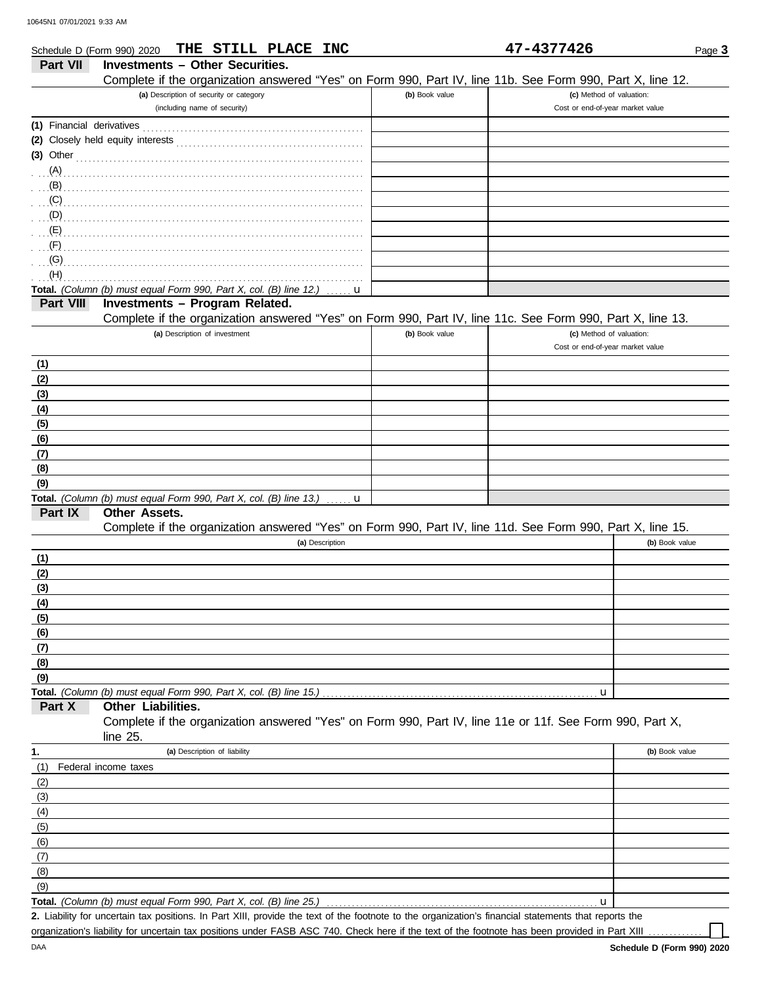| Schedule D (Form 990) 2020 | THE STILL PLACE INC                                                                                                            |                | 47-4377426                       | Page 3         |
|----------------------------|--------------------------------------------------------------------------------------------------------------------------------|----------------|----------------------------------|----------------|
| <b>Part VII</b>            | <b>Investments - Other Securities.</b>                                                                                         |                |                                  |                |
|                            | Complete if the organization answered "Yes" on Form 990, Part IV, line 11b. See Form 990, Part X, line 12.                     |                |                                  |                |
|                            | (a) Description of security or category                                                                                        | (b) Book value | (c) Method of valuation:         |                |
|                            | (including name of security)                                                                                                   |                | Cost or end-of-year market value |                |
| (1) Financial derivatives  |                                                                                                                                |                |                                  |                |
|                            |                                                                                                                                |                |                                  |                |
| $(3)$ Other                |                                                                                                                                |                |                                  |                |
| (A)                        |                                                                                                                                |                |                                  |                |
| (B)<br>(C)                 |                                                                                                                                |                |                                  |                |
| $\ldots$ (D)               |                                                                                                                                |                |                                  |                |
| $\mathbf{E}(\mathsf{E})$   |                                                                                                                                |                |                                  |                |
| (F)                        |                                                                                                                                |                |                                  |                |
| (G)                        |                                                                                                                                |                |                                  |                |
| (H)                        |                                                                                                                                |                |                                  |                |
|                            | Total. (Column (b) must equal Form 990, Part X, col. (B) line 12.)<br>u                                                        |                |                                  |                |
| Part VIII                  | Investments - Program Related.                                                                                                 |                |                                  |                |
|                            | Complete if the organization answered "Yes" on Form 990, Part IV, line 11c. See Form 990, Part X, line 13.                     |                |                                  |                |
|                            | (a) Description of investment                                                                                                  | (b) Book value | (c) Method of valuation:         |                |
|                            |                                                                                                                                |                | Cost or end-of-year market value |                |
| (1)                        |                                                                                                                                |                |                                  |                |
| (2)<br>(3)                 |                                                                                                                                |                |                                  |                |
| (4)                        |                                                                                                                                |                |                                  |                |
| (5)                        |                                                                                                                                |                |                                  |                |
| (6)                        |                                                                                                                                |                |                                  |                |
| (7)                        |                                                                                                                                |                |                                  |                |
| (8)                        |                                                                                                                                |                |                                  |                |
| (9)                        |                                                                                                                                |                |                                  |                |
|                            | Total. (Column (b) must equal Form 990, Part X, col. (B) line 13.)<br>u                                                        |                |                                  |                |
| Part IX                    | Other Assets.                                                                                                                  |                |                                  |                |
|                            | Complete if the organization answered "Yes" on Form 990, Part IV, line 11d. See Form 990, Part X, line 15.<br>(a) Description  |                |                                  | (b) Book value |
| (1)                        |                                                                                                                                |                |                                  |                |
| (2)                        |                                                                                                                                |                |                                  |                |
| (3)                        |                                                                                                                                |                |                                  |                |
| (4)                        |                                                                                                                                |                |                                  |                |
| (5)                        |                                                                                                                                |                |                                  |                |
| (6)                        |                                                                                                                                |                |                                  |                |
| (7)                        |                                                                                                                                |                |                                  |                |
| (8)                        |                                                                                                                                |                |                                  |                |
| (9)                        |                                                                                                                                |                |                                  |                |
|                            | Total. (Column (b) must equal Form 990, Part X, col. (B) line 15.)                                                             |                | u                                |                |
| Part X                     | Other Liabilities.<br>Complete if the organization answered "Yes" on Form 990, Part IV, line 11e or 11f. See Form 990, Part X, |                |                                  |                |
|                            | line 25.                                                                                                                       |                |                                  |                |
| 1.                         | (a) Description of liability                                                                                                   |                |                                  | (b) Book value |
| (1)                        | Federal income taxes                                                                                                           |                |                                  |                |
| (2)                        |                                                                                                                                |                |                                  |                |
| (3)                        |                                                                                                                                |                |                                  |                |
| (4)                        |                                                                                                                                |                |                                  |                |
| (5)                        |                                                                                                                                |                |                                  |                |
| (6)                        |                                                                                                                                |                |                                  |                |
| (7)                        |                                                                                                                                |                |                                  |                |
| (8)                        |                                                                                                                                |                |                                  |                |
| (9)                        | Total. (Column (b) must equal Form 990, Part X, col. (B) line 25.)                                                             |                |                                  |                |
|                            |                                                                                                                                |                | u                                |                |

**Total.** *(Column (b) must equal Form 990, Part X, col. (B) line 25.)* ...

Liability for uncertain tax positions. In Part XIII, provide the text of the footnote to the organization's financial statements that reports the **2.** organization's liability for uncertain tax positions under FASB ASC 740. Check here if the text of the footnote has been provided in Part XIII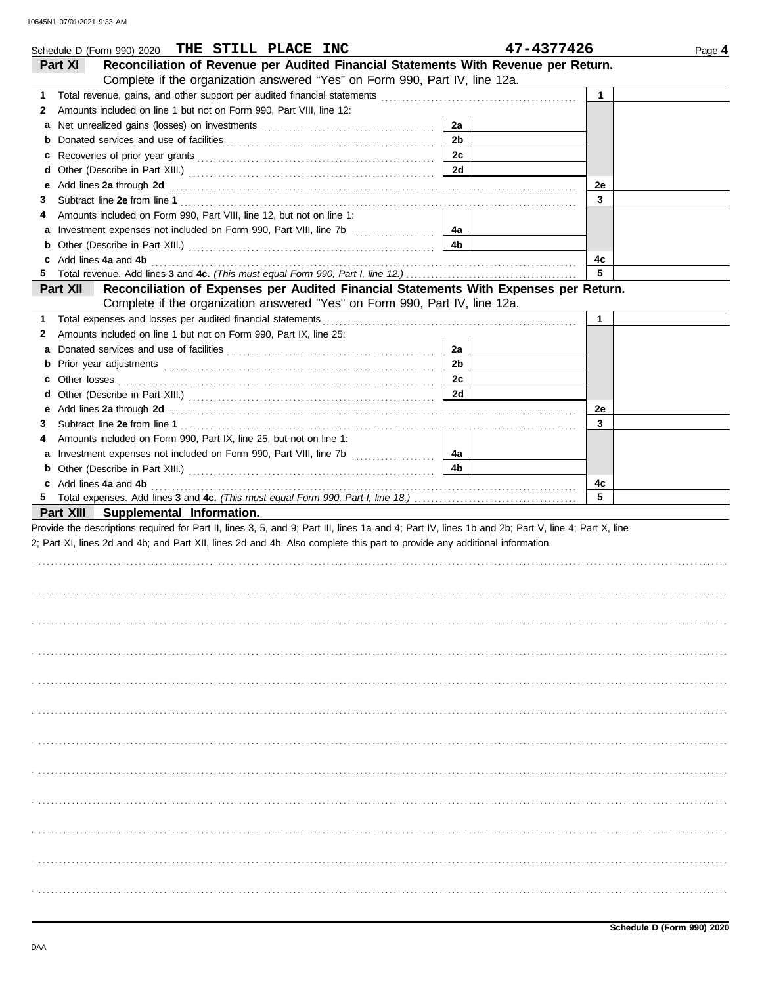| THE STILL PLACE INC<br>Schedule D (Form 990) 2020                                                                                                                                                                                             |                | 47-4377426   | Page 4 |  |
|-----------------------------------------------------------------------------------------------------------------------------------------------------------------------------------------------------------------------------------------------|----------------|--------------|--------|--|
| Reconciliation of Revenue per Audited Financial Statements With Revenue per Return.<br>Part XI                                                                                                                                                |                |              |        |  |
| Complete if the organization answered "Yes" on Form 990, Part IV, line 12a.                                                                                                                                                                   |                |              |        |  |
| 1                                                                                                                                                                                                                                             |                | $\mathbf{1}$ |        |  |
| Amounts included on line 1 but not on Form 990, Part VIII, line 12:<br>2                                                                                                                                                                      |                |              |        |  |
| а                                                                                                                                                                                                                                             | 2a             |              |        |  |
| <b>b</b> Donated services and use of facilities <b>constants</b> and the service of the series of facilities <b>by the service of the service of the series</b> service of the series of the series of the series of the series of the series | 2 <sub>b</sub> |              |        |  |
| c                                                                                                                                                                                                                                             | 2c             |              |        |  |
| d                                                                                                                                                                                                                                             | 2d             |              |        |  |
| Add lines 2a through 2d [11] Additional Property and Property and Property and Property and Property and Property and Property and Property and Property and Property and Property and Property and Property and Property and<br>е            |                | 2e           |        |  |
| 3                                                                                                                                                                                                                                             |                | 3            |        |  |
| Amounts included on Form 990, Part VIII, line 12, but not on line 1:<br>4                                                                                                                                                                     |                |              |        |  |
|                                                                                                                                                                                                                                               | 4a             |              |        |  |
| <b>b</b> Other (Describe in Part XIII.) <b>CONSIDENT</b> 2014 12:20 12:20 12:20 12:20 12:20 12:20 12:20 12:20 12:20 12:20 12:20 12:20 12:20 12:20 12:20 12:20 12:20 12:20 12:20 12:20 12:20 12:20 12:20 12:20 12:20 12:20 12:20 12:20 12      | 4b             |              |        |  |
| c Add lines 4a and 4b                                                                                                                                                                                                                         |                | 4с           |        |  |
|                                                                                                                                                                                                                                               |                | 5            |        |  |
| Part XII<br>Reconciliation of Expenses per Audited Financial Statements With Expenses per Return.                                                                                                                                             |                |              |        |  |
| Complete if the organization answered "Yes" on Form 990, Part IV, line 12a.                                                                                                                                                                   |                |              |        |  |
| Total expenses and losses per audited financial statements<br>1                                                                                                                                                                               |                | $\mathbf{1}$ |        |  |
| Amounts included on line 1 but not on Form 990, Part IX, line 25:<br>2                                                                                                                                                                        |                |              |        |  |
| а                                                                                                                                                                                                                                             | 2a             |              |        |  |
|                                                                                                                                                                                                                                               | 2 <sub>b</sub> |              |        |  |
|                                                                                                                                                                                                                                               | 2c             |              |        |  |
| d                                                                                                                                                                                                                                             | 2d             |              |        |  |
| Add lines 2a through 2d [11] Additional Property and Table 1 and Table 1 and Table 1 and Table 1 and Table 1 and Table 1 and Table 1 and Table 1 and Table 1 and Table 1 and Table 1 and Table 1 and Table 1 and Table 1 and T<br>е           |                | 2e           |        |  |
| 3                                                                                                                                                                                                                                             |                | 3            |        |  |
| Amounts included on Form 990, Part IX, line 25, but not on line 1:<br>4                                                                                                                                                                       |                |              |        |  |
|                                                                                                                                                                                                                                               | 4a             |              |        |  |
| <b>b</b> Other (Describe in Part XIII.) <b>CONSIDENT</b> 2014 12:20 12:20 12:20 12:20 12:20 12:20 12:20 12:20 12:20 12:20 12:20 12:20 12:20 12:20 12:20 12:20 12:20 12:20 12:20 12:20 12:20 12:20 12:20 12:20 12:20 12:20 12:20 12:20 12      | 4 <sub>b</sub> |              |        |  |
| c Add lines 4a and 4b                                                                                                                                                                                                                         |                | 4с           |        |  |
|                                                                                                                                                                                                                                               |                | 5            |        |  |
| Part XIII Supplemental Information.                                                                                                                                                                                                           |                |              |        |  |
| Provide the descriptions required for Part II, lines 3, 5, and 9; Part III, lines 1a and 4; Part IV, lines 1b and 2b; Part V, line 4; Part X, line                                                                                            |                |              |        |  |
| 2; Part XI, lines 2d and 4b; and Part XII, lines 2d and 4b. Also complete this part to provide any additional information.                                                                                                                    |                |              |        |  |
|                                                                                                                                                                                                                                               |                |              |        |  |
|                                                                                                                                                                                                                                               |                |              |        |  |
|                                                                                                                                                                                                                                               |                |              |        |  |
|                                                                                                                                                                                                                                               |                |              |        |  |
|                                                                                                                                                                                                                                               |                |              |        |  |
|                                                                                                                                                                                                                                               |                |              |        |  |
|                                                                                                                                                                                                                                               |                |              |        |  |
|                                                                                                                                                                                                                                               |                |              |        |  |
|                                                                                                                                                                                                                                               |                |              |        |  |
|                                                                                                                                                                                                                                               |                |              |        |  |
|                                                                                                                                                                                                                                               |                |              |        |  |
|                                                                                                                                                                                                                                               |                |              |        |  |
|                                                                                                                                                                                                                                               |                |              |        |  |
|                                                                                                                                                                                                                                               |                |              |        |  |
|                                                                                                                                                                                                                                               |                |              |        |  |
|                                                                                                                                                                                                                                               |                |              |        |  |
|                                                                                                                                                                                                                                               |                |              |        |  |
|                                                                                                                                                                                                                                               |                |              |        |  |
|                                                                                                                                                                                                                                               |                |              |        |  |
|                                                                                                                                                                                                                                               |                |              |        |  |
|                                                                                                                                                                                                                                               |                |              |        |  |
|                                                                                                                                                                                                                                               |                |              |        |  |
|                                                                                                                                                                                                                                               |                |              |        |  |
|                                                                                                                                                                                                                                               |                |              |        |  |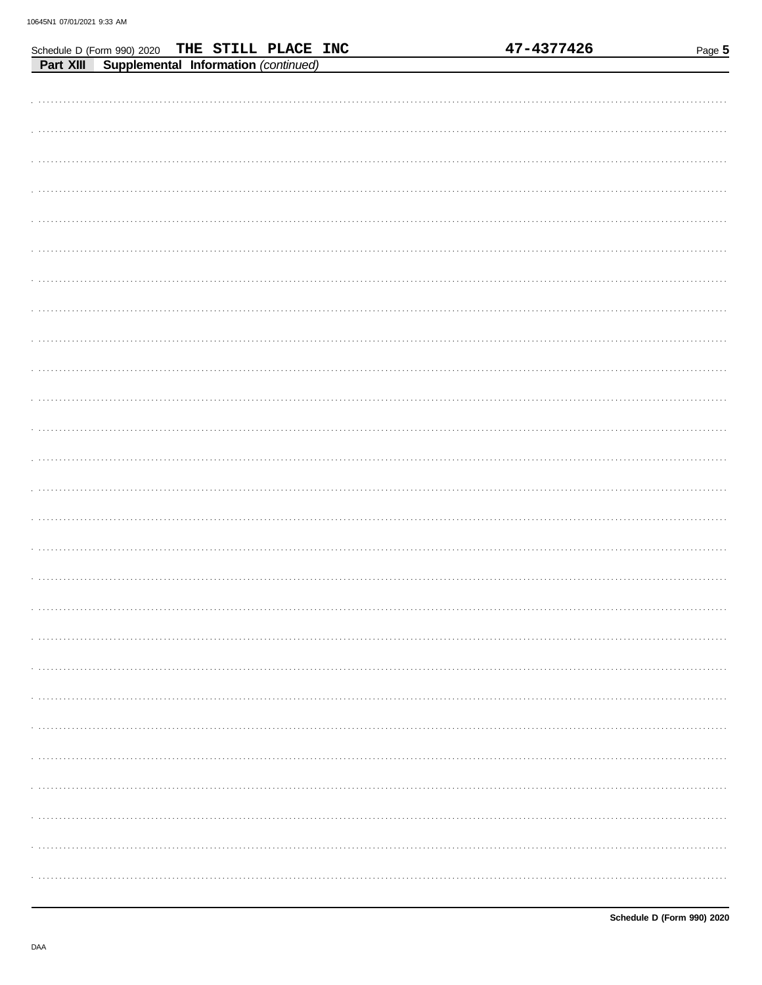Schedule D (Form 990) 2020

THE STILL PLACE INC

| Part XIII Supplemental Information (continued) |
|------------------------------------------------|
|                                                |
|                                                |
|                                                |
|                                                |
|                                                |
|                                                |
|                                                |
|                                                |
|                                                |
|                                                |
|                                                |
|                                                |
|                                                |
|                                                |
|                                                |
|                                                |
|                                                |
|                                                |
|                                                |
|                                                |
|                                                |
|                                                |
|                                                |
|                                                |
|                                                |
|                                                |
|                                                |
|                                                |
|                                                |
|                                                |
|                                                |
|                                                |
|                                                |
|                                                |
|                                                |
|                                                |
|                                                |
|                                                |
|                                                |

47-4377426